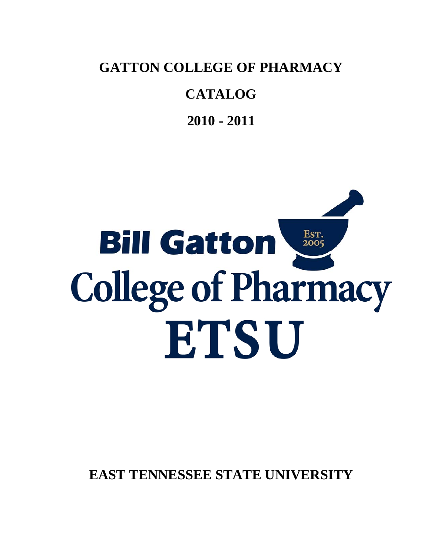**GATTON COLLEGE OF PHARMACY** 

## **CATALOG**

**2010 - 2011**

# Est.<br>2005 **Bill Gatton College of Pharmacy** ETSU

**EAST TENNESSEE STATE UNIVERSITY**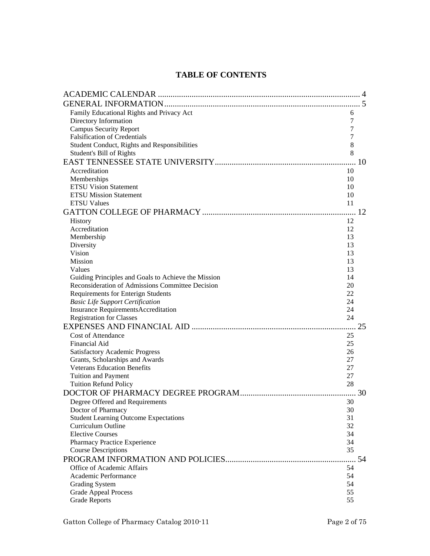### **TABLE OF CONTENTS**

| Family Educational Rights and Privacy Act<br>6<br>Directory Information<br>7<br><b>Campus Security Report</b><br>7<br><b>Falsification of Credentials</b><br>7<br>Student Conduct, Rights and Responsibilities<br>8<br>8<br>Student's Bill of Rights<br>Accreditation<br>10<br>Memberships<br>10<br><b>ETSU Vision Statement</b><br>10<br><b>ETSU Mission Statement</b><br>10<br><b>ETSU Values</b><br>11<br>12<br><b>History</b><br>Accreditation<br>12<br>Membership<br>13<br>Diversity<br>13<br>Vision<br>13<br><b>Mission</b><br>13<br>Values<br>13<br>Guiding Principles and Goals to Achieve the Mission<br>14<br>Reconsideration of Admissions Committee Decision<br>20<br><b>Requirements for Enterign Students</b><br>22<br><b>Basic Life Support Certification</b><br>24<br><b>Insurance RequirementsAccreditation</b><br>24<br><b>Registration for Classes</b><br>24<br>25<br><b>Cost of Attendance</b><br>25<br>Financial Aid<br>25<br><b>Satisfactory Academic Progress</b><br>26<br>Grants, Scholarships and Awards<br>27<br><b>Veterans Education Benefits</b><br>27<br><b>Tuition and Payment</b><br>27<br><b>Tuition Refund Policy</b><br>28<br>30<br>Degree Offered and Requirements<br>30<br>Doctor of Pharmacy<br>30<br><b>Student Learning Outcome Expectations</b><br>31<br>Curriculum Outline<br>32<br><b>Elective Courses</b><br>34<br>Pharmacy Practice Experience<br>34<br>35<br><b>Course Descriptions</b><br>Office of Academic Affairs<br>54<br>Academic Performance<br>54<br><b>Grading System</b><br>54<br><b>Grade Appeal Process</b><br>55 |                      |    |  |
|-----------------------------------------------------------------------------------------------------------------------------------------------------------------------------------------------------------------------------------------------------------------------------------------------------------------------------------------------------------------------------------------------------------------------------------------------------------------------------------------------------------------------------------------------------------------------------------------------------------------------------------------------------------------------------------------------------------------------------------------------------------------------------------------------------------------------------------------------------------------------------------------------------------------------------------------------------------------------------------------------------------------------------------------------------------------------------------------------------------------------------------------------------------------------------------------------------------------------------------------------------------------------------------------------------------------------------------------------------------------------------------------------------------------------------------------------------------------------------------------------------------------------------------------------------------------------------|----------------------|----|--|
|                                                                                                                                                                                                                                                                                                                                                                                                                                                                                                                                                                                                                                                                                                                                                                                                                                                                                                                                                                                                                                                                                                                                                                                                                                                                                                                                                                                                                                                                                                                                                                             |                      |    |  |
|                                                                                                                                                                                                                                                                                                                                                                                                                                                                                                                                                                                                                                                                                                                                                                                                                                                                                                                                                                                                                                                                                                                                                                                                                                                                                                                                                                                                                                                                                                                                                                             |                      |    |  |
|                                                                                                                                                                                                                                                                                                                                                                                                                                                                                                                                                                                                                                                                                                                                                                                                                                                                                                                                                                                                                                                                                                                                                                                                                                                                                                                                                                                                                                                                                                                                                                             |                      |    |  |
|                                                                                                                                                                                                                                                                                                                                                                                                                                                                                                                                                                                                                                                                                                                                                                                                                                                                                                                                                                                                                                                                                                                                                                                                                                                                                                                                                                                                                                                                                                                                                                             |                      |    |  |
|                                                                                                                                                                                                                                                                                                                                                                                                                                                                                                                                                                                                                                                                                                                                                                                                                                                                                                                                                                                                                                                                                                                                                                                                                                                                                                                                                                                                                                                                                                                                                                             |                      |    |  |
|                                                                                                                                                                                                                                                                                                                                                                                                                                                                                                                                                                                                                                                                                                                                                                                                                                                                                                                                                                                                                                                                                                                                                                                                                                                                                                                                                                                                                                                                                                                                                                             |                      |    |  |
|                                                                                                                                                                                                                                                                                                                                                                                                                                                                                                                                                                                                                                                                                                                                                                                                                                                                                                                                                                                                                                                                                                                                                                                                                                                                                                                                                                                                                                                                                                                                                                             |                      |    |  |
|                                                                                                                                                                                                                                                                                                                                                                                                                                                                                                                                                                                                                                                                                                                                                                                                                                                                                                                                                                                                                                                                                                                                                                                                                                                                                                                                                                                                                                                                                                                                                                             |                      |    |  |
|                                                                                                                                                                                                                                                                                                                                                                                                                                                                                                                                                                                                                                                                                                                                                                                                                                                                                                                                                                                                                                                                                                                                                                                                                                                                                                                                                                                                                                                                                                                                                                             |                      |    |  |
|                                                                                                                                                                                                                                                                                                                                                                                                                                                                                                                                                                                                                                                                                                                                                                                                                                                                                                                                                                                                                                                                                                                                                                                                                                                                                                                                                                                                                                                                                                                                                                             |                      |    |  |
|                                                                                                                                                                                                                                                                                                                                                                                                                                                                                                                                                                                                                                                                                                                                                                                                                                                                                                                                                                                                                                                                                                                                                                                                                                                                                                                                                                                                                                                                                                                                                                             |                      |    |  |
|                                                                                                                                                                                                                                                                                                                                                                                                                                                                                                                                                                                                                                                                                                                                                                                                                                                                                                                                                                                                                                                                                                                                                                                                                                                                                                                                                                                                                                                                                                                                                                             |                      |    |  |
|                                                                                                                                                                                                                                                                                                                                                                                                                                                                                                                                                                                                                                                                                                                                                                                                                                                                                                                                                                                                                                                                                                                                                                                                                                                                                                                                                                                                                                                                                                                                                                             |                      |    |  |
|                                                                                                                                                                                                                                                                                                                                                                                                                                                                                                                                                                                                                                                                                                                                                                                                                                                                                                                                                                                                                                                                                                                                                                                                                                                                                                                                                                                                                                                                                                                                                                             |                      |    |  |
|                                                                                                                                                                                                                                                                                                                                                                                                                                                                                                                                                                                                                                                                                                                                                                                                                                                                                                                                                                                                                                                                                                                                                                                                                                                                                                                                                                                                                                                                                                                                                                             |                      |    |  |
|                                                                                                                                                                                                                                                                                                                                                                                                                                                                                                                                                                                                                                                                                                                                                                                                                                                                                                                                                                                                                                                                                                                                                                                                                                                                                                                                                                                                                                                                                                                                                                             |                      |    |  |
|                                                                                                                                                                                                                                                                                                                                                                                                                                                                                                                                                                                                                                                                                                                                                                                                                                                                                                                                                                                                                                                                                                                                                                                                                                                                                                                                                                                                                                                                                                                                                                             |                      |    |  |
|                                                                                                                                                                                                                                                                                                                                                                                                                                                                                                                                                                                                                                                                                                                                                                                                                                                                                                                                                                                                                                                                                                                                                                                                                                                                                                                                                                                                                                                                                                                                                                             |                      |    |  |
|                                                                                                                                                                                                                                                                                                                                                                                                                                                                                                                                                                                                                                                                                                                                                                                                                                                                                                                                                                                                                                                                                                                                                                                                                                                                                                                                                                                                                                                                                                                                                                             |                      |    |  |
|                                                                                                                                                                                                                                                                                                                                                                                                                                                                                                                                                                                                                                                                                                                                                                                                                                                                                                                                                                                                                                                                                                                                                                                                                                                                                                                                                                                                                                                                                                                                                                             |                      |    |  |
|                                                                                                                                                                                                                                                                                                                                                                                                                                                                                                                                                                                                                                                                                                                                                                                                                                                                                                                                                                                                                                                                                                                                                                                                                                                                                                                                                                                                                                                                                                                                                                             |                      |    |  |
|                                                                                                                                                                                                                                                                                                                                                                                                                                                                                                                                                                                                                                                                                                                                                                                                                                                                                                                                                                                                                                                                                                                                                                                                                                                                                                                                                                                                                                                                                                                                                                             |                      |    |  |
|                                                                                                                                                                                                                                                                                                                                                                                                                                                                                                                                                                                                                                                                                                                                                                                                                                                                                                                                                                                                                                                                                                                                                                                                                                                                                                                                                                                                                                                                                                                                                                             |                      |    |  |
|                                                                                                                                                                                                                                                                                                                                                                                                                                                                                                                                                                                                                                                                                                                                                                                                                                                                                                                                                                                                                                                                                                                                                                                                                                                                                                                                                                                                                                                                                                                                                                             |                      |    |  |
|                                                                                                                                                                                                                                                                                                                                                                                                                                                                                                                                                                                                                                                                                                                                                                                                                                                                                                                                                                                                                                                                                                                                                                                                                                                                                                                                                                                                                                                                                                                                                                             |                      |    |  |
|                                                                                                                                                                                                                                                                                                                                                                                                                                                                                                                                                                                                                                                                                                                                                                                                                                                                                                                                                                                                                                                                                                                                                                                                                                                                                                                                                                                                                                                                                                                                                                             |                      |    |  |
|                                                                                                                                                                                                                                                                                                                                                                                                                                                                                                                                                                                                                                                                                                                                                                                                                                                                                                                                                                                                                                                                                                                                                                                                                                                                                                                                                                                                                                                                                                                                                                             |                      |    |  |
|                                                                                                                                                                                                                                                                                                                                                                                                                                                                                                                                                                                                                                                                                                                                                                                                                                                                                                                                                                                                                                                                                                                                                                                                                                                                                                                                                                                                                                                                                                                                                                             |                      |    |  |
|                                                                                                                                                                                                                                                                                                                                                                                                                                                                                                                                                                                                                                                                                                                                                                                                                                                                                                                                                                                                                                                                                                                                                                                                                                                                                                                                                                                                                                                                                                                                                                             |                      |    |  |
|                                                                                                                                                                                                                                                                                                                                                                                                                                                                                                                                                                                                                                                                                                                                                                                                                                                                                                                                                                                                                                                                                                                                                                                                                                                                                                                                                                                                                                                                                                                                                                             |                      |    |  |
|                                                                                                                                                                                                                                                                                                                                                                                                                                                                                                                                                                                                                                                                                                                                                                                                                                                                                                                                                                                                                                                                                                                                                                                                                                                                                                                                                                                                                                                                                                                                                                             |                      |    |  |
|                                                                                                                                                                                                                                                                                                                                                                                                                                                                                                                                                                                                                                                                                                                                                                                                                                                                                                                                                                                                                                                                                                                                                                                                                                                                                                                                                                                                                                                                                                                                                                             |                      |    |  |
|                                                                                                                                                                                                                                                                                                                                                                                                                                                                                                                                                                                                                                                                                                                                                                                                                                                                                                                                                                                                                                                                                                                                                                                                                                                                                                                                                                                                                                                                                                                                                                             |                      |    |  |
|                                                                                                                                                                                                                                                                                                                                                                                                                                                                                                                                                                                                                                                                                                                                                                                                                                                                                                                                                                                                                                                                                                                                                                                                                                                                                                                                                                                                                                                                                                                                                                             |                      |    |  |
|                                                                                                                                                                                                                                                                                                                                                                                                                                                                                                                                                                                                                                                                                                                                                                                                                                                                                                                                                                                                                                                                                                                                                                                                                                                                                                                                                                                                                                                                                                                                                                             |                      |    |  |
|                                                                                                                                                                                                                                                                                                                                                                                                                                                                                                                                                                                                                                                                                                                                                                                                                                                                                                                                                                                                                                                                                                                                                                                                                                                                                                                                                                                                                                                                                                                                                                             |                      |    |  |
|                                                                                                                                                                                                                                                                                                                                                                                                                                                                                                                                                                                                                                                                                                                                                                                                                                                                                                                                                                                                                                                                                                                                                                                                                                                                                                                                                                                                                                                                                                                                                                             |                      |    |  |
|                                                                                                                                                                                                                                                                                                                                                                                                                                                                                                                                                                                                                                                                                                                                                                                                                                                                                                                                                                                                                                                                                                                                                                                                                                                                                                                                                                                                                                                                                                                                                                             |                      |    |  |
|                                                                                                                                                                                                                                                                                                                                                                                                                                                                                                                                                                                                                                                                                                                                                                                                                                                                                                                                                                                                                                                                                                                                                                                                                                                                                                                                                                                                                                                                                                                                                                             |                      |    |  |
|                                                                                                                                                                                                                                                                                                                                                                                                                                                                                                                                                                                                                                                                                                                                                                                                                                                                                                                                                                                                                                                                                                                                                                                                                                                                                                                                                                                                                                                                                                                                                                             |                      |    |  |
|                                                                                                                                                                                                                                                                                                                                                                                                                                                                                                                                                                                                                                                                                                                                                                                                                                                                                                                                                                                                                                                                                                                                                                                                                                                                                                                                                                                                                                                                                                                                                                             |                      |    |  |
|                                                                                                                                                                                                                                                                                                                                                                                                                                                                                                                                                                                                                                                                                                                                                                                                                                                                                                                                                                                                                                                                                                                                                                                                                                                                                                                                                                                                                                                                                                                                                                             |                      |    |  |
|                                                                                                                                                                                                                                                                                                                                                                                                                                                                                                                                                                                                                                                                                                                                                                                                                                                                                                                                                                                                                                                                                                                                                                                                                                                                                                                                                                                                                                                                                                                                                                             |                      |    |  |
|                                                                                                                                                                                                                                                                                                                                                                                                                                                                                                                                                                                                                                                                                                                                                                                                                                                                                                                                                                                                                                                                                                                                                                                                                                                                                                                                                                                                                                                                                                                                                                             |                      |    |  |
|                                                                                                                                                                                                                                                                                                                                                                                                                                                                                                                                                                                                                                                                                                                                                                                                                                                                                                                                                                                                                                                                                                                                                                                                                                                                                                                                                                                                                                                                                                                                                                             |                      |    |  |
|                                                                                                                                                                                                                                                                                                                                                                                                                                                                                                                                                                                                                                                                                                                                                                                                                                                                                                                                                                                                                                                                                                                                                                                                                                                                                                                                                                                                                                                                                                                                                                             |                      |    |  |
|                                                                                                                                                                                                                                                                                                                                                                                                                                                                                                                                                                                                                                                                                                                                                                                                                                                                                                                                                                                                                                                                                                                                                                                                                                                                                                                                                                                                                                                                                                                                                                             |                      |    |  |
|                                                                                                                                                                                                                                                                                                                                                                                                                                                                                                                                                                                                                                                                                                                                                                                                                                                                                                                                                                                                                                                                                                                                                                                                                                                                                                                                                                                                                                                                                                                                                                             |                      |    |  |
|                                                                                                                                                                                                                                                                                                                                                                                                                                                                                                                                                                                                                                                                                                                                                                                                                                                                                                                                                                                                                                                                                                                                                                                                                                                                                                                                                                                                                                                                                                                                                                             | <b>Grade Reports</b> | 55 |  |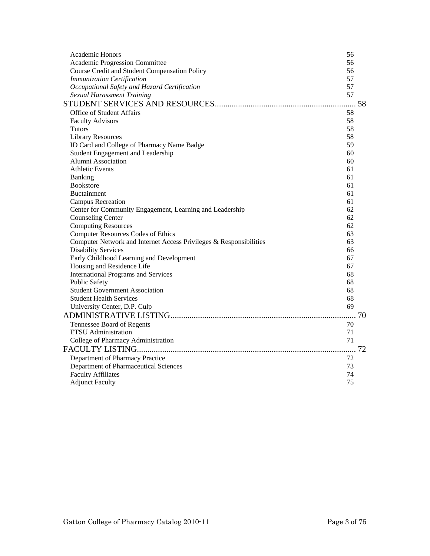| Academic Honors                                                    | 56 |
|--------------------------------------------------------------------|----|
| Academic Progression Committee                                     | 56 |
| Course Credit and Student Compensation Policy                      | 56 |
| <b>Immunization Certification</b>                                  | 57 |
| Occupational Safety and Hazard Certification                       | 57 |
| <b>Sexual Harassment Training</b>                                  | 57 |
|                                                                    |    |
| Office of Student Affairs                                          | 58 |
| <b>Faculty Advisors</b>                                            | 58 |
| Tutors                                                             | 58 |
| <b>Library Resources</b>                                           | 58 |
| ID Card and College of Pharmacy Name Badge                         | 59 |
| Student Engagement and Leadership                                  | 60 |
| Alumni Association                                                 | 60 |
| <b>Athletic Events</b>                                             | 61 |
| Banking                                                            | 61 |
| <b>Bookstore</b>                                                   | 61 |
| <b>Buctainment</b>                                                 | 61 |
| <b>Campus Recreation</b>                                           | 61 |
| Center for Community Engagement, Learning and Leadership           | 62 |
| <b>Counseling Center</b>                                           | 62 |
| <b>Computing Resources</b>                                         | 62 |
| <b>Computer Resources Codes of Ethics</b>                          | 63 |
| Computer Network and Internet Access Privileges & Responsibilities | 63 |
| <b>Disability Services</b>                                         | 66 |
| Early Childhood Learning and Development                           | 67 |
| Housing and Residence Life                                         | 67 |
| <b>International Programs and Services</b>                         | 68 |
| <b>Public Safety</b>                                               | 68 |
| <b>Student Government Association</b>                              | 68 |
| <b>Student Health Services</b>                                     | 68 |
| University Center, D.P. Culp                                       | 69 |
|                                                                    |    |
| Tennessee Board of Regents                                         | 70 |
| <b>ETSU</b> Administration                                         | 71 |
| College of Pharmacy Administration                                 | 71 |
|                                                                    |    |
| Department of Pharmacy Practice                                    | 72 |
| Department of Pharmaceutical Sciences                              | 73 |
| <b>Faculty Affiliates</b>                                          | 74 |
| <b>Adjunct Faculty</b>                                             | 75 |
|                                                                    |    |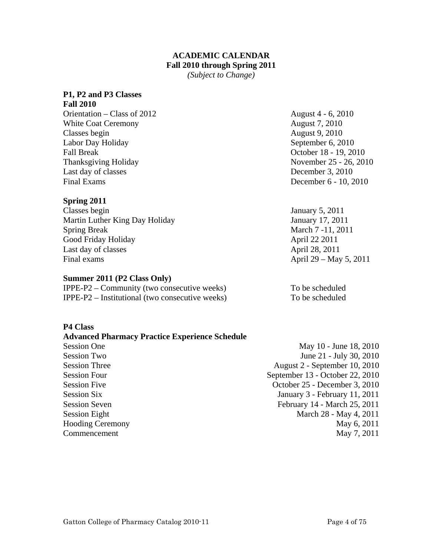#### **ACADEMIC CALENDAR Fall 2010 through Spring 2011**

*(Subject to Change)* 

#### <span id="page-3-0"></span>**P1, P2 and P3 Classes**

**Fall 2010**  Orientation – Class of 2012 August 4 - 6, 2010 White Coat Ceremony **August 7, 2010** Classes begin August 9, 2010 Labor Day Holiday September 6, 2010 Fall Break October 18 - 19, 2010 Thanksgiving Holiday November 25 - 26, 2010 Last day of classes December 3, 2010 Final Exams December 6 - 10, 2010

#### **Spring 2011**

**P4 Class** 

Classes begin January 5, 2011 Martin Luther King Day Holiday January 17, 2011 Spring Break March 7 - 11, 2011 Good Friday Holiday **April 22 2011** Last day of classes April 28, 2011 Final exams  $\Delta$ pril 29 – May 5, 2011

#### **Summer 2011 (P2 Class Only)**

 $IPPE-P2 - Community$  (two consecutive weeks) To be scheduled IPPE-P2 – Institutional (two consecutive weeks) To be scheduled

#### **Advanced Pharmacy Practice Experience Schedule** Session One May 10 - June 18, 2010 Session Two June 21 - July 30, 2010 Session Three August 2 - September 10, 2010 Session Four<br>September 13 - October 22, 2010 Session Five October 25 - December 3, 2010 Session Six January 3 - February 11, 2011 Session Seven February 14 - March 25, 2011 Session Eight March 28 - May 4, 2011 Hooding Ceremony May 6, 2011

Commencement May 7, 2011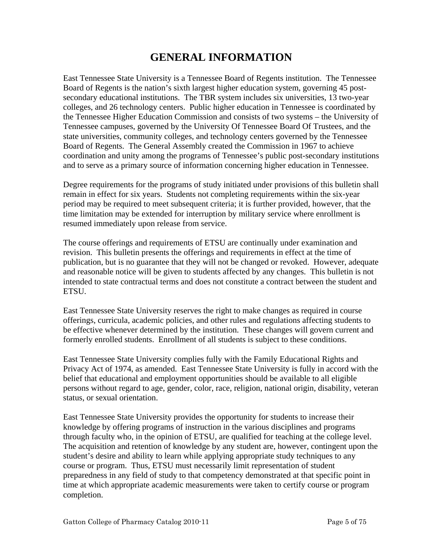## **GENERAL INFORMATION**

<span id="page-4-0"></span>East Tennessee State University is a Tennessee Board of Regents institution. The Tennessee Board of Regents is the nation's sixth largest higher education system, governing 45 postsecondary educational institutions. The TBR system includes six universities, 13 two-year colleges, and 26 technology centers. Public higher education in Tennessee is coordinated by the Tennessee Higher Education Commission and consists of two systems – the University of Tennessee campuses, governed by the University Of Tennessee Board Of Trustees, and the state universities, community colleges, and technology centers governed by the Tennessee Board of Regents. The General Assembly created the Commission in 1967 to achieve coordination and unity among the programs of Tennessee's public post-secondary institutions and to serve as a primary source of information concerning higher education in Tennessee.

Degree requirements for the programs of study initiated under provisions of this bulletin shall remain in effect for six years. Students not completing requirements within the six-year period may be required to meet subsequent criteria; it is further provided, however, that the time limitation may be extended for interruption by military service where enrollment is resumed immediately upon release from service.

The course offerings and requirements of ETSU are continually under examination and revision. This bulletin presents the offerings and requirements in effect at the time of publication, but is no guarantee that they will not be changed or revoked. However, adequate and reasonable notice will be given to students affected by any changes. This bulletin is not intended to state contractual terms and does not constitute a contract between the student and **ETSU.** 

East Tennessee State University reserves the right to make changes as required in course offerings, curricula, academic policies, and other rules and regulations affecting students to be effective whenever determined by the institution. These changes will govern current and formerly enrolled students. Enrollment of all students is subject to these conditions.

East Tennessee State University complies fully with the Family Educational Rights and Privacy Act of 1974, as amended. East Tennessee State University is fully in accord with the belief that educational and employment opportunities should be available to all eligible persons without regard to age, gender, color, race, religion, national origin, disability, veteran status, or sexual orientation.

East Tennessee State University provides the opportunity for students to increase their knowledge by offering programs of instruction in the various disciplines and programs through faculty who, in the opinion of ETSU, are qualified for teaching at the college level. The acquisition and retention of knowledge by any student are, however, contingent upon the student's desire and ability to learn while applying appropriate study techniques to any course or program. Thus, ETSU must necessarily limit representation of student preparedness in any field of study to that competency demonstrated at that specific point in time at which appropriate academic measurements were taken to certify course or program completion.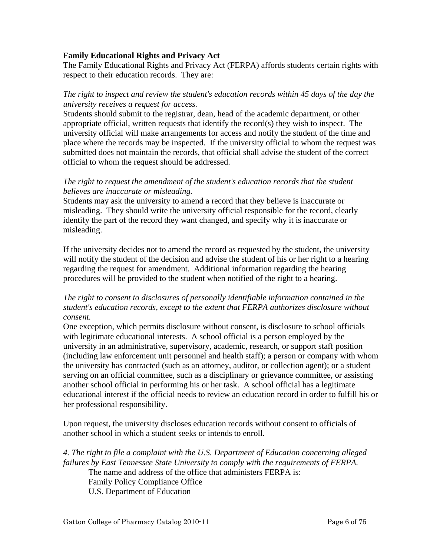#### <span id="page-5-0"></span>**Family Educational Rights and Privacy Act**

The Family Educational Rights and Privacy Act (FERPA) affords students certain rights with respect to their education records. They are:

#### *The right to inspect and review the student's education records within 45 days of the day the university receives a request for access.*

Students should submit to the registrar, dean, head of the academic department, or other appropriate official, written requests that identify the record(s) they wish to inspect. The university official will make arrangements for access and notify the student of the time and place where the records may be inspected. If the university official to whom the request was submitted does not maintain the records, that official shall advise the student of the correct official to whom the request should be addressed.

#### *The right to request the amendment of the student's education records that the student believes are inaccurate or misleading.*

Students may ask the university to amend a record that they believe is inaccurate or misleading. They should write the university official responsible for the record, clearly identify the part of the record they want changed, and specify why it is inaccurate or misleading.

If the university decides not to amend the record as requested by the student, the university will notify the student of the decision and advise the student of his or her right to a hearing regarding the request for amendment. Additional information regarding the hearing procedures will be provided to the student when notified of the right to a hearing.

#### *The right to consent to disclosures of personally identifiable information contained in the student's education records, except to the extent that FERPA authorizes disclosure without consent.*

One exception, which permits disclosure without consent, is disclosure to school officials with legitimate educational interests. A school official is a person employed by the university in an administrative, supervisory, academic, research, or support staff position (including law enforcement unit personnel and health staff); a person or company with whom the university has contracted (such as an attorney, auditor, or collection agent); or a student serving on an official committee, such as a disciplinary or grievance committee, or assisting another school official in performing his or her task. A school official has a legitimate educational interest if the official needs to review an education record in order to fulfill his or her professional responsibility.

Upon request, the university discloses education records without consent to officials of another school in which a student seeks or intends to enroll.

*4. The right to file a complaint with the U.S. Department of Education concerning alleged failures by East Tennessee State University to comply with the requirements of FERPA.*  The name and address of the office that administers FERPA is: Family Policy Compliance Office U.S. Department of Education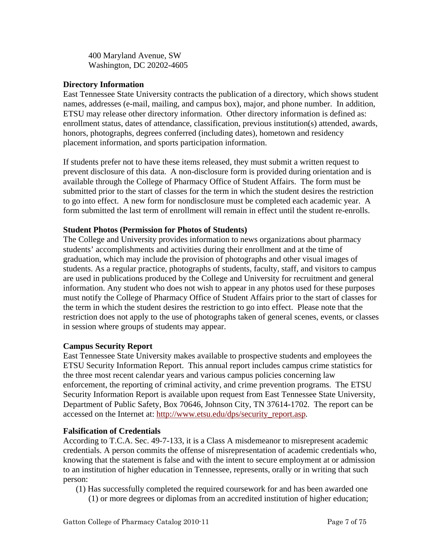<span id="page-6-0"></span>400 Maryland Avenue, SW Washington, DC 20202-4605

#### **Directory Information**

East Tennessee State University contracts the publication of a directory, which shows student names, addresses (e-mail, mailing, and campus box), major, and phone number. In addition, ETSU may release other directory information. Other directory information is defined as: enrollment status, dates of attendance, classification, previous institution(s) attended, awards, honors, photographs, degrees conferred (including dates), hometown and residency placement information, and sports participation information.

If students prefer not to have these items released, they must submit a written request to prevent disclosure of this data. A non-disclosure form is provided during orientation and is available through the College of Pharmacy Office of Student Affairs. The form must be submitted prior to the start of classes for the term in which the student desires the restriction to go into effect. A new form for nondisclosure must be completed each academic year. A form submitted the last term of enrollment will remain in effect until the student re-enrolls.

#### **Student Photos (Permission for Photos of Students)**

The College and University provides information to news organizations about pharmacy students' accomplishments and activities during their enrollment and at the time of graduation, which may include the provision of photographs and other visual images of students. As a regular practice, photographs of students, faculty, staff, and visitors to campus are used in publications produced by the College and University for recruitment and general information. Any student who does not wish to appear in any photos used for these purposes must notify the College of Pharmacy Office of Student Affairs prior to the start of classes for the term in which the student desires the restriction to go into effect. Please note that the restriction does not apply to the use of photographs taken of general scenes, events, or classes in session where groups of students may appear.

#### **Campus Security Report**

East Tennessee State University makes available to prospective students and employees the ETSU Security Information Report. This annual report includes campus crime statistics for the three most recent calendar years and various campus policies concerning law enforcement, the reporting of criminal activity, and crime prevention programs. The ETSU Security Information Report is available upon request from East Tennessee State University, Department of Public Safety, Box 70646, Johnson City, TN 37614-1702. The report can be accessed on the Internet at: [http://www.etsu.edu/dps/security\\_report.asp](http://www.etsu.edu/dps/security_report.asp).

#### **Falsification of Credentials**

According to T.C.A. Sec. 49-7-133, it is a Class A misdemeanor to misrepresent academic credentials. A person commits the offense of misrepresentation of academic credentials who, knowing that the statement is false and with the intent to secure employment at or admission to an institution of higher education in Tennessee, represents, orally or in writing that such person:

(1) Has successfully completed the required coursework for and has been awarded one (1) or more degrees or diplomas from an accredited institution of higher education;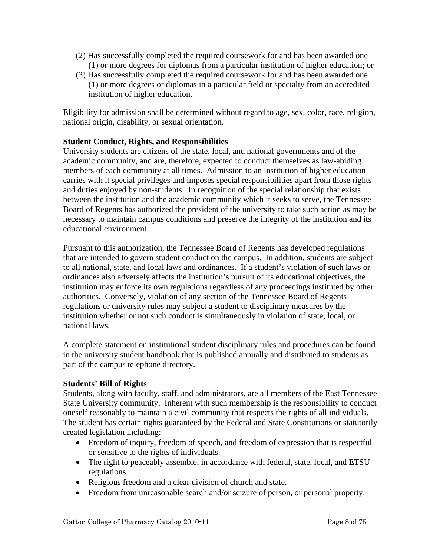- <span id="page-7-0"></span>(2) Has successfully completed the required coursework for and has been awarded one (1) or more degrees for diplomas from a particular institution of higher education; or
- (3) Has successfully completed the required coursework for and has been awarded one (1) or more degrees or diplomas in a particular field or specialty from an accredited institution of higher education.

Eligibility for admission shall be determined without regard to age, sex, color, race, religion, national origin, disability, or sexual orientation.

#### **Student Conduct, Rights, and Responsibilities**

University students are citizens of the state, local, and national governments and of the academic community, and are, therefore, expected to conduct themselves as law-abiding members of each community at all times. Admission to an institution of higher education carries with it special privileges and imposes special responsibilities apart from those rights and duties enjoyed by non-students. In recognition of the special relationship that exists between the institution and the academic community which it seeks to serve, the Tennessee Board of Regents has authorized the president of the university to take such action as may be necessary to maintain campus conditions and preserve the integrity of the institution and its educational environment.

Pursuant to this authorization, the Tennessee Board of Regents has developed regulations that are intended to govern student conduct on the campus. In addition, students are subject to all national, state, and local laws and ordinances. If a student's violation of such laws or ordinances also adversely affects the institution's pursuit of its educational objectives, the institution may enforce its own regulations regardless of any proceedings instituted by other authorities. Conversely, violation of any section of the Tennessee Board of Regents regulations or university rules may subject a student to disciplinary measures by the institution whether or not such conduct is simultaneously in violation of state, local, or national laws.

A complete statement on institutional student disciplinary rules and procedures can be found in the university student handbook that is published annually and distributed to students as part of the campus telephone directory.

#### **Students' Bill of Rights**

Students, along with faculty, staff, and administrators, are all members of the East Tennessee State University community. Inherent with such membership is the responsibility to conduct oneself reasonably to maintain a civil community that respects the rights of all individuals. The student has certain rights guaranteed by the Federal and State Constitutions or statutorily created legislation including:

- Freedom of inquiry, freedom of speech, and freedom of expression that is respectful or sensitive to the rights of individuals.
- The right to peaceably assemble, in accordance with federal, state, local, and ETSU regulations.
- Religious freedom and a clear division of church and state.
- Freedom from unreasonable search and/or seizure of person, or personal property.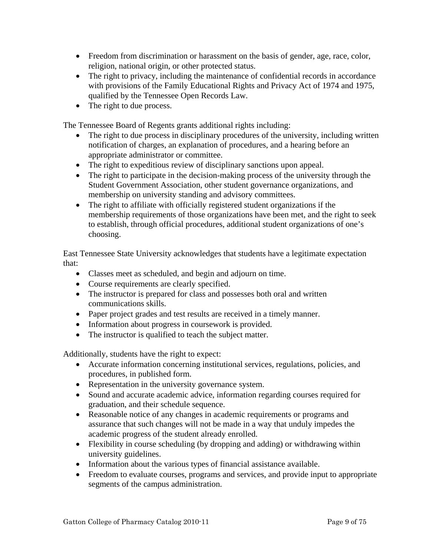- Freedom from discrimination or harassment on the basis of gender, age, race, color, religion, national origin, or other protected status.
- The right to privacy, including the maintenance of confidential records in accordance with provisions of the Family Educational Rights and Privacy Act of 1974 and 1975, qualified by the Tennessee Open Records Law.
- The right to due process.

The Tennessee Board of Regents grants additional rights including:

- The right to due process in disciplinary procedures of the university, including written notification of charges, an explanation of procedures, and a hearing before an appropriate administrator or committee.
- The right to expeditious review of disciplinary sanctions upon appeal.
- The right to participate in the decision-making process of the university through the Student Government Association, other student governance organizations, and membership on university standing and advisory committees.
- The right to affiliate with officially registered student organizations if the membership requirements of those organizations have been met, and the right to seek to establish, through official procedures, additional student organizations of one's choosing.

East Tennessee State University acknowledges that students have a legitimate expectation that:

- Classes meet as scheduled, and begin and adjourn on time.
- Course requirements are clearly specified.
- The instructor is prepared for class and possesses both oral and written communications skills.
- Paper project grades and test results are received in a timely manner.
- Information about progress in coursework is provided.
- The instructor is qualified to teach the subject matter.

Additionally, students have the right to expect:

- Accurate information concerning institutional services, regulations, policies, and procedures, in published form.
- Representation in the university governance system.
- Sound and accurate academic advice, information regarding courses required for graduation, and their schedule sequence.
- Reasonable notice of any changes in academic requirements or programs and assurance that such changes will not be made in a way that unduly impedes the academic progress of the student already enrolled.
- Flexibility in course scheduling (by dropping and adding) or withdrawing within university guidelines.
- Information about the various types of financial assistance available.
- Freedom to evaluate courses, programs and services, and provide input to appropriate segments of the campus administration.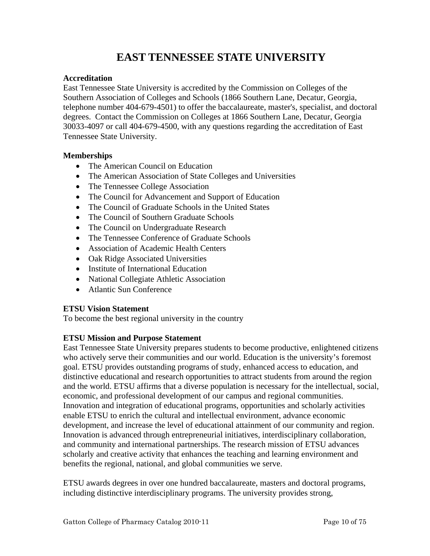## **EAST TENNESSEE STATE UNIVERSITY**

#### <span id="page-9-0"></span>**Accreditation**

East Tennessee State University is accredited by the Commission on Colleges of the Southern Association of Colleges and Schools (1866 Southern Lane, Decatur, Georgia, telephone number 404-679-4501) to offer the baccalaureate, master's, specialist, and doctoral degrees. Contact the Commission on Colleges at 1866 Southern Lane, Decatur, Georgia 30033-4097 or call 404-679-4500, with any questions regarding the accreditation of East Tennessee State University.

#### **Memberships**

- The American Council on Education
- The American Association of State Colleges and Universities
- The Tennessee College Association
- The Council for Advancement and Support of Education
- The Council of Graduate Schools in the United States
- The Council of Southern Graduate Schools
- The Council on Undergraduate Research
- The Tennessee Conference of Graduate Schools
- Association of Academic Health Centers
- Oak Ridge Associated Universities
- Institute of International Education
- National Collegiate Athletic Association
- Atlantic Sun Conference

#### **ETSU Vision Statement**

To become the best regional university in the country

#### **ETSU Mission and Purpose Statement**

East Tennessee State University prepares students to become productive, enlightened citizens who actively serve their communities and our world. Education is the university's foremost goal. ETSU provides outstanding programs of study, enhanced access to education, and distinctive educational and research opportunities to attract students from around the region and the world. ETSU affirms that a diverse population is necessary for the intellectual, social, economic, and professional development of our campus and regional communities. Innovation and integration of educational programs, opportunities and scholarly activities enable ETSU to enrich the cultural and intellectual environment, advance economic development, and increase the level of educational attainment of our community and region. Innovation is advanced through entrepreneurial initiatives, interdisciplinary collaboration, and community and international partnerships. The research mission of ETSU advances scholarly and creative activity that enhances the teaching and learning environment and benefits the regional, national, and global communities we serve.

ETSU awards degrees in over one hundred baccalaureate, masters and doctoral programs, including distinctive interdisciplinary programs. The university provides strong,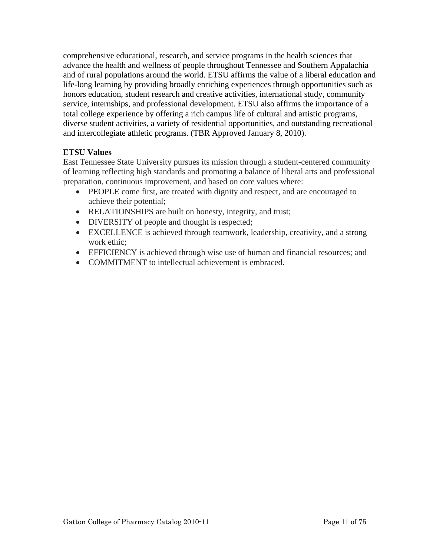<span id="page-10-0"></span>comprehensive educational, research, and service programs in the health sciences that advance the health and wellness of people throughout Tennessee and Southern Appalachia and of rural populations around the world. ETSU affirms the value of a liberal education and life-long learning by providing broadly enriching experiences through opportunities such as honors education, student research and creative activities, international study, community service, internships, and professional development. ETSU also affirms the importance of a total college experience by offering a rich campus life of cultural and artistic programs, diverse student activities, a variety of residential opportunities, and outstanding recreational and intercollegiate athletic programs. (TBR Approved January 8, 2010).

#### **ETSU Values**

East Tennessee State University pursues its mission through a student-centered community of learning reflecting high standards and promoting a balance of liberal arts and professional preparation, continuous improvement, and based on core values where:

- PEOPLE come first, are treated with dignity and respect, and are encouraged to achieve their potential;
- RELATIONSHIPS are built on honesty, integrity, and trust;
- DIVERSITY of people and thought is respected;
- EXCELLENCE is achieved through teamwork, leadership, creativity, and a strong work ethic;
- EFFICIENCY is achieved through wise use of human and financial resources; and
- COMMITMENT to intellectual achievement is embraced.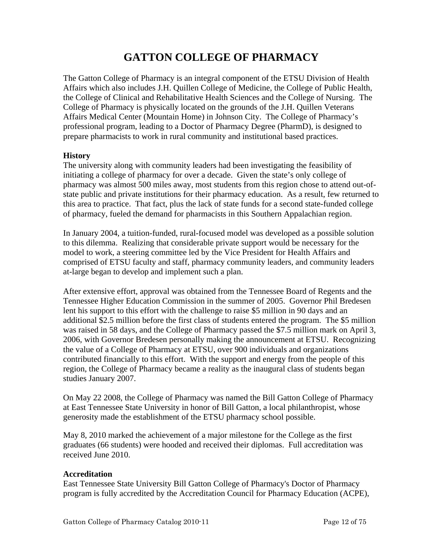## **GATTON COLLEGE OF PHARMACY**

<span id="page-11-0"></span>The Gatton College of Pharmacy is an integral component of the ETSU Division of Health Affairs which also includes J.H. Quillen College of Medicine, the College of Public Health, the College of Clinical and Rehabilitative Health Sciences and the College of Nursing. The College of Pharmacy is physically located on the grounds of the J.H. Quillen Veterans Affairs Medical Center (Mountain Home) in Johnson City. The College of Pharmacy's professional program, leading to a Doctor of Pharmacy Degree (PharmD), is designed to prepare pharmacists to work in rural community and institutional based practices.

#### **History**

The university along with community leaders had been investigating the feasibility of initiating a college of pharmacy for over a decade. Given the state's only college of pharmacy was almost 500 miles away, most students from this region chose to attend out-ofstate public and private institutions for their pharmacy education. As a result, few returned to this area to practice. That fact, plus the lack of state funds for a second state-funded college of pharmacy, fueled the demand for pharmacists in this Southern Appalachian region.

In January 2004, a tuition-funded, rural-focused model was developed as a possible solution to this dilemma. Realizing that considerable private support would be necessary for the model to work, a steering committee led by the Vice President for Health Affairs and comprised of ETSU faculty and staff, pharmacy community leaders, and community leaders at-large began to develop and implement such a plan.

After extensive effort, approval was obtained from the Tennessee Board of Regents and the Tennessee Higher Education Commission in the summer of 2005. Governor Phil Bredesen lent his support to this effort with the challenge to raise \$5 million in 90 days and an additional \$2.5 million before the first class of students entered the program. The \$5 million was raised in 58 days, and the College of Pharmacy passed the \$7.5 million mark on April 3, 2006, with Governor Bredesen personally making the announcement at ETSU. Recognizing the value of a College of Pharmacy at ETSU, over 900 individuals and organizations contributed financially to this effort. With the support and energy from the people of this region, the College of Pharmacy became a reality as the inaugural class of students began studies January 2007.

On May 22 2008, the College of Pharmacy was named the Bill Gatton College of Pharmacy at East Tennessee State University in honor of Bill Gatton, a local philanthropist, whose generosity made the establishment of the ETSU pharmacy school possible.

May 8, 2010 marked the achievement of a major milestone for the College as the first graduates (66 students) were hooded and received their diplomas. Full accreditation was received June 2010.

#### **Accreditation**

East Tennessee State University Bill Gatton College of Pharmacy's Doctor of Pharmacy program is fully accredited by the Accreditation Council for Pharmacy Education (ACPE),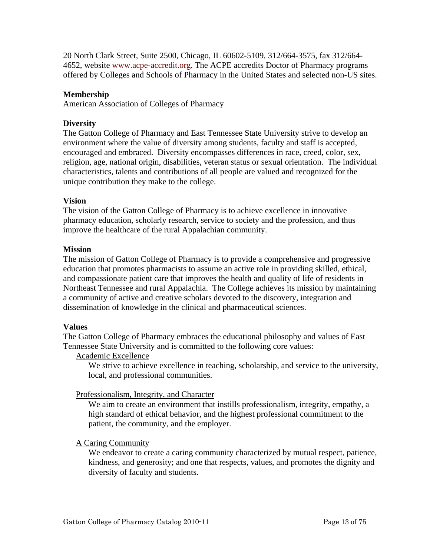<span id="page-12-0"></span>20 North Clark Street, Suite 2500, Chicago, IL 60602-5109, 312/664-3575, fax 312/664- 4652, website [www.acpe-accredit.org.](http://www.acpe-accredit.org/) The ACPE accredits Doctor of Pharmacy programs offered by Colleges and Schools of Pharmacy in the United States and selected non-US sites.

#### **Membership**

American Association of Colleges of Pharmacy

#### **Diversity**

The Gatton College of Pharmacy and East Tennessee State University strive to develop an environment where the value of diversity among students, faculty and staff is accepted, encouraged and embraced. Diversity encompasses differences in race, creed, color, sex, religion, age, national origin, disabilities, veteran status or sexual orientation. The individual characteristics, talents and contributions of all people are valued and recognized for the unique contribution they make to the college.

#### **Vision**

The vision of the Gatton College of Pharmacy is to achieve excellence in innovative pharmacy education, scholarly research, service to society and the profession, and thus improve the healthcare of the rural Appalachian community.

#### **Mission**

The mission of Gatton College of Pharmacy is to provide a comprehensive and progressive education that promotes pharmacists to assume an active role in providing skilled, ethical, and compassionate patient care that improves the health and quality of life of residents in Northeast Tennessee and rural Appalachia. The College achieves its mission by maintaining a community of active and creative scholars devoted to the discovery, integration and dissemination of knowledge in the clinical and pharmaceutical sciences.

#### **Values**

The Gatton College of Pharmacy embraces the educational philosophy and values of East Tennessee State University and is committed to the following core values:

#### Academic Excellence

We strive to achieve excellence in teaching, scholarship, and service to the university, local, and professional communities.

#### Professionalism, Integrity, and Character

We aim to create an environment that instills professionalism, integrity, empathy, a high standard of ethical behavior, and the highest professional commitment to the patient, the community, and the employer.

#### A Caring Community

We endeavor to create a caring community characterized by mutual respect, patience, kindness, and generosity; and one that respects, values, and promotes the dignity and diversity of faculty and students.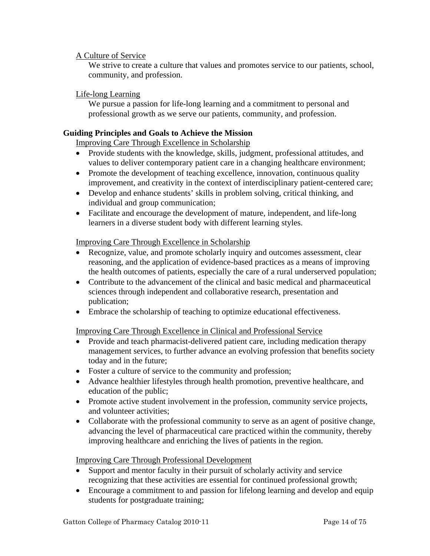#### <span id="page-13-0"></span>A Culture of Service

We strive to create a culture that values and promotes service to our patients, school, community, and profession.

#### Life-long Learning

We pursue a passion for life-long learning and a commitment to personal and professional growth as we serve our patients, community, and profession.

#### **Guiding Principles and Goals to Achieve the Mission**

Improving Care Through Excellence in Scholarship

- Provide students with the knowledge, skills, judgment, professional attitudes, and values to deliver contemporary patient care in a changing healthcare environment;
- Promote the development of teaching excellence, innovation, continuous quality improvement, and creativity in the context of interdisciplinary patient-centered care;
- Develop and enhance students' skills in problem solving, critical thinking, and individual and group communication;
- Facilitate and encourage the development of mature, independent, and life-long learners in a diverse student body with different learning styles.

#### Improving Care Through Excellence in Scholarship

- Recognize, value, and promote scholarly inquiry and outcomes assessment, clear reasoning, and the application of evidence-based practices as a means of improving the health outcomes of patients, especially the care of a rural underserved population;
- Contribute to the advancement of the clinical and basic medical and pharmaceutical sciences through independent and collaborative research, presentation and publication;
- Embrace the scholarship of teaching to optimize educational effectiveness.

Improving Care Through Excellence in Clinical and Professional Service

- Provide and teach pharmacist-delivered patient care, including medication therapy management services, to further advance an evolving profession that benefits society today and in the future;
- Foster a culture of service to the community and profession;
- Advance healthier lifestyles through health promotion, preventive healthcare, and education of the public;
- Promote active student involvement in the profession, community service projects, and volunteer activities;
- Collaborate with the professional community to serve as an agent of positive change, advancing the level of pharmaceutical care practiced within the community, thereby improving healthcare and enriching the lives of patients in the region.

#### Improving Care Through Professional Development

- Support and mentor faculty in their pursuit of scholarly activity and service recognizing that these activities are essential for continued professional growth;
- Encourage a commitment to and passion for lifelong learning and develop and equip students for postgraduate training;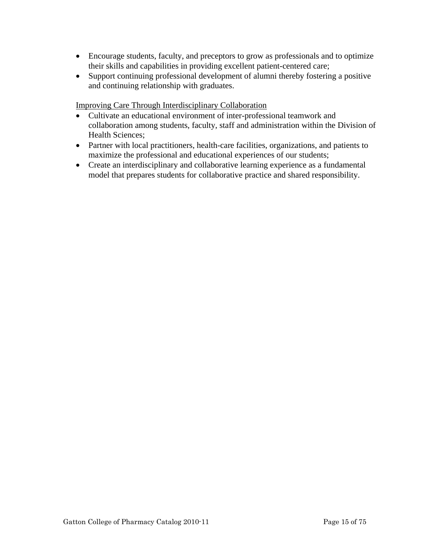- Encourage students, faculty, and preceptors to grow as professionals and to optimize their skills and capabilities in providing excellent patient-centered care;
- Support continuing professional development of alumni thereby fostering a positive and continuing relationship with graduates.

Improving Care Through Interdisciplinary Collaboration

- Cultivate an educational environment of inter-professional teamwork and collaboration among students, faculty, staff and administration within the Division of Health Sciences;
- Partner with local practitioners, health-care facilities, organizations, and patients to maximize the professional and educational experiences of our students;
- Create an interdisciplinary and collaborative learning experience as a fundamental model that prepares students for collaborative practice and shared responsibility.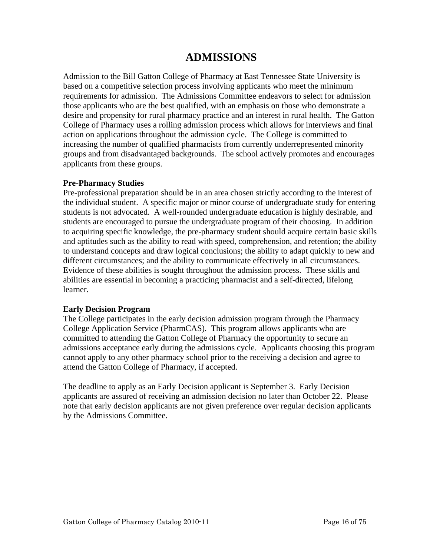## **ADMISSIONS**

Admission to the Bill Gatton College of Pharmacy at East Tennessee State University is based on a competitive selection process involving applicants who meet the minimum requirements for admission. The Admissions Committee endeavors to select for admission those applicants who are the best qualified, with an emphasis on those who demonstrate a desire and propensity for rural pharmacy practice and an interest in rural health. The Gatton College of Pharmacy uses a rolling admission process which allows for interviews and final action on applications throughout the admission cycle. The College is committed to increasing the number of qualified pharmacists from currently underrepresented minority groups and from disadvantaged backgrounds. The school actively promotes and encourages applicants from these groups.

#### **Pre-Pharmacy Studies**

Pre-professional preparation should be in an area chosen strictly according to the interest of the individual student. A specific major or minor course of undergraduate study for entering students is not advocated. A well-rounded undergraduate education is highly desirable, and students are encouraged to pursue the undergraduate program of their choosing. In addition to acquiring specific knowledge, the pre-pharmacy student should acquire certain basic skills and aptitudes such as the ability to read with speed, comprehension, and retention; the ability to understand concepts and draw logical conclusions; the ability to adapt quickly to new and different circumstances; and the ability to communicate effectively in all circumstances. Evidence of these abilities is sought throughout the admission process. These skills and abilities are essential in becoming a practicing pharmacist and a self-directed, lifelong learner.

#### **Early Decision Program**

The College participates in the early decision admission program through the Pharmacy College Application Service (PharmCAS). This program allows applicants who are committed to attending the Gatton College of Pharmacy the opportunity to secure an admissions acceptance early during the admissions cycle. Applicants choosing this program cannot apply to any other pharmacy school prior to the receiving a decision and agree to attend the Gatton College of Pharmacy, if accepted.

The deadline to apply as an Early Decision applicant is September 3. Early Decision applicants are assured of receiving an admission decision no later than October 22. Please note that early decision applicants are not given preference over regular decision applicants by the Admissions Committee.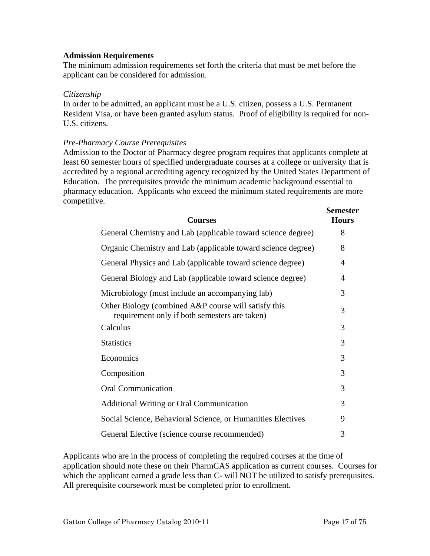#### **Admission Requirements**

The minimum admission requirements set forth the criteria that must be met before the applicant can be considered for admission.

#### *Citizenship*

In order to be admitted, an applicant must be a U.S. citizen, possess a U.S. Permanent Resident Visa, or have been granted asylum status. Proof of eligibility is required for non-U.S. citizens.

#### *Pre-Pharmacy Course Prerequisites*

Admission to the Doctor of Pharmacy degree program requires that applicants complete at least 60 semester hours of specified undergraduate courses at a college or university that is accredited by a regional accrediting agency recognized by the United States Department of Education. The prerequisites provide the minimum academic background essential to pharmacy education. Applicants who exceed the minimum stated requirements are more competitive.

| <b>Courses</b>                                                                                        | DULIUUSUUL<br><b>Hours</b> |
|-------------------------------------------------------------------------------------------------------|----------------------------|
| General Chemistry and Lab (applicable toward science degree)                                          | 8                          |
| Organic Chemistry and Lab (applicable toward science degree)                                          | 8                          |
| General Physics and Lab (applicable toward science degree)                                            | 4                          |
| General Biology and Lab (applicable toward science degree)                                            | 4                          |
| Microbiology (must include an accompanying lab)                                                       | 3                          |
| Other Biology (combined A&P course will satisfy this<br>requirement only if both semesters are taken) | 3                          |
| Calculus                                                                                              | 3                          |
| <b>Statistics</b>                                                                                     | 3                          |
| Economics                                                                                             | 3                          |
| Composition                                                                                           | 3                          |
| <b>Oral Communication</b>                                                                             | 3                          |
| <b>Additional Writing or Oral Communication</b>                                                       | 3                          |
| Social Science, Behavioral Science, or Humanities Electives                                           | 9                          |
| General Elective (science course recommended)                                                         | 3                          |

Applicants who are in the process of completing the required courses at the time of application should note these on their PharmCAS application as current courses. Courses for which the applicant earned a grade less than C- will NOT be utilized to satisfy prerequisites. All prerequisite coursework must be completed prior to enrollment.

**Semester**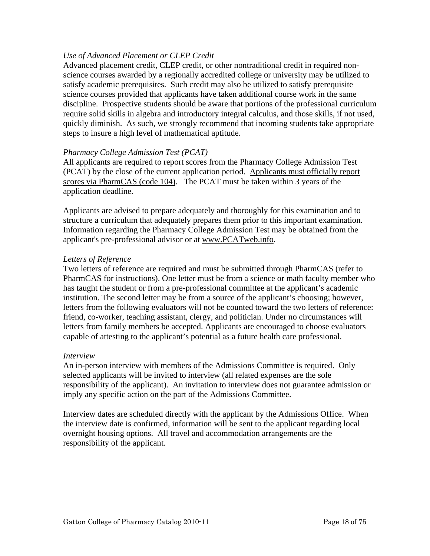#### *Use of Advanced Placement or CLEP Credit*

Advanced placement credit, CLEP credit, or other nontraditional credit in required nonscience courses awarded by a regionally accredited college or university may be utilized to satisfy academic prerequisites. Such credit may also be utilized to satisfy prerequisite science courses provided that applicants have taken additional course work in the same discipline. Prospective students should be aware that portions of the professional curriculum require solid skills in algebra and introductory integral calculus, and those skills, if not used, quickly diminish. As such, we strongly recommend that incoming students take appropriate steps to insure a high level of mathematical aptitude.

#### *Pharmacy College Admission Test (PCAT)*

All applicants are required to report scores from the Pharmacy College Admission Test (PCAT) by the close of the current application period. Applicants must officially report scores via PharmCAS (code 104). The PCAT must be taken within 3 years of the application deadline.

Applicants are advised to prepare adequately and thoroughly for this examination and to structure a curriculum that adequately prepares them prior to this important examination. Information regarding the Pharmacy College Admission Test may be obtained from the applicant's pre-professional advisor or at www.PCATweb.info.

#### *Letters of Reference*

Two letters of reference are required and must be submitted through PharmCAS (refer to PharmCAS for instructions). One letter must be from a science or math faculty member who has taught the student or from a pre-professional committee at the applicant's academic institution. The second letter may be from a source of the applicant's choosing; however, letters from the following evaluators will not be counted toward the two letters of reference: friend, co-worker, teaching assistant, clergy, and politician. Under no circumstances will letters from family members be accepted. Applicants are encouraged to choose evaluators capable of attesting to the applicant's potential as a future health care professional.

#### *Interview*

An in-person interview with members of the Admissions Committee is required. Only selected applicants will be invited to interview (all related expenses are the sole responsibility of the applicant). An invitation to interview does not guarantee admission or imply any specific action on the part of the Admissions Committee.

Interview dates are scheduled directly with the applicant by the Admissions Office. When the interview date is confirmed, information will be sent to the applicant regarding local overnight housing options. All travel and accommodation arrangements are the responsibility of the applicant.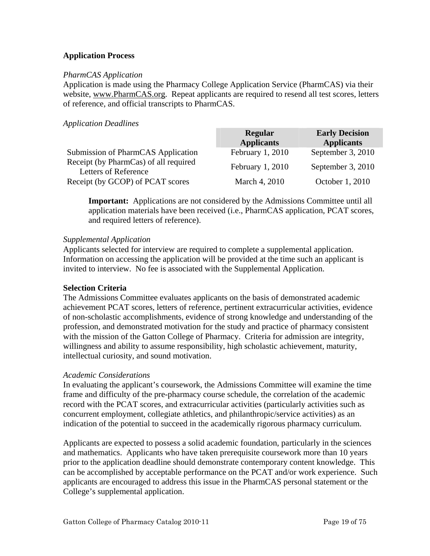#### **Application Process**

#### *PharmCAS Application*

Application is made using the Pharmacy College Application Service (PharmCAS) via their website, www.PharmCAS.org. Repeat applicants are required to resend all test scores, letters of reference, and official transcripts to PharmCAS.

#### *Application Deadlines*

|                                                               | Regular           | <b>Early Decision</b> |
|---------------------------------------------------------------|-------------------|-----------------------|
|                                                               | <b>Applicants</b> | <b>Applicants</b>     |
| Submission of PharmCAS Application                            | February 1, 2010  | September 3, 2010     |
| Receipt (by PharmCas) of all required<br>Letters of Reference | February $1,2010$ | September 3, 2010     |
| Receipt (by GCOP) of PCAT scores                              | March 4, 2010     | October 1, 2010       |

**Important:** Applications are not considered by the Admissions Committee until all application materials have been received (i.e., PharmCAS application, PCAT scores, and required letters of reference).

#### *Supplemental Application*

Applicants selected for interview are required to complete a supplemental application. Information on accessing the application will be provided at the time such an applicant is invited to interview. No fee is associated with the Supplemental Application.

#### **Selection Criteria**

The Admissions Committee evaluates applicants on the basis of demonstrated academic achievement PCAT scores, letters of reference, pertinent extracurricular activities, evidence of non-scholastic accomplishments, evidence of strong knowledge and understanding of the profession, and demonstrated motivation for the study and practice of pharmacy consistent with the mission of the Gatton College of Pharmacy. Criteria for admission are integrity, willingness and ability to assume responsibility, high scholastic achievement, maturity, intellectual curiosity, and sound motivation.

#### *Academic Considerations*

In evaluating the applicant's coursework, the Admissions Committee will examine the time frame and difficulty of the pre-pharmacy course schedule, the correlation of the academic record with the PCAT scores, and extracurricular activities (particularly activities such as concurrent employment, collegiate athletics, and philanthropic/service activities) as an indication of the potential to succeed in the academically rigorous pharmacy curriculum.

Applicants are expected to possess a solid academic foundation, particularly in the sciences and mathematics. Applicants who have taken prerequisite coursework more than 10 years prior to the application deadline should demonstrate contemporary content knowledge. This can be accomplished by acceptable performance on the PCAT and/or work experience. Such applicants are encouraged to address this issue in the PharmCAS personal statement or the College's supplemental application.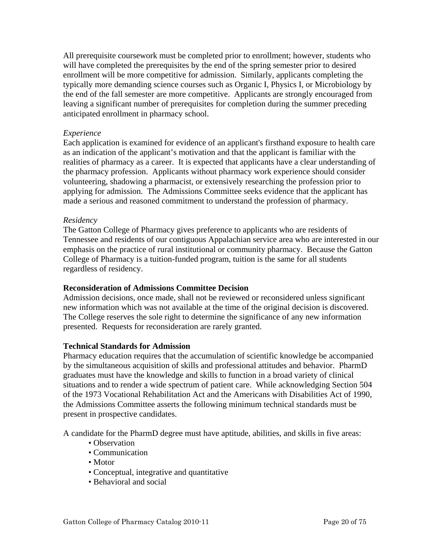<span id="page-19-0"></span>All prerequisite coursework must be completed prior to enrollment; however, students who will have completed the prerequisites by the end of the spring semester prior to desired enrollment will be more competitive for admission. Similarly, applicants completing the typically more demanding science courses such as Organic I, Physics I, or Microbiology by the end of the fall semester are more competitive. Applicants are strongly encouraged from leaving a significant number of prerequisites for completion during the summer preceding anticipated enrollment in pharmacy school.

#### *Experience*

Each application is examined for evidence of an applicant's firsthand exposure to health care as an indication of the applicant's motivation and that the applicant is familiar with the realities of pharmacy as a career. It is expected that applicants have a clear understanding of the pharmacy profession. Applicants without pharmacy work experience should consider volunteering, shadowing a pharmacist, or extensively researching the profession prior to applying for admission. The Admissions Committee seeks evidence that the applicant has made a serious and reasoned commitment to understand the profession of pharmacy.

#### *Residency*

The Gatton College of Pharmacy gives preference to applicants who are residents of Tennessee and residents of our contiguous Appalachian service area who are interested in our emphasis on the practice of rural institutional or community pharmacy. Because the Gatton College of Pharmacy is a tuition-funded program, tuition is the same for all students regardless of residency.

#### **Reconsideration of Admissions Committee Decision**

Admission decisions, once made, shall not be reviewed or reconsidered unless significant new information which was not available at the time of the original decision is discovered. The College reserves the sole right to determine the significance of any new information presented. Requests for reconsideration are rarely granted.

#### **Technical Standards for Admission**

Pharmacy education requires that the accumulation of scientific knowledge be accompanied by the simultaneous acquisition of skills and professional attitudes and behavior. PharmD graduates must have the knowledge and skills to function in a broad variety of clinical situations and to render a wide spectrum of patient care. While acknowledging Section 504 of the 1973 Vocational Rehabilitation Act and the Americans with Disabilities Act of 1990, the Admissions Committee asserts the following minimum technical standards must be present in prospective candidates.

A candidate for the PharmD degree must have aptitude, abilities, and skills in five areas:

- Observation
- Communication
- Motor
- Conceptual, integrative and quantitative
- Behavioral and social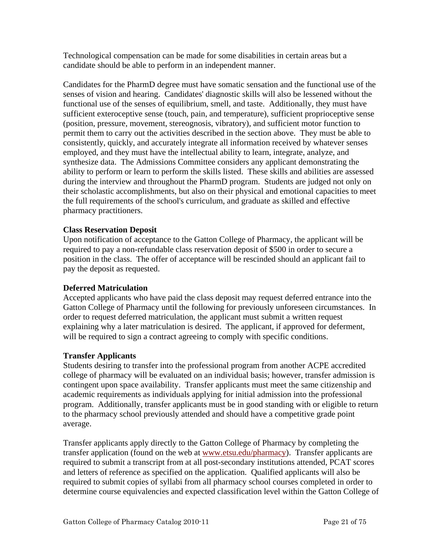Technological compensation can be made for some disabilities in certain areas but a candidate should be able to perform in an independent manner.

Candidates for the PharmD degree must have somatic sensation and the functional use of the senses of vision and hearing. Candidates' diagnostic skills will also be lessened without the functional use of the senses of equilibrium, smell, and taste. Additionally, they must have sufficient exteroceptive sense (touch, pain, and temperature), sufficient proprioceptive sense (position, pressure, movement, stereognosis, vibratory), and sufficient motor function to permit them to carry out the activities described in the section above. They must be able to consistently, quickly, and accurately integrate all information received by whatever senses employed, and they must have the intellectual ability to learn, integrate, analyze, and synthesize data. The Admissions Committee considers any applicant demonstrating the ability to perform or learn to perform the skills listed. These skills and abilities are assessed during the interview and throughout the PharmD program. Students are judged not only on their scholastic accomplishments, but also on their physical and emotional capacities to meet the full requirements of the school's curriculum, and graduate as skilled and effective pharmacy practitioners.

#### **Class Reservation Deposit**

Upon notification of acceptance to the Gatton College of Pharmacy, the applicant will be required to pay a non-refundable class reservation deposit of \$500 in order to secure a position in the class. The offer of acceptance will be rescinded should an applicant fail to pay the deposit as requested.

#### **Deferred Matriculation**

Accepted applicants who have paid the class deposit may request deferred entrance into the Gatton College of Pharmacy until the following for previously unforeseen circumstances. In order to request deferred matriculation, the applicant must submit a written request explaining why a later matriculation is desired. The applicant, if approved for deferment, will be required to sign a contract agreeing to comply with specific conditions.

#### **Transfer Applicants**

Students desiring to transfer into the professional program from another ACPE accredited college of pharmacy will be evaluated on an individual basis; however, transfer admission is contingent upon space availability. Transfer applicants must meet the same citizenship and academic requirements as individuals applying for initial admission into the professional program. Additionally, transfer applicants must be in good standing with or eligible to return to the pharmacy school previously attended and should have a competitive grade point average.

Transfer applicants apply directly to the Gatton College of Pharmacy by completing the transfer application (found on the web at [www.etsu.edu/pharmacy](http://www.etsu.edu/pharmacy)). Transfer applicants are required to submit a transcript from at all post-secondary institutions attended, PCAT scores and letters of reference as specified on the application. Qualified applicants will also be required to submit copies of syllabi from all pharmacy school courses completed in order to determine course equivalencies and expected classification level within the Gatton College of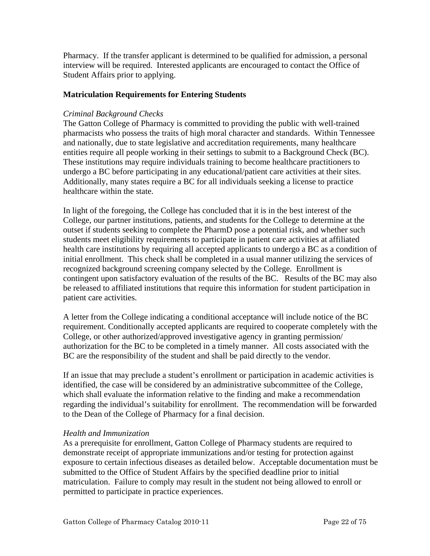<span id="page-21-0"></span>Pharmacy. If the transfer applicant is determined to be qualified for admission, a personal interview will be required. Interested applicants are encouraged to contact the Office of Student Affairs prior to applying.

#### **Matriculation Requirements for Entering Students**

#### *Criminal Background Checks*

The Gatton College of Pharmacy is committed to providing the public with well-trained pharmacists who possess the traits of high moral character and standards. Within Tennessee and nationally, due to state legislative and accreditation requirements, many healthcare entities require all people working in their settings to submit to a Background Check (BC). These institutions may require individuals training to become healthcare practitioners to undergo a BC before participating in any educational/patient care activities at their sites. Additionally, many states require a BC for all individuals seeking a license to practice healthcare within the state.

In light of the foregoing, the College has concluded that it is in the best interest of the College, our partner institutions, patients, and students for the College to determine at the outset if students seeking to complete the PharmD pose a potential risk, and whether such students meet eligibility requirements to participate in patient care activities at affiliated health care institutions by requiring all accepted applicants to undergo a BC as a condition of initial enrollment. This check shall be completed in a usual manner utilizing the services of recognized background screening company selected by the College. Enrollment is contingent upon satisfactory evaluation of the results of the BC. Results of the BC may also be released to affiliated institutions that require this information for student participation in patient care activities.

A letter from the College indicating a conditional acceptance will include notice of the BC requirement. Conditionally accepted applicants are required to cooperate completely with the College, or other authorized/approved investigative agency in granting permission/ authorization for the BC to be completed in a timely manner. All costs associated with the BC are the responsibility of the student and shall be paid directly to the vendor.

If an issue that may preclude a student's enrollment or participation in academic activities is identified, the case will be considered by an administrative subcommittee of the College, which shall evaluate the information relative to the finding and make a recommendation regarding the individual's suitability for enrollment. The recommendation will be forwarded to the Dean of the College of Pharmacy for a final decision.

#### *Health and Immunization*

As a prerequisite for enrollment, Gatton College of Pharmacy students are required to demonstrate receipt of appropriate immunizations and/or testing for protection against exposure to certain infectious diseases as detailed below. Acceptable documentation must be submitted to the Office of Student Affairs by the specified deadline prior to initial matriculation. Failure to comply may result in the student not being allowed to enroll or permitted to participate in practice experiences.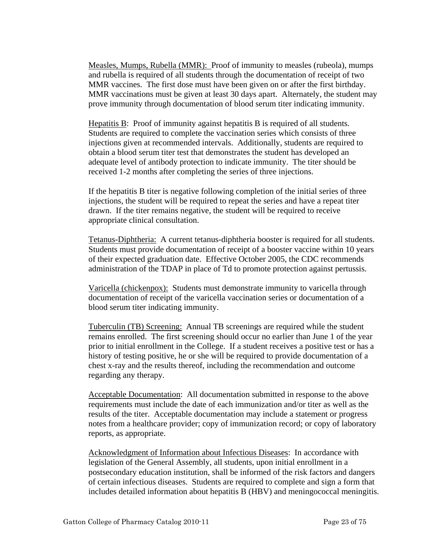Measles, Mumps, Rubella (MMR): Proof of immunity to measles (rubeola), mumps and rubella is required of all students through the documentation of receipt of two MMR vaccines. The first dose must have been given on or after the first birthday. MMR vaccinations must be given at least 30 days apart. Alternately, the student may prove immunity through documentation of blood serum titer indicating immunity.

Hepatitis B: Proof of immunity against hepatitis B is required of all students. Students are required to complete the vaccination series which consists of three injections given at recommended intervals. Additionally, students are required to obtain a blood serum titer test that demonstrates the student has developed an adequate level of antibody protection to indicate immunity. The titer should be received 1-2 months after completing the series of three injections.

If the hepatitis B titer is negative following completion of the initial series of three injections, the student will be required to repeat the series and have a repeat titer drawn. If the titer remains negative, the student will be required to receive appropriate clinical consultation.

Tetanus-Diphtheria: A current tetanus-diphtheria booster is required for all students. Students must provide documentation of receipt of a booster vaccine within 10 years of their expected graduation date. Effective October 2005, the CDC recommends administration of the TDAP in place of Td to promote protection against pertussis.

Varicella (chickenpox): Students must demonstrate immunity to varicella through documentation of receipt of the varicella vaccination series or documentation of a blood serum titer indicating immunity.

Tuberculin (TB) Screening: Annual TB screenings are required while the student remains enrolled. The first screening should occur no earlier than June 1 of the year prior to initial enrollment in the College. If a student receives a positive test or has a history of testing positive, he or she will be required to provide documentation of a chest x-ray and the results thereof, including the recommendation and outcome regarding any therapy.

Acceptable Documentation: All documentation submitted in response to the above requirements must include the date of each immunization and/or titer as well as the results of the titer. Acceptable documentation may include a statement or progress notes from a healthcare provider; copy of immunization record; or copy of laboratory reports, as appropriate.

Acknowledgment of Information about Infectious Diseases: In accordance with legislation of the General Assembly, all students, upon initial enrollment in a postsecondary education institution, shall be informed of the risk factors and dangers of certain infectious diseases. Students are required to complete and sign a form that includes detailed information about hepatitis B (HBV) and meningococcal meningitis.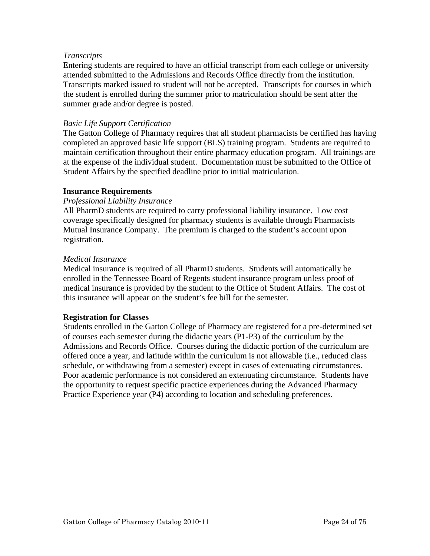#### <span id="page-23-0"></span>*Transcripts*

Entering students are required to have an official transcript from each college or university attended submitted to the Admissions and Records Office directly from the institution. Transcripts marked issued to student will not be accepted. Transcripts for courses in which the student is enrolled during the summer prior to matriculation should be sent after the summer grade and/or degree is posted.

#### *Basic Life Support Certification*

The Gatton College of Pharmacy requires that all student pharmacists be certified has having completed an approved basic life support (BLS) training program. Students are required to maintain certification throughout their entire pharmacy education program. All trainings are at the expense of the individual student. Documentation must be submitted to the Office of Student Affairs by the specified deadline prior to initial matriculation.

#### **Insurance Requirements**

#### *Professional Liability Insurance*

All PharmD students are required to carry professional liability insurance. Low cost coverage specifically designed for pharmacy students is available through Pharmacists Mutual Insurance Company. The premium is charged to the student's account upon registration.

#### *Medical Insurance*

Medical insurance is required of all PharmD students. Students will automatically be enrolled in the Tennessee Board of Regents student insurance program unless proof of medical insurance is provided by the student to the Office of Student Affairs. The cost of this insurance will appear on the student's fee bill for the semester.

#### **Registration for Classes**

Students enrolled in the Gatton College of Pharmacy are registered for a pre-determined set of courses each semester during the didactic years (P1-P3) of the curriculum by the Admissions and Records Office. Courses during the didactic portion of the curriculum are offered once a year, and latitude within the curriculum is not allowable (i.e., reduced class schedule, or withdrawing from a semester) except in cases of extenuating circumstances. Poor academic performance is not considered an extenuating circumstance. Students have the opportunity to request specific practice experiences during the Advanced Pharmacy Practice Experience year (P4) according to location and scheduling preferences.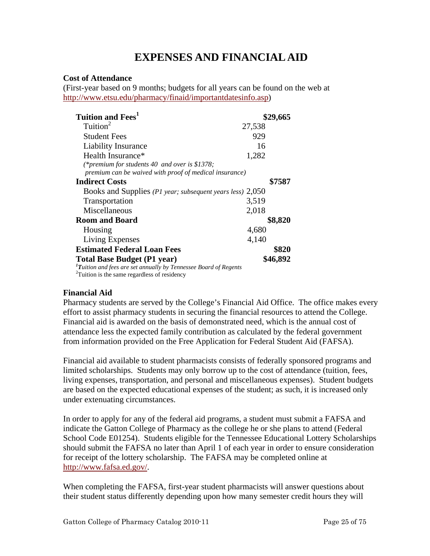## **EXPENSES AND FINANCIAL AID**

#### <span id="page-24-0"></span>**Cost of Attendance**

(First-year based on 9 months; budgets for all years can be found on the web at <http://www.etsu.edu/pharmacy/finaid/importantdatesinfo.asp>)

| Tuition and Fees <sup>1</sup>                                            | \$29,665 |
|--------------------------------------------------------------------------|----------|
| Tuition <sup>2</sup>                                                     | 27,538   |
| <b>Student Fees</b>                                                      | 929      |
| <b>Liability Insurance</b>                                               | 16       |
| Health Insurance*                                                        | 1,282    |
| (*premium for students 40 and over is \$1378;                            |          |
| premium can be waived with proof of medical insurance)                   |          |
| <b>Indirect Costs</b>                                                    | \$7587   |
| Books and Supplies (P1 year; subsequent years less) 2,050                |          |
| <b>Transportation</b>                                                    | 3,519    |
| Miscellaneous                                                            | 2,018    |
| <b>Room and Board</b>                                                    | \$8,820  |
| Housing                                                                  | 4,680    |
| Living Expenses                                                          | 4,140    |
| <b>Estimated Federal Loan Fees</b>                                       | \$820    |
| <b>Total Base Budget (P1 year)</b>                                       | \$46,892 |
| ${}^{1}$ Tuition and fees are set annually by Tennessee Board of Regents |          |

*<sup>T</sup>uition and fees are set annually by Tennessee Board of Regents* <sup>2</sup> Tuition is the same regardless of residency

#### **Financial Aid**

Pharmacy students are served by the College's Financial Aid Office. The office makes every effort to assist pharmacy students in securing the financial resources to attend the College. Financial aid is awarded on the basis of demonstrated need, which is the annual cost of attendance less the expected family contribution as calculated by the federal government from information provided on the Free Application for Federal Student Aid (FAFSA).

Financial aid available to student pharmacists consists of federally sponsored programs and limited scholarships. Students may only borrow up to the cost of attendance (tuition, fees, living expenses, transportation, and personal and miscellaneous expenses). Student budgets are based on the expected educational expenses of the student; as such, it is increased only under extenuating circumstances.

In order to apply for any of the federal aid programs, a student must submit a FAFSA and indicate the Gatton College of Pharmacy as the college he or she plans to attend (Federal School Code E01254). Students eligible for the Tennessee Educational Lottery Scholarships should submit the FAFSA no later than April 1 of each year in order to ensure consideration for receipt of the lottery scholarship. The FAFSA may be completed online at [http://www.fafsa.ed.gov/.](http://www.fafsa.ed.gov/)

When completing the FAFSA, first-year student pharmacists will answer questions about their student status differently depending upon how many semester credit hours they will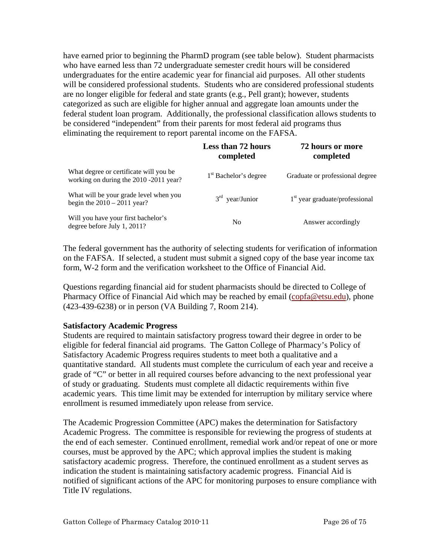<span id="page-25-0"></span>have earned prior to beginning the PharmD program (see table below). Student pharmacists who have earned less than 72 undergraduate semester credit hours will be considered undergraduates for the entire academic year for financial aid purposes. All other students will be considered professional students. Students who are considered professional students are no longer eligible for federal and state grants (e.g., Pell grant); however, students categorized as such are eligible for higher annual and aggregate loan amounts under the federal student loan program. Additionally, the professional classification allows students to be considered "independent" from their parents for most federal aid programs thus eliminating the requirement to report parental income on the FAFSA.

|                                                                                  | <b>Less than 72 hours</b><br>completed | 72 hours or more<br>completed    |
|----------------------------------------------------------------------------------|----------------------------------------|----------------------------------|
| What degree or certificate will you be<br>working on during the 2010 -2011 year? | 1 <sup>st</sup> Bachelor's degree      | Graduate or professional degree  |
| What will be your grade level when you<br>begin the $2010 - 2011$ year?          | $3rd$ year/Junior                      | $1st$ year graduate/professional |
| Will you have your first bachelor's<br>degree before July 1, 2011?               | N <sub>0</sub>                         | Answer accordingly               |

The federal government has the authority of selecting students for verification of information on the FAFSA. If selected, a student must submit a signed copy of the base year income tax form, W-2 form and the verification worksheet to the Office of Financial Aid.

Questions regarding financial aid for student pharmacists should be directed to College of Pharmacy Office of Financial Aid which may be reached by email (copfa@etsu.edu), phone (423-439-6238) or in person (VA Building 7, Room 214).

#### **Satisfactory Academic Progress**

Students are required to maintain satisfactory progress toward their degree in order to be eligible for federal financial aid programs. The Gatton College of Pharmacy's Policy of Satisfactory Academic Progress requires students to meet both a qualitative and a quantitative standard. All students must complete the curriculum of each year and receive a grade of "C" or better in all required courses before advancing to the next professional year of study or graduating. Students must complete all didactic requirements within five academic years. This time limit may be extended for interruption by military service where enrollment is resumed immediately upon release from service.

The Academic Progression Committee (APC) makes the determination for Satisfactory Academic Progress. The committee is responsible for reviewing the progress of students at the end of each semester. Continued enrollment, remedial work and/or repeat of one or more courses, must be approved by the APC; which approval implies the student is making satisfactory academic progress. Therefore, the continued enrollment as a student serves as indication the student is maintaining satisfactory academic progress. Financial Aid is notified of significant actions of the APC for monitoring purposes to ensure compliance with Title IV regulations.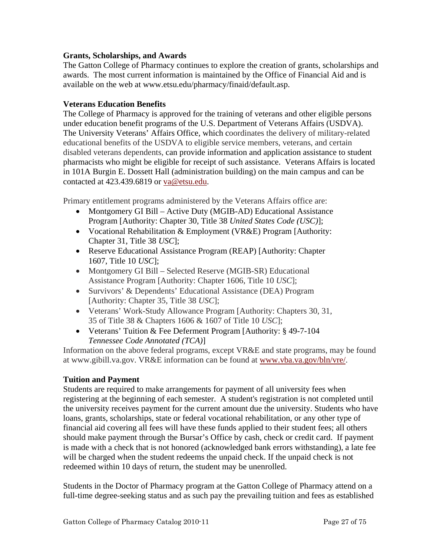#### <span id="page-26-0"></span>**Grants, Scholarships, and Awards**

The Gatton College of Pharmacy continues to explore the creation of grants, scholarships and awards. The most current information is maintained by the Office of Financial Aid and is available on the web at www.etsu.edu/pharmacy/finaid/default.asp.

#### **Veterans Education Benefits**

The College of Pharmacy is approved for the training of veterans and other eligible persons under education benefit programs of the U.S. Department of Veterans Affairs (USDVA). The University Veterans' Affairs Office, which coordinates the delivery of military-related educational benefits of the USDVA to eligible service members, veterans, and certain disabled veterans dependents, can provide information and application assistance to student pharmacists who might be eligible for receipt of such assistance. Veterans Affairs is located in 101A Burgin E. Dossett Hall (administration building) on the main campus and can be contacted at 423.439.6819 or va@etsu.edu.

Primary entitlement programs administered by the Veterans Affairs office are:

- Montgomery GI Bill Active Duty (MGIB-AD) Educational Assistance Program [Authority: Chapter 30, Title 38 *United States Code (USC)*];
- Vocational Rehabilitation & Employment (VR&E) Program [Authority: Chapter 31, Title 38 *USC*];
- Reserve Educational Assistance Program (REAP) [Authority: Chapter 1607, Title 10 *USC*];
- Montgomery GI Bill Selected Reserve (MGIB-SR) Educational Assistance Program [Authority: Chapter 1606, Title 10 *USC*];
- Survivors' & Dependents' Educational Assistance (DEA) Program [Authority: Chapter 35, Title 38 *USC*];
- Veterans' Work-Study Allowance Program [Authority: Chapters 30, 31, 35 of Title 38 & Chapters 1606 & 1607 of Title 10 *USC*];
- Veterans' Tuition & Fee Deferment Program [Authority: § 49-7-104] *Tennessee Code Annotated (TCA)*]

Information on the above federal programs, except VR&E and state programs, may be found at www.gibill.va.gov. VR&E information can be found at [www.vba.va.gov/bln/vre/](http://www.vba.va.gov/bln/vre/).

#### **Tuition and Payment**

Students are required to make arrangements for payment of all university fees when registering at the beginning of each semester. A student's registration is not completed until the university receives payment for the current amount due the university. Students who have loans, grants, scholarships, state or federal vocational rehabilitation, or any other type of financial aid covering all fees will have these funds applied to their student fees; all others should make payment through the Bursar's Office by cash, check or credit card. If payment is made with a check that is not honored (acknowledged bank errors withstanding), a late fee will be charged when the student redeems the unpaid check. If the unpaid check is not redeemed within 10 days of return, the student may be unenrolled.

Students in the Doctor of Pharmacy program at the Gatton College of Pharmacy attend on a full-time degree-seeking status and as such pay the prevailing tuition and fees as established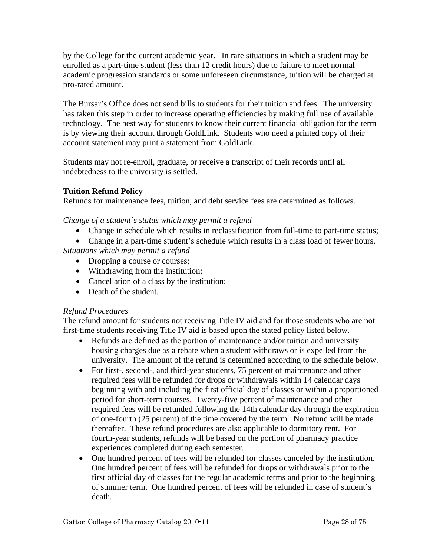<span id="page-27-0"></span>by the College for the current academic year. In rare situations in which a student may be enrolled as a part-time student (less than 12 credit hours) due to failure to meet normal academic progression standards or some unforeseen circumstance, tuition will be charged at pro-rated amount.

The Bursar's Office does not send bills to students for their [tuition and fees.](http://www.etsu.edu/comptrol/bursar_tuition_and_fees.htm) The university has taken this step in order to increase operating efficiencies by making full use of available technology. The best way for students to know their current financial obligation for the term is by viewing their account through [GoldLink](https://goldlink.etsu.edu/ahomepg.htm). Students who need a printed copy of their account statement may print a statement from [GoldLink.](https://goldlink.etsu.edu/ahomepg.htm)

Students may not re-enroll, graduate, or receive a transcript of their records until all indebtedness to the university is settled.

#### **Tuition Refund Policy**

Refunds for maintenance fees, tuition, and debt service fees are determined as follows.

*Change of a student's status which may permit a refund* 

• Change in schedule which results in reclassification from full-time to part-time status;

• Change in a part-time student's schedule which results in a class load of fewer hours.

*Situations which may permit a refund* 

- Dropping a course or courses;
- Withdrawing from the institution;
- Cancellation of a class by the institution;
- Death of the student.

#### *Refund Procedures*

The refund amount for students not receiving Title IV aid and for those students who are not first-time students receiving Title IV aid is based upon the stated policy listed below.

- Refunds are defined as the portion of maintenance and/or tuition and university housing charges due as a rebate when a student withdraws or is expelled from the university. The amount of the refund is determined according to the schedule below.
- For first-, second-, and third-year students, 75 percent of maintenance and other required fees will be refunded for drops or withdrawals within 14 calendar days beginning with and including the first official day of classes or within a proportioned period for short-term courses. Twenty-five percent of maintenance and other required fees will be refunded following the 14th calendar day through the expiration of one-fourth (25 percent) of the time covered by the term. No refund will be made thereafter. These refund procedures are also applicable to dormitory rent. For fourth-year students, refunds will be based on the portion of pharmacy practice experiences completed during each semester.
- One hundred percent of fees will be refunded for classes canceled by the institution. One hundred percent of fees will be refunded for drops or withdrawals prior to the first official day of classes for the regular academic terms and prior to the beginning of summer term. One hundred percent of fees will be refunded in case of student's death.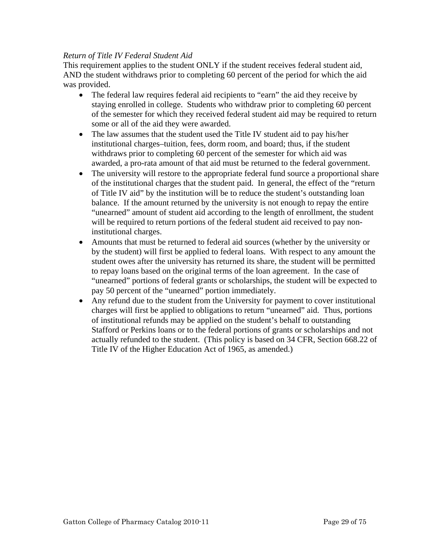#### *Return of Title IV Federal Student Aid*

This requirement applies to the student ONLY if the student receives federal student aid, AND the student withdraws prior to completing 60 percent of the period for which the aid was provided.

- The federal law requires federal aid recipients to "earn" the aid they receive by staying enrolled in college. Students who withdraw prior to completing 60 percent of the semester for which they received federal student aid may be required to return some or all of the aid they were awarded.
- The law assumes that the student used the Title IV student aid to pay his/her institutional charges–tuition, fees, dorm room, and board; thus, if the student withdraws prior to completing 60 percent of the semester for which aid was awarded, a pro-rata amount of that aid must be returned to the federal government.
- The university will restore to the appropriate federal fund source a proportional share of the institutional charges that the student paid. In general, the effect of the "return of Title IV aid" by the institution will be to reduce the student's outstanding loan balance. If the amount returned by the university is not enough to repay the entire "unearned" amount of student aid according to the length of enrollment, the student will be required to return portions of the federal student aid received to pay noninstitutional charges.
- Amounts that must be returned to federal aid sources (whether by the university or by the student) will first be applied to federal loans. With respect to any amount the student owes after the university has returned its share, the student will be permitted to repay loans based on the original terms of the loan agreement. In the case of "unearned" portions of federal grants or scholarships, the student will be expected to pay 50 percent of the "unearned" portion immediately.
- Any refund due to the student from the University for payment to cover institutional charges will first be applied to obligations to return "unearned" aid. Thus, portions of institutional refunds may be applied on the student's behalf to outstanding Stafford or Perkins loans or to the federal portions of grants or scholarships and not actually refunded to the student. (This policy is based on 34 CFR, Section 668.22 of Title IV of the Higher Education Act of 1965, as amended.)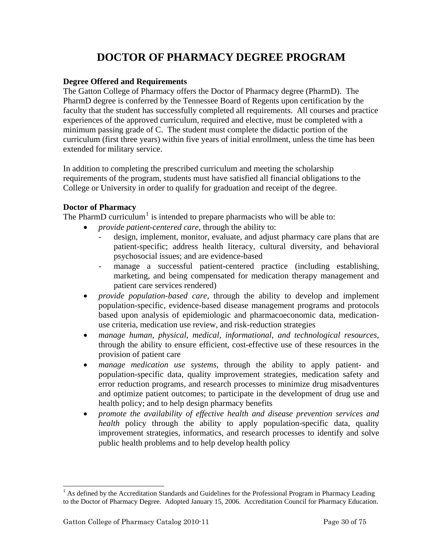## **DOCTOR OF PHARMACY DEGREE PROGRAM**

#### <span id="page-29-0"></span>**Degree Offered and Requirements**

The Gatton College of Pharmacy offers the Doctor of Pharmacy degree (PharmD). The PharmD degree is conferred by the Tennessee Board of Regents upon certification by the faculty that the student has successfully completed all requirements. All courses and practice experiences of the approved curriculum, required and elective, must be completed with a minimum passing grade of C. The student must complete the didactic portion of the curriculum (first three years) within five years of initial enrollment, unless the time has been extended for military service.

In addition to completing the prescribed curriculum and meeting the scholarship requirements of the program, students must have satisfied all financial obligations to the College or University in order to qualify for graduation and receipt of the degree.

#### **Doctor of Pharmacy**

The PharmD curriculum<sup>[1](#page-29-1)</sup> is intended to prepare pharmacists who will be able to:

- *provide patient-centered care*, through the ability to:
	- design, implement, monitor, evaluate, and adjust pharmacy care plans that are patient-specific; address health literacy, cultural diversity, and behavioral psychosocial issues; and are evidence-based
	- manage a successful patient-centered practice (including establishing, marketing, and being compensated for medication therapy management and patient care services rendered)
- *provide population-based care,* through the ability to develop and implement population-specific, evidence-based disease management programs and protocols based upon analysis of epidemiologic and pharmacoeconomic data, medicationuse criteria, medication use review, and risk-reduction strategies
- *manage human, physical, medical, informational, and technological resources,*  through the ability to ensure efficient, cost-effective use of these resources in the provision of patient care
- *manage medication use systems,* through the ability to apply patient- and population-specific data, quality improvement strategies, medication safety and error reduction programs, and research processes to minimize drug misadventures and optimize patient outcomes; to participate in the development of drug use and health policy; and to help design pharmacy benefits
- *promote the availability of effective health and disease prevention services and health* policy through the ability to apply population-specific data, quality improvement strategies, informatics, and research processes to identify and solve public health problems and to help develop health policy

l

<span id="page-29-1"></span><sup>&</sup>lt;sup>1</sup> As defined by the Accreditation Standards and Guidelines for the Professional Program in Pharmacy Leading to the Doctor of Pharmacy Degree. Adopted January 15, 2006. Accreditation Council for Pharmacy Education.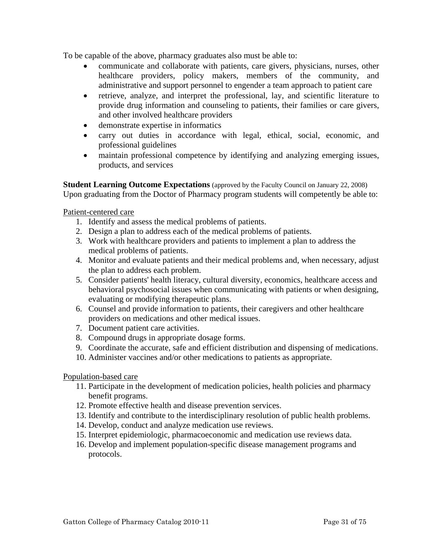<span id="page-30-0"></span>To be capable of the above, pharmacy graduates also must be able to:

- communicate and collaborate with patients, care givers, physicians, nurses, other healthcare providers, policy makers, members of the community, and administrative and support personnel to engender a team approach to patient care
- retrieve, analyze, and interpret the professional, lay, and scientific literature to provide drug information and counseling to patients, their families or care givers, and other involved healthcare providers
- demonstrate expertise in informatics
- carry out duties in accordance with legal, ethical, social, economic, and professional guidelines
- maintain professional competence by identifying and analyzing emerging issues, products, and services

**Student Learning Outcome Expectations** (approved by the Faculty Council on January 22, 2008) Upon graduating from the Doctor of Pharmacy program students will competently be able to:

Patient-centered care

- 1. Identify and assess the medical problems of patients.
- 2. Design a plan to address each of the medical problems of patients.
- 3. Work with healthcare providers and patients to implement a plan to address the medical problems of patients.
- 4. Monitor and evaluate patients and their medical problems and, when necessary, adjust the plan to address each problem.
- 5. Consider patients' health literacy, cultural diversity, economics, healthcare access and behavioral psychosocial issues when communicating with patients or when designing, evaluating or modifying therapeutic plans.
- 6. Counsel and provide information to patients, their caregivers and other healthcare providers on medications and other medical issues.
- 7. Document patient care activities.
- 8. Compound drugs in appropriate dosage forms.
- 9. Coordinate the accurate, safe and efficient distribution and dispensing of medications.
- 10. Administer vaccines and/or other medications to patients as appropriate.

#### Population-based care

- 11. Participate in the development of medication policies, health policies and pharmacy benefit programs.
- 12. Promote effective health and disease prevention services.
- 13. Identify and contribute to the interdisciplinary resolution of public health problems.
- 14. Develop, conduct and analyze medication use reviews.
- 15. Interpret epidemiologic, pharmacoeconomic and medication use reviews data.
- 16. Develop and implement population-specific disease management programs and protocols.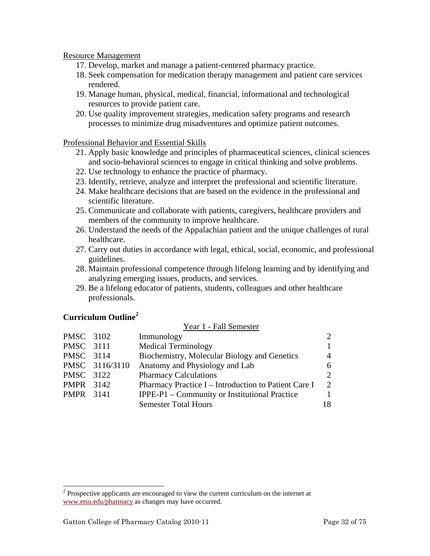#### <span id="page-31-0"></span>Resource Management

- 17. Develop, market and manage a patient-centered pharmacy practice.
- 18. Seek compensation for medication therapy management and patient care services rendered.
- 19. Manage human, physical, medical, financial, informational and technological resources to provide patient care.
- 20. Use quality improvement strategies, medication safety programs and research processes to minimize drug misadventures and optimize patient outcomes.

#### Professional Behavior and Essential Skills

- 21. Apply basic knowledge and principles of pharmaceutical sciences, clinical sciences and socio-behavioral sciences to engage in critical thinking and solve problems.
- 22. Use technology to enhance the practice of pharmacy.
- 23. Identify, retrieve, analyze and interpret the professional and scientific literature.
- 24. Make healthcare decisions that are based on the evidence in the professional and scientific literature.
- 25. Communicate and collaborate with patients, caregivers, healthcare providers and members of the community to improve healthcare.
- 26. Understand the needs of the Appalachian patient and the unique challenges of rural healthcare.
- 27. Carry out duties in accordance with legal, ethical, social, economic, and professional guidelines.
- 28. Maintain professional competence through lifelong learning and by identifying and analyzing emerging issues, products, and services.

 $V_{\text{corr}}$  1  $E_0$ ll Semester

29. Be a lifelong educator of patients, students, colleagues and other healthcare professionals.

#### **Curriculum Outline[2](#page-31-1)**

l

|                  |                | TVAL I - I AII DUIINSIUI                             |                             |
|------------------|----------------|------------------------------------------------------|-----------------------------|
| PMSC 3102        |                | Immunology                                           | $\mathcal{D}_{\cdot}$       |
| PMSC 3111        |                | <b>Medical Terminology</b>                           |                             |
| PMSC 3114        |                | Biochemistry, Molecular Biology and Genetics         | 4                           |
|                  | PMSC 3116/3110 | Anatomy and Physiology and Lab                       | 6.                          |
| PMSC 3122        |                | <b>Pharmacy Calculations</b>                         | $\mathcal{D}_{\cdot}$       |
| <b>PMPR</b> 3142 |                | Pharmacy Practice I - Introduction to Patient Care I | $\mathcal{D}_{\mathcal{L}}$ |
| <b>PMPR</b> 3141 |                | IPPE-P1 – Community or Institutional Practice        |                             |
|                  |                | <b>Semester Total Hours</b>                          | 18                          |
|                  |                |                                                      |                             |

<span id="page-31-1"></span> $2^{2}$  Prospective applicants are encouraged to view the current curriculum on the internet at [www.etsu.edu/pharmacy](http://www.etsu.edu/pharmacy) as changes may have occurred.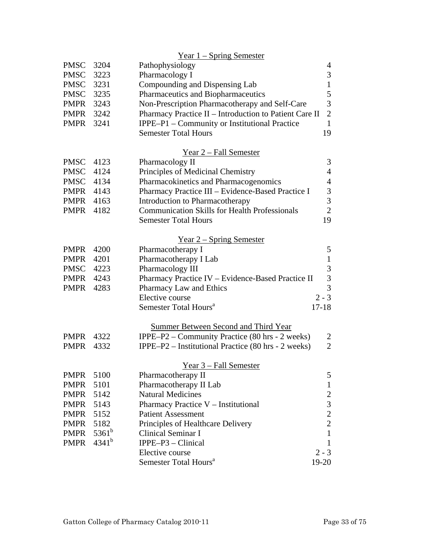|                  |            | <u>Year 1 – Spring Semester</u>                                          |                                            |
|------------------|------------|--------------------------------------------------------------------------|--------------------------------------------|
| <b>PMSC</b>      | 3204       | Pathophysiology                                                          | 4                                          |
| <b>PMSC</b>      | 3223       | Pharmacology I                                                           | $\mathfrak{Z}$                             |
| <b>PMSC</b>      | 3231       | Compounding and Dispensing Lab                                           | $\mathbf{1}$                               |
| <b>PMSC</b>      | 3235       | Pharmaceutics and Biopharmaceutics                                       | 5                                          |
| PMPR             | 3243       | Non-Prescription Pharmacotherapy and Self-Care                           | $\overline{3}$                             |
| PMPR 3242        |            | Pharmacy Practice II - Introduction to Patient Care II                   | $\overline{2}$                             |
| PMPR             | 3241       | IPPE-P1 - Community or Institutional Practice                            | $\mathbf{1}$                               |
|                  |            | <b>Semester Total Hours</b>                                              | 19                                         |
|                  |            | Year 2 – Fall Semester                                                   |                                            |
| <b>PMSC</b>      | 4123       | Pharmacology II                                                          | 3                                          |
| <b>PMSC</b>      | 4124       | Principles of Medicinal Chemistry                                        | $\overline{4}$                             |
| <b>PMSC</b>      | 4134       | Pharmacokinetics and Pharmacogenomics                                    | $\overline{4}$                             |
| <b>PMPR</b> 4143 |            | Pharmacy Practice III - Evidence-Based Practice I                        |                                            |
| <b>PMPR</b> 4163 |            | Introduction to Pharmacotherapy                                          | $\frac{3}{3}$                              |
| PMPR             | 4182       | <b>Communication Skills for Health Professionals</b>                     | $\overline{2}$                             |
|                  |            | <b>Semester Total Hours</b>                                              | 19                                         |
|                  |            | Year $2$ – Spring Semester                                               |                                            |
| <b>PMPR</b>      | 4200       | Pharmacotherapy I                                                        | 5                                          |
| <b>PMPR</b>      | 4201       | Pharmacotherapy I Lab                                                    | $\mathbf{1}$                               |
| <b>PMSC</b>      | 4223       | Pharmacology III                                                         | 3                                          |
| PMPR             | 4243       | Pharmacy Practice IV - Evidence-Based Practice II                        | $\overline{3}$                             |
| <b>PMPR</b>      | 4283       | Pharmacy Law and Ethics                                                  | $\overline{3}$                             |
|                  |            | Elective course                                                          | $2 - 3$                                    |
|                  |            | Semester Total Hours <sup>a</sup>                                        | $17 - 18$                                  |
|                  |            | <b>Summer Between Second and Third Year</b>                              |                                            |
| <b>PMPR</b>      | 4322       | <b>IPPE–P2</b> – Community Practice $(80 \text{ hrs} - 2 \text{ weeks})$ | $\overline{2}$                             |
| <b>PMPR</b>      | 4332       | IPPE-P2 – Institutional Practice (80 hrs - 2 weeks)                      | $\overline{2}$                             |
|                  |            | Year 3 - Fall Semester                                                   |                                            |
| <b>PMPR</b>      | 5100       | Pharmacotherapy II                                                       | 5                                          |
| <b>PMPR</b>      | 5101       | Pharmacotherapy II Lab                                                   | $\mathbf{1}$                               |
| <b>PMPR</b>      | 5142       | <b>Natural Medicines</b>                                                 |                                            |
| <b>PMPR</b>      | 5143       | Pharmacy Practice V - Institutional                                      |                                            |
| <b>PMPR</b>      | 5152       | <b>Patient Assessment</b>                                                | $\begin{array}{c} 2 \\ 3 \\ 2 \end{array}$ |
| <b>PMPR</b>      | 5182       | Principles of Healthcare Delivery                                        |                                            |
| <b>PMPR</b>      | $5361^b$   | <b>Clinical Seminar I</b>                                                | $\mathbf{1}$                               |
| <b>PMPR</b>      | $4341^{b}$ | IPPE-P3 - Clinical                                                       | $\mathbf{1}$                               |
|                  |            | Elective course                                                          | $2 - 3$                                    |
|                  |            | Semester Total Hours <sup>a</sup>                                        | $19-20$                                    |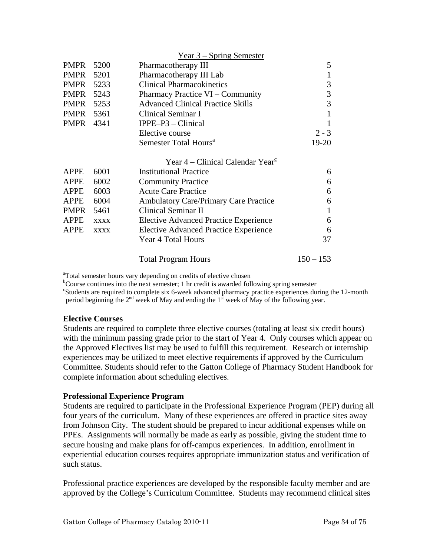<span id="page-33-0"></span>

|             |             | $Year 3 - Spring Semester$                                         |             |
|-------------|-------------|--------------------------------------------------------------------|-------------|
| <b>PMPR</b> | 5200        | Pharmacotherapy III                                                | 5           |
| <b>PMPR</b> | 5201        | Pharmacotherapy III Lab                                            |             |
| <b>PMPR</b> | 5233        | <b>Clinical Pharmacokinetics</b>                                   | 3           |
| PMPR        | 5243        | Pharmacy Practice VI – Community                                   | 3           |
| <b>PMPR</b> | 5253        | <b>Advanced Clinical Practice Skills</b>                           | 3           |
| PMPR        | 5361        | Clinical Seminar I                                                 | 1           |
| <b>PMPR</b> | 4341        | $IPPE-P3 - Clinical$                                               | 1           |
|             |             | Elective course                                                    | $2 - 3$     |
|             |             | Semester Total Hours <sup>a</sup>                                  | 19-20       |
|             |             | Year $4$ – Clinical Calendar Year <sup><math>\epsilon</math></sup> |             |
| <b>APPE</b> | 6001        | <b>Institutional Practice</b>                                      | 6           |
| <b>APPE</b> | 6002        | <b>Community Practice</b>                                          | 6           |
| <b>APPE</b> | 6003        | <b>Acute Care Practice</b>                                         | 6           |
| <b>APPE</b> | 6004        | <b>Ambulatory Care/Primary Care Practice</b>                       | 6           |
| <b>PMPR</b> | 5461        | <b>Clinical Seminar II</b>                                         | 1           |
| <b>APPE</b> | <b>XXXX</b> | <b>Elective Advanced Practice Experience</b>                       | 6           |
| <b>APPE</b> | <b>XXXX</b> | <b>Elective Advanced Practice Experience</b>                       | 6           |
|             |             | Year 4 Total Hours                                                 | 37          |
|             |             | <b>Total Program Hours</b>                                         | $150 - 153$ |

<sup>a</sup>Total semester hours vary depending on credits of elective chosen

<sup>b</sup>Course continues into the next semester; 1 hr credit is awarded following spring semester

<sup>c</sup>Students are required to complete six 6-week advanced pharmacy practice experiences during the 12-month period beginning the  $2^{nd}$  week of May and ending the  $1^{st}$  week of May of the following year.

#### **Elective Courses**

Students are required to complete three elective courses (totaling at least six credit hours) with the minimum passing grade prior to the start of Year 4. Only courses which appear on the Approved Electives list may be used to fulfill this requirement. Research or internship experiences may be utilized to meet elective requirements if approved by the Curriculum Committee. Students should refer to the Gatton College of Pharmacy Student Handbook for complete information about scheduling electives.

#### **Professional Experience Program**

Students are required to participate in the Professional Experience Program (PEP) during all four years of the curriculum. Many of these experiences are offered in practice sites away from Johnson City. The student should be prepared to incur additional expenses while on PPEs. Assignments will normally be made as early as possible, giving the student time to secure housing and make plans for off-campus experiences. In addition, enrollment in experiential education courses requires appropriate immunization status and verification of such status.

Professional practice experiences are developed by the responsible faculty member and are approved by the College's Curriculum Committee. Students may recommend clinical sites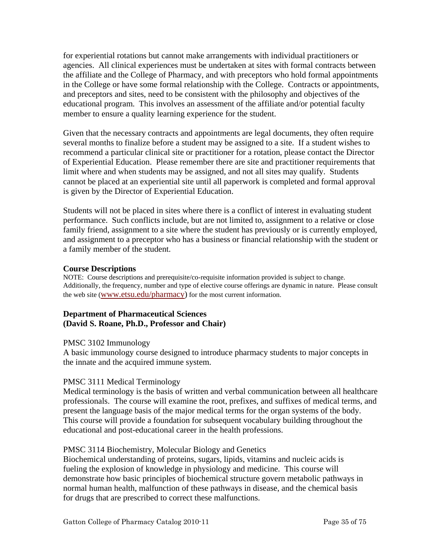<span id="page-34-0"></span>for experiential rotations but cannot make arrangements with individual practitioners or agencies. All clinical experiences must be undertaken at sites with formal contracts between the affiliate and the College of Pharmacy, and with preceptors who hold formal appointments in the College or have some formal relationship with the College. Contracts or appointments, and preceptors and sites, need to be consistent with the philosophy and objectives of the educational program. This involves an assessment of the affiliate and/or potential faculty member to ensure a quality learning experience for the student.

Given that the necessary contracts and appointments are legal documents, they often require several months to finalize before a student may be assigned to a site. If a student wishes to recommend a particular clinical site or practitioner for a rotation, please contact the Director of Experiential Education. Please remember there are site and practitioner requirements that limit where and when students may be assigned, and not all sites may qualify. Students cannot be placed at an experiential site until all paperwork is completed and formal approval is given by the Director of Experiential Education.

Students will not be placed in sites where there is a conflict of interest in evaluating student performance. Such conflicts include, but are not limited to, assignment to a relative or close family friend, assignment to a site where the student has previously or is currently employed, and assignment to a preceptor who has a business or financial relationship with the student or a family member of the student.

#### **Course Descriptions**

NOTE: Course descriptions and prerequisite/co-requisite information provided is subject to change. Additionally, the frequency, number and type of elective course offerings are dynamic in nature. Please consult the web site ([www.etsu.edu/pharmacy\)](http://www.etsu.edu/pharmacy) for the most current information.

#### **Department of Pharmaceutical Sciences (David S. Roane, Ph.D., Professor and Chair)**

#### PMSC 3102 Immunology

A basic immunology course designed to introduce pharmacy students to major concepts in the innate and the acquired immune system.

#### PMSC 3111 Medical Terminology

Medical terminology is the basis of written and verbal communication between all healthcare professionals. The course will examine the root, prefixes, and suffixes of medical terms, and present the language basis of the major medical terms for the organ systems of the body. This course will provide a foundation for subsequent vocabulary building throughout the educational and post-educational career in the health professions.

#### PMSC 3114 Biochemistry, Molecular Biology and Genetics

Biochemical understanding of proteins, sugars, lipids, vitamins and nucleic acids is fueling the explosion of knowledge in physiology and medicine. This course will demonstrate how basic principles of biochemical structure govern metabolic pathways in normal human health, malfunction of these pathways in disease, and the chemical basis for drugs that are prescribed to correct these malfunctions.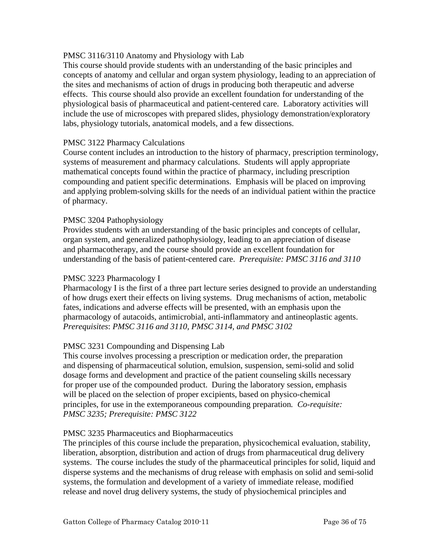#### PMSC 3116/3110 Anatomy and Physiology with Lab

This course should provide students with an understanding of the basic principles and concepts of anatomy and cellular and organ system physiology, leading to an appreciation of the sites and mechanisms of action of drugs in producing both therapeutic and adverse effects. This course should also provide an excellent foundation for understanding of the physiological basis of pharmaceutical and patient-centered care. Laboratory activities will include the use of microscopes with prepared slides, physiology demonstration/exploratory labs, physiology tutorials, anatomical models, and a few dissections.

#### PMSC 3122 Pharmacy Calculations

Course content includes an introduction to the history of pharmacy, prescription terminology, systems of measurement and pharmacy calculations. Students will apply appropriate mathematical concepts found within the practice of pharmacy, including prescription compounding and patient specific determinations. Emphasis will be placed on improving and applying problem-solving skills for the needs of an individual patient within the practice of pharmacy.

#### PMSC 3204 Pathophysiology

Provides students with an understanding of the basic principles and concepts of cellular, organ system, and generalized pathophysiology, leading to an appreciation of disease and pharmacotherapy, and the course should provide an excellent foundation for understanding of the basis of patient-centered care. *Prerequisite: PMSC 3116 and 3110* 

#### PMSC 3223 Pharmacology I

Pharmacology I is the first of a three part lecture series designed to provide an understanding of how drugs exert their effects on living systems. Drug mechanisms of action, metabolic fates, indications and adverse effects will be presented, with an emphasis upon the pharmacology of autacoids, antimicrobial, anti-inflammatory and antineoplastic agents. *Prerequisites*: *PMSC 3116 and 3110, PMSC 3114, and PMSC 3102* 

#### PMSC 3231 Compounding and Dispensing Lab

This course involves processing a prescription or medication order, the preparation and dispensing of pharmaceutical solution, emulsion, suspension, semi-solid and solid dosage forms and development and practice of the patient counseling skills necessary for proper use of the compounded product. During the laboratory session, emphasis will be placed on the selection of proper excipients, based on physico-chemical principles, for use in the extemporaneous compounding preparation*. Co-requisite: PMSC 3235; Prerequisite: PMSC 3122* 

#### PMSC 3235 Pharmaceutics and Biopharmaceutics

The principles of this course include the preparation, physicochemical evaluation, stability, liberation, absorption, distribution and action of drugs from pharmaceutical drug delivery systems. The course includes the study of the pharmaceutical principles for solid, liquid and disperse systems and the mechanisms of drug release with emphasis on solid and semi-solid systems, the formulation and development of a variety of immediate release, modified release and novel drug delivery systems, the study of physiochemical principles and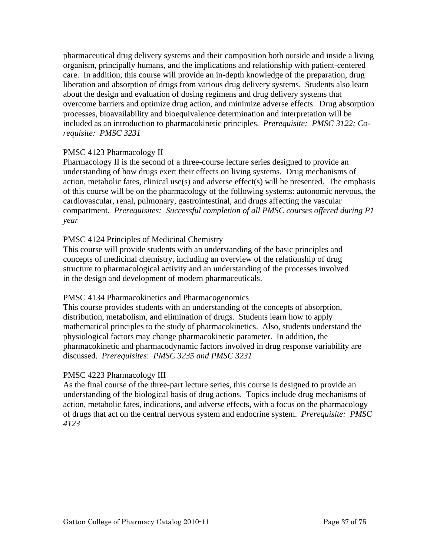pharmaceutical drug delivery systems and their composition both outside and inside a living organism, principally humans, and the implications and relationship with patient-centered care. In addition, this course will provide an in-depth knowledge of the preparation, drug liberation and absorption of drugs from various drug delivery systems. Students also learn about the design and evaluation of dosing regimens and drug delivery systems that overcome barriers and optimize drug action, and minimize adverse effects. Drug absorption processes, bioavailability and bioequivalence determination and interpretation will be included as an introduction to pharmacokinetic principles. *Prerequisite: PMSC 3122; Corequisite: PMSC 3231* 

# PMSC 4123 Pharmacology II

Pharmacology II is the second of a three-course lecture series designed to provide an understanding of how drugs exert their effects on living systems. Drug mechanisms of action, metabolic fates, clinical use(s) and adverse effect(s) will be presented. The emphasis of this course will be on the pharmacology of the following systems: autonomic nervous, the cardiovascular, renal, pulmonary, gastrointestinal, and drugs affecting the vascular compartment. *Prerequisites: Successful completion of all PMSC courses offered during P1 year* 

# PMSC 4124 Principles of Medicinal Chemistry

This course will provide students with an understanding of the basic principles and concepts of medicinal chemistry, including an overview of the relationship of drug structure to pharmacological activity and an understanding of the processes involved in the design and development of modern pharmaceuticals.

## PMSC 4134 Pharmacokinetics and Pharmacogenomics

This course provides students with an understanding of the concepts of absorption, distribution, metabolism, and elimination of drugs. Students learn how to apply mathematical principles to the study of pharmacokinetics. Also, students understand the physiological factors may change pharmacokinetic parameter. In addition, the pharmacokinetic and pharmacodynamic factors involved in drug response variability are discussed. *Prerequisites*: *PMSC 3235 and PMSC 3231* 

# PMSC 4223 Pharmacology III

As the final course of the three-part lecture series, this course is designed to provide an understanding of the biological basis of drug actions. Topics include drug mechanisms of action, metabolic fates, indications, and adverse effects, with a focus on the pharmacology of drugs that act on the central nervous system and endocrine system. *Prerequisite: PMSC 4123*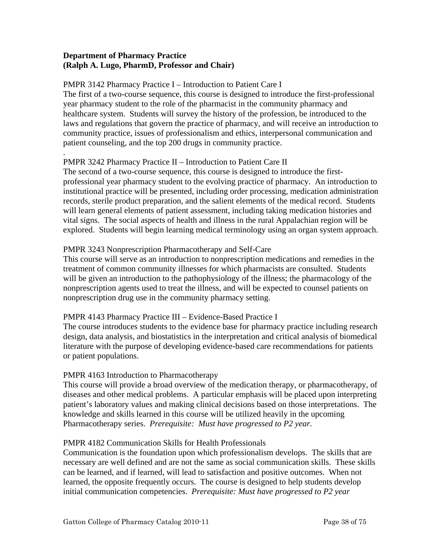# **Department of Pharmacy Practice (Ralph A. Lugo, PharmD, Professor and Chair)**

.

#### PMPR 3142 Pharmacy Practice I – Introduction to Patient Care I

The first of a two-course sequence, this course is designed to introduce the first-professional year pharmacy student to the role of the pharmacist in the community pharmacy and healthcare system. Students will survey the history of the profession, be introduced to the laws and regulations that govern the practice of pharmacy, and will receive an introduction to community practice, issues of professionalism and ethics, interpersonal communication and patient counseling, and the top 200 drugs in community practice.

# PMPR 3242 Pharmacy Practice II – Introduction to Patient Care II

The second of a two-course sequence, this course is designed to introduce the firstprofessional year pharmacy student to the evolving practice of pharmacy. An introduction to institutional practice will be presented, including order processing, medication administration records, sterile product preparation, and the salient elements of the medical record. Students will learn general elements of patient assessment, including taking medication histories and vital signs. The social aspects of health and illness in the rural Appalachian region will be explored. Students will begin learning medical terminology using an organ system approach.

# PMPR 3243 Nonprescription Pharmacotherapy and Self-Care

This course will serve as an introduction to nonprescription medications and remedies in the treatment of common community illnesses for which pharmacists are consulted. Students will be given an introduction to the pathophysiology of the illness; the pharmacology of the nonprescription agents used to treat the illness, and will be expected to counsel patients on nonprescription drug use in the community pharmacy setting.

# PMPR 4143 Pharmacy Practice III – Evidence-Based Practice I

The course introduces students to the evidence base for pharmacy practice including research design, data analysis, and biostatistics in the interpretation and critical analysis of biomedical literature with the purpose of developing evidence-based care recommendations for patients or patient populations.

# PMPR 4163 Introduction to Pharmacotherapy

This course will provide a broad overview of the medication therapy, or pharmacotherapy, of diseases and other medical problems. A particular emphasis will be placed upon interpreting patient's laboratory values and making clinical decisions based on those interpretations. The knowledge and skills learned in this course will be utilized heavily in the upcoming Pharmacotherapy series. *Prerequisite: Must have progressed to P2 year.* 

## PMPR 4182 Communication Skills for Health Professionals

Communication is the foundation upon which professionalism develops. The skills that are necessary are well defined and are not the same as social communication skills. These skills can be learned, and if learned, will lead to satisfaction and positive outcomes. When not learned, the opposite frequently occurs. The course is designed to help students develop initial communication competencies. *Prerequisite: Must have progressed to P2 year*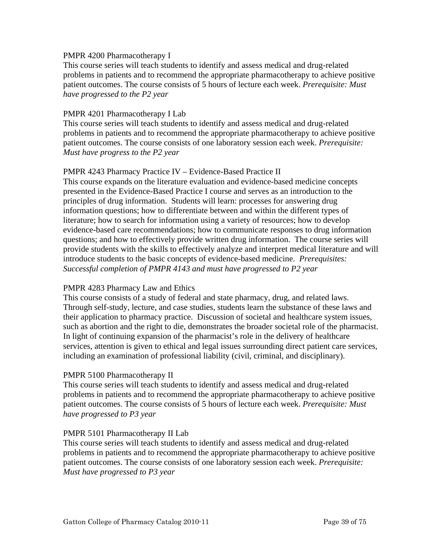## PMPR 4200 Pharmacotherapy I

This course series will teach students to identify and assess medical and drug-related problems in patients and to recommend the appropriate pharmacotherapy to achieve positive patient outcomes. The course consists of 5 hours of lecture each week. *Prerequisite: Must have progressed to the P2 year* 

#### PMPR 4201 Pharmacotherapy I Lab

This course series will teach students to identify and assess medical and drug-related problems in patients and to recommend the appropriate pharmacotherapy to achieve positive patient outcomes. The course consists of one laboratory session each week. *Prerequisite: Must have progress to the P2 year* 

#### PMPR 4243 Pharmacy Practice IV – Evidence-Based Practice II

This course expands on the literature evaluation and evidence-based medicine concepts presented in the Evidence-Based Practice I course and serves as an introduction to the principles of drug information. Students will learn: processes for answering drug information questions; how to differentiate between and within the different types of literature; how to search for information using a variety of resources; how to develop evidence-based care recommendations; how to communicate responses to drug information questions; and how to effectively provide written drug information. The course series will provide students with the skills to effectively analyze and interpret medical literature and will introduce students to the basic concepts of evidence-based medicine. *Prerequisites: Successful completion of PMPR 4143 and must have progressed to P2 year* 

## PMPR 4283 Pharmacy Law and Ethics

This course consists of a study of federal and state pharmacy, drug, and related laws. Through self-study, lecture, and case studies, students learn the substance of these laws and their application to pharmacy practice. Discussion of societal and healthcare system issues, such as abortion and the right to die, demonstrates the broader societal role of the pharmacist. In light of continuing expansion of the pharmacist's role in the delivery of healthcare services, attention is given to ethical and legal issues surrounding direct patient care services, including an examination of professional liability (civil, criminal, and disciplinary).

#### PMPR 5100 Pharmacotherapy II

This course series will teach students to identify and assess medical and drug-related problems in patients and to recommend the appropriate pharmacotherapy to achieve positive patient outcomes. The course consists of 5 hours of lecture each week. *Prerequisite: Must have progressed to P3 year* 

#### PMPR 5101 Pharmacotherapy II Lab

This course series will teach students to identify and assess medical and drug-related problems in patients and to recommend the appropriate pharmacotherapy to achieve positive patient outcomes. The course consists of one laboratory session each week. *Prerequisite: Must have progressed to P3 year*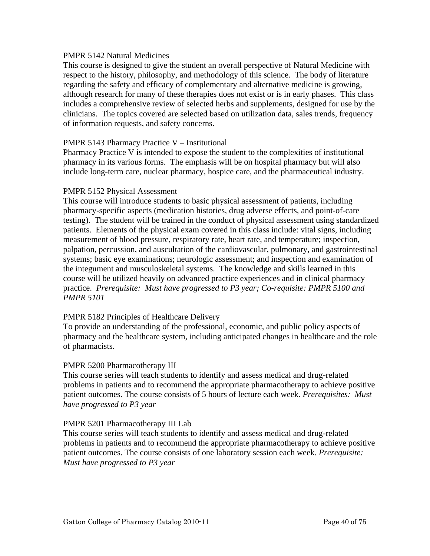# PMPR 5142 Natural Medicines

This course is designed to give the student an overall perspective of Natural Medicine with respect to the history, philosophy, and methodology of this science. The body of literature regarding the safety and efficacy of complementary and alternative medicine is growing, although research for many of these therapies does not exist or is in early phases. This class includes a comprehensive review of selected herbs and supplements, designed for use by the clinicians. The topics covered are selected based on utilization data, sales trends, frequency of information requests, and safety concerns.

# PMPR 5143 Pharmacy Practice V – Institutional

Pharmacy Practice V is intended to expose the student to the complexities of institutional pharmacy in its various forms. The emphasis will be on hospital pharmacy but will also include long-term care, nuclear pharmacy, hospice care, and the pharmaceutical industry.

# PMPR 5152 Physical Assessment

This course will introduce students to basic physical assessment of patients, including pharmacy-specific aspects (medication histories, drug adverse effects, and point-of-care testing). The student will be trained in the conduct of physical assessment using standardized patients. Elements of the physical exam covered in this class include: vital signs, including measurement of blood pressure, respiratory rate, heart rate, and temperature; inspection, palpation, percussion, and auscultation of the cardiovascular, pulmonary, and gastrointestinal systems; basic eye examinations; neurologic assessment; and inspection and examination of the integument and musculoskeletal systems. The knowledge and skills learned in this course will be utilized heavily on advanced practice experiences and in clinical pharmacy practice. *Prerequisite: Must have progressed to P3 year; Co-requisite: PMPR 5100 and PMPR 5101* 

# PMPR 5182 Principles of Healthcare Delivery

To provide an understanding of the professional, economic, and public policy aspects of pharmacy and the healthcare system, including anticipated changes in healthcare and the role of pharmacists.

## PMPR 5200 Pharmacotherapy III

This course series will teach students to identify and assess medical and drug-related problems in patients and to recommend the appropriate pharmacotherapy to achieve positive patient outcomes. The course consists of 5 hours of lecture each week. *Prerequisites: Must have progressed to P3 year* 

## PMPR 5201 Pharmacotherapy III Lab

This course series will teach students to identify and assess medical and drug-related problems in patients and to recommend the appropriate pharmacotherapy to achieve positive patient outcomes. The course consists of one laboratory session each week. *Prerequisite: Must have progressed to P3 year*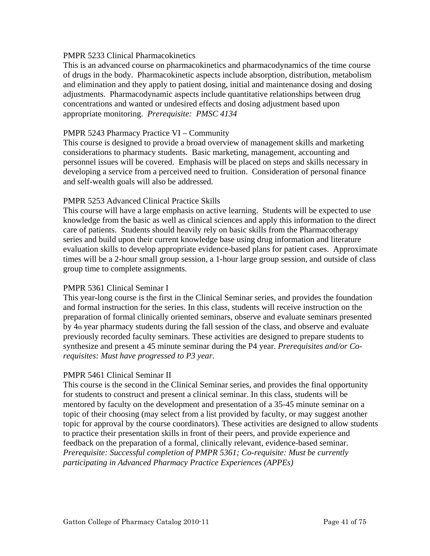## PMPR 5233 Clinical Pharmacokinetics

This is an advanced course on pharmacokinetics and pharmacodynamics of the time course of drugs in the body. Pharmacokinetic aspects include absorption, distribution, metabolism and elimination and they apply to patient dosing, initial and maintenance dosing and dosing adjustments. Pharmacodynamic aspects include quantitative relationships between drug concentrations and wanted or undesired effects and dosing adjustment based upon appropriate monitoring. *Prerequisite: PMSC 4134* 

## PMPR 5243 Pharmacy Practice VI – Community

This course is designed to provide a broad overview of management skills and marketing considerations to pharmacy students. Basic marketing, management, accounting and personnel issues will be covered. Emphasis will be placed on steps and skills necessary in developing a service from a perceived need to fruition. Consideration of personal finance and self-wealth goals will also be addressed.

## PMPR 5253 Advanced Clinical Practice Skills

This course will have a large emphasis on active learning. Students will be expected to use knowledge from the basic as well as clinical sciences and apply this information to the direct care of patients. Students should heavily rely on basic skills from the Pharmacotherapy series and build upon their current knowledge base using drug information and literature evaluation skills to develop appropriate evidence-based plans for patient cases. Approximate times will be a 2-hour small group session, a 1-hour large group session, and outside of class group time to complete assignments.

## PMPR 5361 Clinical Seminar I

This year-long course is the first in the Clinical Seminar series, and provides the foundation and formal instruction for the series. In this class, students will receive instruction on the preparation of formal clinically oriented seminars, observe and evaluate seminars presented by 4th year pharmacy students during the fall session of the class, and observe and evaluate previously recorded faculty seminars. These activities are designed to prepare students to synthesize and present a 45 minute seminar during the P4 year. *Prerequisites and/or Corequisites: Must have progressed to P3 year.*

## PMPR 5461 Clinical Seminar II

This course is the second in the Clinical Seminar series, and provides the final opportunity for students to construct and present a clinical seminar. In this class, students will be mentored by faculty on the development and presentation of a 35-45 minute seminar on a topic of their choosing (may select from a list provided by faculty, or may suggest another topic for approval by the course coordinators). These activities are designed to allow students to practice their presentation skills in front of their peers, and provide experience and feedback on the preparation of a formal, clinically relevant, evidence-based seminar. *Prerequisite: Successful completion of PMPR 5361; Co-requisite: Must be currently participating in Advanced Pharmacy Practice Experiences (APPEs)*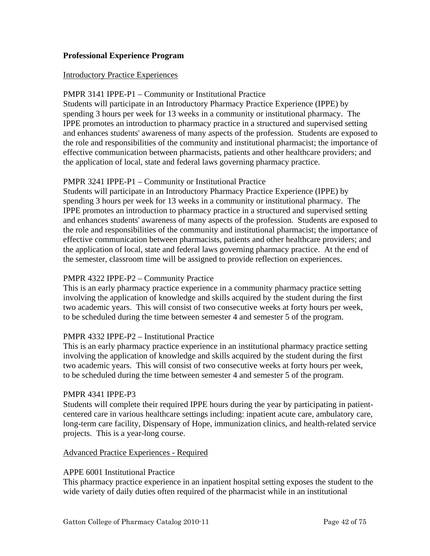# **Professional Experience Program**

#### Introductory Practice Experiences

# PMPR 3141 IPPE-P1 – Community or Institutional Practice

Students will participate in an Introductory Pharmacy Practice Experience (IPPE) by spending 3 hours per week for 13 weeks in a community or institutional pharmacy. The IPPE promotes an introduction to pharmacy practice in a structured and supervised setting and enhances students' awareness of many aspects of the profession. Students are exposed to the role and responsibilities of the community and institutional pharmacist; the importance of effective communication between pharmacists, patients and other healthcare providers; and the application of local, state and federal laws governing pharmacy practice.

## PMPR 3241 IPPE-P1 – Community or Institutional Practice

Students will participate in an Introductory Pharmacy Practice Experience (IPPE) by spending 3 hours per week for 13 weeks in a community or institutional pharmacy. The IPPE promotes an introduction to pharmacy practice in a structured and supervised setting and enhances students' awareness of many aspects of the profession. Students are exposed to the role and responsibilities of the community and institutional pharmacist; the importance of effective communication between pharmacists, patients and other healthcare providers; and the application of local, state and federal laws governing pharmacy practice. At the end of the semester, classroom time will be assigned to provide reflection on experiences.

## PMPR 4322 IPPE-P2 – Community Practice

This is an early pharmacy practice experience in a community pharmacy practice setting involving the application of knowledge and skills acquired by the student during the first two academic years. This will consist of two consecutive weeks at forty hours per week, to be scheduled during the time between semester 4 and semester 5 of the program.

## PMPR 4332 IPPE-P2 – Institutional Practice

This is an early pharmacy practice experience in an institutional pharmacy practice setting involving the application of knowledge and skills acquired by the student during the first two academic years. This will consist of two consecutive weeks at forty hours per week, to be scheduled during the time between semester 4 and semester 5 of the program.

#### PMPR 4341 IPPE-P3

Students will complete their required IPPE hours during the year by participating in patientcentered care in various healthcare settings including: inpatient acute care, ambulatory care, long-term care facility, Dispensary of Hope, immunization clinics, and health-related service projects. This is a year-long course.

## Advanced Practice Experiences - Required

#### APPE 6001 Institutional Practice

This pharmacy practice experience in an inpatient hospital setting exposes the student to the wide variety of daily duties often required of the pharmacist while in an institutional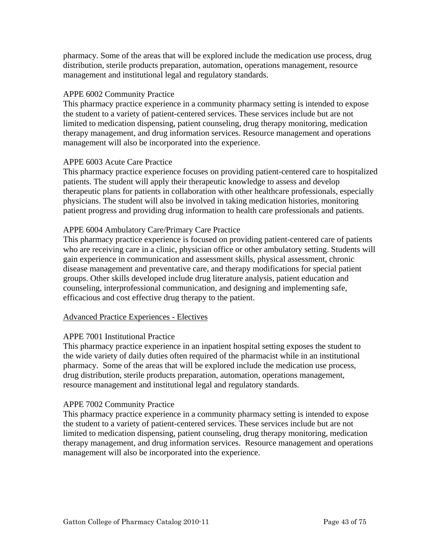pharmacy. Some of the areas that will be explored include the medication use process, drug distribution, sterile products preparation, automation, operations management, resource management and institutional legal and regulatory standards.

# APPE 6002 Community Practice

This pharmacy practice experience in a community pharmacy setting is intended to expose the student to a variety of patient-centered services. These services include but are not limited to medication dispensing, patient counseling, drug therapy monitoring, medication therapy management, and drug information services. Resource management and operations management will also be incorporated into the experience.

# APPE 6003 Acute Care Practice

This pharmacy practice experience focuses on providing patient-centered care to hospitalized patients. The student will apply their therapeutic knowledge to assess and develop therapeutic plans for patients in collaboration with other healthcare professionals, especially physicians. The student will also be involved in taking medication histories, monitoring patient progress and providing drug information to health care professionals and patients.

# APPE 6004 Ambulatory Care/Primary Care Practice

This pharmacy practice experience is focused on providing patient-centered care of patients who are receiving care in a clinic, physician office or other ambulatory setting. Students will gain experience in communication and assessment skills, physical assessment, chronic disease management and preventative care, and therapy modifications for special patient groups. Other skills developed include drug literature analysis, patient education and counseling, interprofessional communication, and designing and implementing safe, efficacious and cost effective drug therapy to the patient.

## Advanced Practice Experiences - Electives

## APPE 7001 Institutional Practice

This pharmacy practice experience in an inpatient hospital setting exposes the student to the wide variety of daily duties often required of the pharmacist while in an institutional pharmacy. Some of the areas that will be explored include the medication use process, drug distribution, sterile products preparation, automation, operations management, resource management and institutional legal and regulatory standards.

## APPE 7002 Community Practice

This pharmacy practice experience in a community pharmacy setting is intended to expose the student to a variety of patient-centered services. These services include but are not limited to medication dispensing, patient counseling, drug therapy monitoring, medication therapy management, and drug information services. Resource management and operations management will also be incorporated into the experience.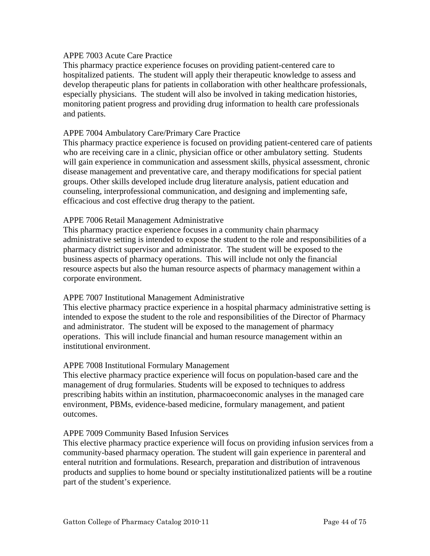#### APPE 7003 Acute Care Practice

This pharmacy practice experience focuses on providing patient-centered care to hospitalized patients. The student will apply their therapeutic knowledge to assess and develop therapeutic plans for patients in collaboration with other healthcare professionals, especially physicians. The student will also be involved in taking medication histories, monitoring patient progress and providing drug information to health care professionals and patients.

#### APPE 7004 Ambulatory Care/Primary Care Practice

This pharmacy practice experience is focused on providing patient-centered care of patients who are receiving care in a clinic, physician office or other ambulatory setting. Students will gain experience in communication and assessment skills, physical assessment, chronic disease management and preventative care, and therapy modifications for special patient groups. Other skills developed include drug literature analysis, patient education and counseling, interprofessional communication, and designing and implementing safe, efficacious and cost effective drug therapy to the patient.

## APPE 7006 Retail Management Administrative

This pharmacy practice experience focuses in a community chain pharmacy administrative setting is intended to expose the student to the role and responsibilities of a pharmacy district supervisor and administrator. The student will be exposed to the business aspects of pharmacy operations. This will include not only the financial resource aspects but also the human resource aspects of pharmacy management within a corporate environment.

## APPE 7007 Institutional Management Administrative

This elective pharmacy practice experience in a hospital pharmacy administrative setting is intended to expose the student to the role and responsibilities of the Director of Pharmacy and administrator. The student will be exposed to the management of pharmacy operations. This will include financial and human resource management within an institutional environment.

#### APPE 7008 Institutional Formulary Management

This elective pharmacy practice experience will focus on population-based care and the management of drug formularies. Students will be exposed to techniques to address prescribing habits within an institution, pharmacoeconomic analyses in the managed care environment, PBMs, evidence-based medicine, formulary management, and patient outcomes.

#### APPE 7009 Community Based Infusion Services

This elective pharmacy practice experience will focus on providing infusion services from a community-based pharmacy operation. The student will gain experience in parenteral and enteral nutrition and formulations. Research, preparation and distribution of intravenous products and supplies to home bound or specialty institutionalized patients will be a routine part of the student's experience.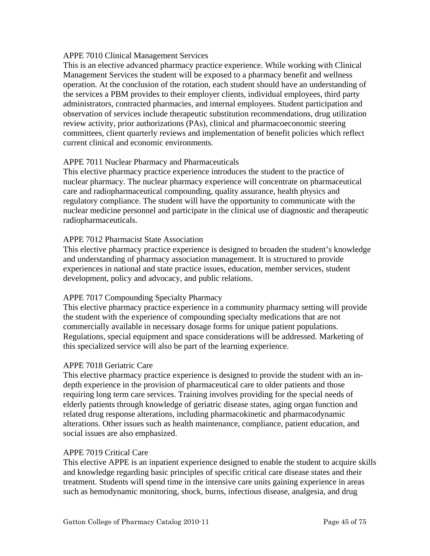# APPE 7010 Clinical Management Services

This is an elective advanced pharmacy practice experience. While working with Clinical Management Services the student will be exposed to a pharmacy benefit and wellness operation. At the conclusion of the rotation, each student should have an understanding of the services a PBM provides to their employer clients, individual employees, third party administrators, contracted pharmacies, and internal employees. Student participation and observation of services include therapeutic substitution recommendations, drug utilization review activity, prior authorizations (PAs), clinical and pharmacoeconomic steering committees, client quarterly reviews and implementation of benefit policies which reflect current clinical and economic environments.

# APPE 7011 Nuclear Pharmacy and Pharmaceuticals

This elective pharmacy practice experience introduces the student to the practice of nuclear pharmacy. The nuclear pharmacy experience will concentrate on pharmaceutical care and radiopharmaceutical compounding, quality assurance, health physics and regulatory compliance. The student will have the opportunity to communicate with the nuclear medicine personnel and participate in the clinical use of diagnostic and therapeutic radiopharmaceuticals.

# APPE 7012 Pharmacist State Association

This elective pharmacy practice experience is designed to broaden the student's knowledge and understanding of pharmacy association management. It is structured to provide experiences in national and state practice issues, education, member services, student development, policy and advocacy, and public relations.

## APPE 7017 Compounding Specialty Pharmacy

This elective pharmacy practice experience in a community pharmacy setting will provide the student with the experience of compounding specialty medications that are not commercially available in necessary dosage forms for unique patient populations. Regulations, special equipment and space considerations will be addressed. Marketing of this specialized service will also be part of the learning experience.

## APPE 7018 Geriatric Care

This elective pharmacy practice experience is designed to provide the student with an indepth experience in the provision of pharmaceutical care to older patients and those requiring long term care services. Training involves providing for the special needs of elderly patients through knowledge of geriatric disease states, aging organ function and related drug response alterations, including pharmacokinetic and pharmacodynamic alterations. Other issues such as health maintenance, compliance, patient education, and social issues are also emphasized.

## APPE 7019 Critical Care

This elective APPE is an inpatient experience designed to enable the student to acquire skills and knowledge regarding basic principles of specific critical care disease states and their treatment. Students will spend time in the intensive care units gaining experience in areas such as hemodynamic monitoring, shock, burns, infectious disease, analgesia, and drug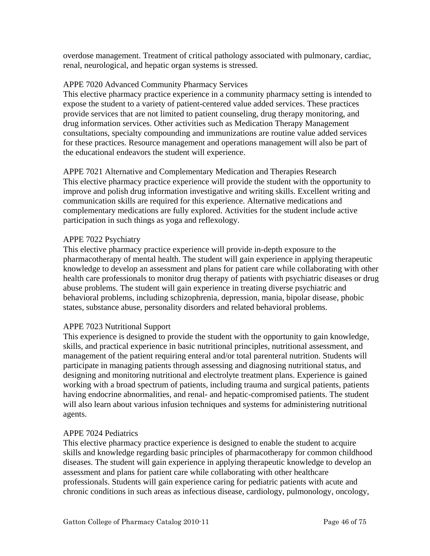overdose management. Treatment of critical pathology associated with pulmonary, cardiac, renal, neurological, and hepatic organ systems is stressed.

# APPE 7020 Advanced Community Pharmacy Services

This elective pharmacy practice experience in a community pharmacy setting is intended to expose the student to a variety of patient-centered value added services. These practices provide services that are not limited to patient counseling, drug therapy monitoring, and drug information services. Other activities such as Medication Therapy Management consultations, specialty compounding and immunizations are routine value added services for these practices. Resource management and operations management will also be part of the educational endeavors the student will experience.

APPE 7021 Alternative and Complementary Medication and Therapies Research This elective pharmacy practice experience will provide the student with the opportunity to improve and polish drug information investigative and writing skills. Excellent writing and communication skills are required for this experience. Alternative medications and complementary medications are fully explored. Activities for the student include active participation in such things as yoga and reflexology.

# APPE 7022 Psychiatry

This elective pharmacy practice experience will provide in-depth exposure to the pharmacotherapy of mental health. The student will gain experience in applying therapeutic knowledge to develop an assessment and plans for patient care while collaborating with other health care professionals to monitor drug therapy of patients with psychiatric diseases or drug abuse problems. The student will gain experience in treating diverse psychiatric and behavioral problems, including schizophrenia, depression, mania, bipolar disease, phobic states, substance abuse, personality disorders and related behavioral problems.

# APPE 7023 Nutritional Support

This experience is designed to provide the student with the opportunity to gain knowledge, skills, and practical experience in basic nutritional principles, nutritional assessment, and management of the patient requiring enteral and/or total parenteral nutrition. Students will participate in managing patients through assessing and diagnosing nutritional status, and designing and monitoring nutritional and electrolyte treatment plans. Experience is gained working with a broad spectrum of patients, including trauma and surgical patients, patients having endocrine abnormalities, and renal- and hepatic-compromised patients. The student will also learn about various infusion techniques and systems for administering nutritional agents.

## APPE 7024 Pediatrics

This elective pharmacy practice experience is designed to enable the student to acquire skills and knowledge regarding basic principles of pharmacotherapy for common childhood diseases. The student will gain experience in applying therapeutic knowledge to develop an assessment and plans for patient care while collaborating with other healthcare professionals. Students will gain experience caring for pediatric patients with acute and chronic conditions in such areas as infectious disease, cardiology, pulmonology, oncology,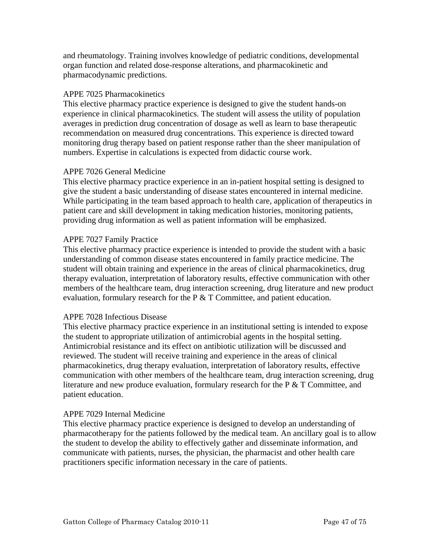and rheumatology. Training involves knowledge of pediatric conditions, developmental organ function and related dose-response alterations, and pharmacokinetic and pharmacodynamic predictions.

# APPE 7025 Pharmacokinetics

This elective pharmacy practice experience is designed to give the student hands-on experience in clinical pharmacokinetics. The student will assess the utility of population averages in prediction drug concentration of dosage as well as learn to base therapeutic recommendation on measured drug concentrations. This experience is directed toward monitoring drug therapy based on patient response rather than the sheer manipulation of numbers. Expertise in calculations is expected from didactic course work.

# APPE 7026 General Medicine

This elective pharmacy practice experience in an in-patient hospital setting is designed to give the student a basic understanding of disease states encountered in internal medicine. While participating in the team based approach to health care, application of therapeutics in patient care and skill development in taking medication histories, monitoring patients, providing drug information as well as patient information will be emphasized.

# APPE 7027 Family Practice

This elective pharmacy practice experience is intended to provide the student with a basic understanding of common disease states encountered in family practice medicine. The student will obtain training and experience in the areas of clinical pharmacokinetics, drug therapy evaluation, interpretation of laboratory results, effective communication with other members of the healthcare team, drug interaction screening, drug literature and new product evaluation, formulary research for the  $P \& T$  Committee, and patient education.

## APPE 7028 Infectious Disease

This elective pharmacy practice experience in an institutional setting is intended to expose the student to appropriate utilization of antimicrobial agents in the hospital setting. Antimicrobial resistance and its effect on antibiotic utilization will be discussed and reviewed. The student will receive training and experience in the areas of clinical pharmacokinetics, drug therapy evaluation, interpretation of laboratory results, effective communication with other members of the healthcare team, drug interaction screening, drug literature and new produce evaluation, formulary research for the P & T Committee, and patient education.

## APPE 7029 Internal Medicine

This elective pharmacy practice experience is designed to develop an understanding of pharmacotherapy for the patients followed by the medical team. An ancillary goal is to allow the student to develop the ability to effectively gather and disseminate information, and communicate with patients, nurses, the physician, the pharmacist and other health care practitioners specific information necessary in the care of patients.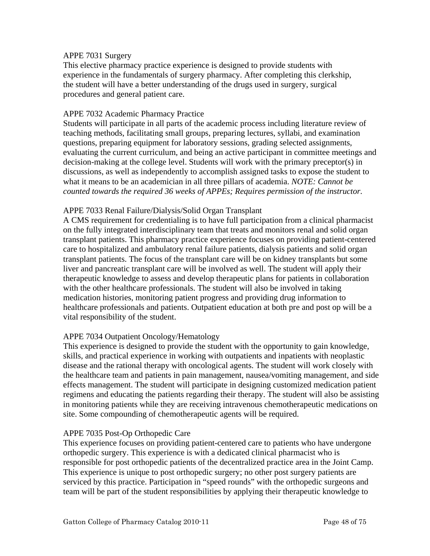# APPE 7031 Surgery

This elective pharmacy practice experience is designed to provide students with experience in the fundamentals of surgery pharmacy. After completing this clerkship, the student will have a better understanding of the drugs used in surgery, surgical procedures and general patient care.

# APPE 7032 Academic Pharmacy Practice

Students will participate in all parts of the academic process including literature review of teaching methods, facilitating small groups, preparing lectures, syllabi, and examination questions, preparing equipment for laboratory sessions, grading selected assignments, evaluating the current curriculum, and being an active participant in committee meetings and decision-making at the college level. Students will work with the primary preceptor(s) in discussions, as well as independently to accomplish assigned tasks to expose the student to what it means to be an academician in all three pillars of academia. *NOTE: Cannot be counted towards the required 36 weeks of APPEs; Requires permission of the instructor.* 

# APPE 7033 Renal Failure/Dialysis/Solid Organ Transplant

A CMS requirement for credentialing is to have full participation from a clinical pharmacist on the fully integrated interdisciplinary team that treats and monitors renal and solid organ transplant patients. This pharmacy practice experience focuses on providing patient-centered care to hospitalized and ambulatory renal failure patients, dialysis patients and solid organ transplant patients. The focus of the transplant care will be on kidney transplants but some liver and pancreatic transplant care will be involved as well. The student will apply their therapeutic knowledge to assess and develop therapeutic plans for patients in collaboration with the other healthcare professionals. The student will also be involved in taking medication histories, monitoring patient progress and providing drug information to healthcare professionals and patients. Outpatient education at both pre and post op will be a vital responsibility of the student.

## APPE 7034 Outpatient Oncology/Hematology

This experience is designed to provide the student with the opportunity to gain knowledge, skills, and practical experience in working with outpatients and inpatients with neoplastic disease and the rational therapy with oncological agents. The student will work closely with the healthcare team and patients in pain management, nausea/vomiting management, and side effects management. The student will participate in designing customized medication patient regimens and educating the patients regarding their therapy. The student will also be assisting in monitoring patients while they are receiving intravenous chemotherapeutic medications on site. Some compounding of chemotherapeutic agents will be required.

## APPE 7035 Post-Op Orthopedic Care

This experience focuses on providing patient-centered care to patients who have undergone orthopedic surgery. This experience is with a dedicated clinical pharmacist who is responsible for post orthopedic patients of the decentralized practice area in the Joint Camp. This experience is unique to post orthopedic surgery; no other post surgery patients are serviced by this practice. Participation in "speed rounds" with the orthopedic surgeons and team will be part of the student responsibilities by applying their therapeutic knowledge to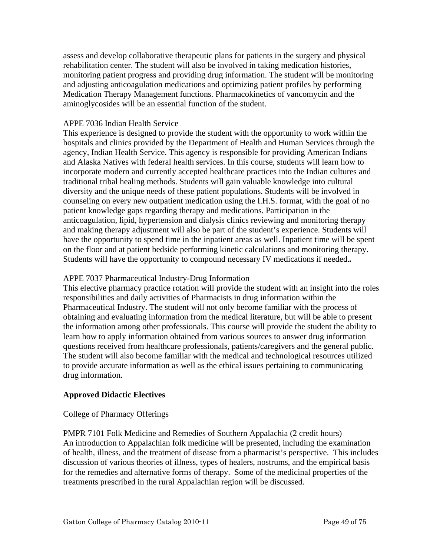assess and develop collaborative therapeutic plans for patients in the surgery and physical rehabilitation center. The student will also be involved in taking medication histories, monitoring patient progress and providing drug information. The student will be monitoring and adjusting anticoagulation medications and optimizing patient profiles by performing Medication Therapy Management functions. Pharmacokinetics of vancomycin and the aminoglycosides will be an essential function of the student.

## APPE 7036 Indian Health Service

This experience is designed to provide the student with the opportunity to work within the hospitals and clinics provided by the Department of Health and Human Services through the agency, Indian Health Service. This agency is responsible for providing American Indians and Alaska Natives with federal health services. In this course, students will learn how to incorporate modern and currently accepted healthcare practices into the Indian cultures and traditional tribal healing methods. Students will gain valuable knowledge into cultural diversity and the unique needs of these patient populations. Students will be involved in counseling on every new outpatient medication using the I.H.S. format, with the goal of no patient knowledge gaps regarding therapy and medications. Participation in the anticoagulation, lipid, hypertension and dialysis clinics reviewing and monitoring therapy and making therapy adjustment will also be part of the student's experience. Students will have the opportunity to spend time in the inpatient areas as well. Inpatient time will be spent on the floor and at patient bedside performing kinetic calculations and monitoring therapy. Students will have the opportunity to compound necessary IV medications if needed.*.* 

# APPE 7037 Pharmaceutical Industry-Drug Information

This elective pharmacy practice rotation will provide the student with an insight into the roles responsibilities and daily activities of Pharmacists in drug information within the Pharmaceutical Industry. The student will not only become familiar with the process of obtaining and evaluating information from the medical literature, but will be able to present the information among other professionals. This course will provide the student the ability to learn how to apply information obtained from various sources to answer drug information questions received from healthcare professionals, patients/caregivers and the general public. The student will also become familiar with the medical and technological resources utilized to provide accurate information as well as the ethical issues pertaining to communicating drug information.

# **Approved Didactic Electives**

## College of Pharmacy Offerings

PMPR 7101 Folk Medicine and Remedies of Southern Appalachia (2 credit hours) An introduction to Appalachian folk medicine will be presented, including the examination of health, illness, and the treatment of disease from a pharmacist's perspective. This includes discussion of various theories of illness, types of healers, nostrums, and the empirical basis for the remedies and alternative forms of therapy. Some of the medicinal properties of the treatments prescribed in the rural Appalachian region will be discussed.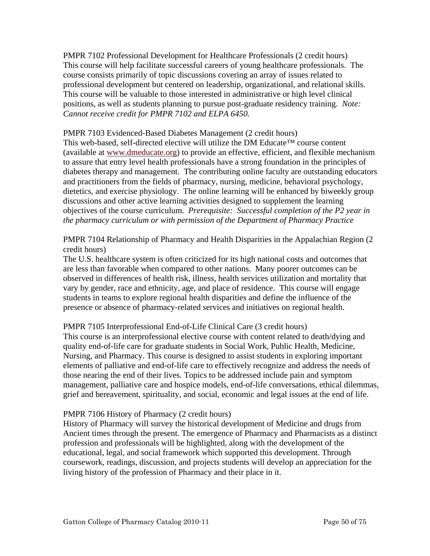PMPR 7102 Professional Development for Healthcare Professionals (2 credit hours) This course will help facilitate successful careers of young healthcare professionals. The course consists primarily of topic discussions covering an array of issues related to professional development but centered on leadership, organizational, and relational skills. This course will be valuable to those interested in administrative or high level clinical positions, as well as students planning to pursue post-graduate residency training. *Note: Cannot receive credit for PMPR 7102 and ELPA 6450.* 

## PMPR 7103 Evidenced-Based Diabetes Management (2 credit hours)

This web-based, self-directed elective will utilize the DM Educate™ course content (available at [www.dmeducate.org\)](http://www.dmeducate.org/) to provide an effective, efficient, and flexible mechanism to assure that entry level health professionals have a strong foundation in the principles of diabetes therapy and management. The contributing online faculty are outstanding educators and practitioners from the fields of pharmacy, nursing, medicine, behavioral psychology, dietetics, and exercise physiology. The online learning will be enhanced by biweekly group discussions and other active learning activities designed to supplement the learning objectives of the course curriculum. *Prerequisite: Successful completion of the P2 year in the pharmacy curriculum or with permission of the Department of Pharmacy Practice* 

PMPR 7104 Relationship of Pharmacy and Health Disparities in the Appalachian Region (2 credit hours)

The U.S. healthcare system is often criticized for its high national costs and outcomes that are less than favorable when compared to other nations. Many poorer outcomes can be observed in differences of health risk, illness, health services utilization and mortality that vary by gender, race and ethnicity, age, and place of residence. This course will engage students in teams to explore regional health disparities and define the influence of the presence or absence of pharmacy-related services and initiatives on regional health.

## PMPR 7105 Interprofessional End-of-Life Clinical Care (3 credit hours)

This course is an interprofessional elective course with content related to death/dying and quality end-of-life care for graduate students in Social Work, Public Health, Medicine, Nursing, and Pharmacy. This course is designed to assist students in exploring important elements of palliative and end-of-life care to effectively recognize and address the needs of those nearing the end of their lives. Topics to be addressed include pain and symptom management, palliative care and hospice models, end-of-life conversations, ethical dilemmas, grief and bereavement, spirituality, and social, economic and legal issues at the end of life.

## PMPR 7106 History of Pharmacy (2 credit hours)

History of Pharmacy will survey the historical development of Medicine and drugs from Ancient times through the present. The emergence of Pharmacy and Pharmacists as a distinct profession and professionals will be highlighted, along with the development of the educational, legal, and social framework which supported this development. Through coursework, readings, discussion, and projects students will develop an appreciation for the living history of the profession of Pharmacy and their place in it.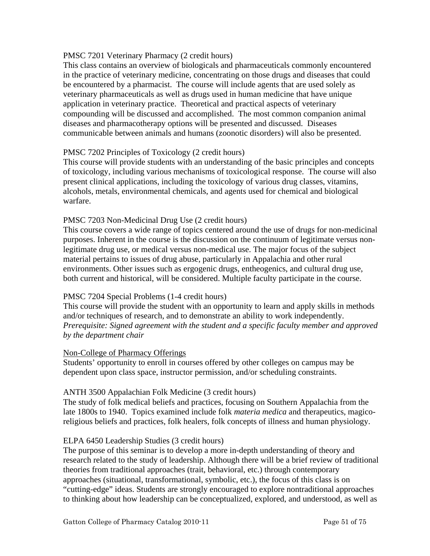# PMSC 7201 Veterinary Pharmacy (2 credit hours)

This class contains an overview of biologicals and pharmaceuticals commonly encountered in the practice of veterinary medicine, concentrating on those drugs and diseases that could be encountered by a pharmacist. The course will include agents that are used solely as veterinary pharmaceuticals as well as drugs used in human medicine that have unique application in veterinary practice. Theoretical and practical aspects of veterinary compounding will be discussed and accomplished. The most common companion animal diseases and pharmacotherapy options will be presented and discussed. Diseases communicable between animals and humans (zoonotic disorders) will also be presented.

# PMSC 7202 Principles of Toxicology (2 credit hours)

This course will provide students with an understanding of the basic principles and concepts of toxicology, including various mechanisms of toxicological response. The course will also present clinical applications, including the toxicology of various drug classes, vitamins, alcohols, metals, environmental chemicals, and agents used for chemical and biological warfare.

## PMSC 7203 Non-Medicinal Drug Use (2 credit hours)

This course covers a wide range of topics centered around the use of drugs for non-medicinal purposes. Inherent in the course is the discussion on the continuum of legitimate versus nonlegitimate drug use, or medical versus non-medical use. The major focus of the subject material pertains to issues of drug abuse, particularly in Appalachia and other rural environments. Other issues such as ergogenic drugs, entheogenics, and cultural drug use, both current and historical, will be considered. Multiple faculty participate in the course.

## PMSC 7204 Special Problems (1-4 credit hours)

This course will provide the student with an opportunity to learn and apply skills in methods and/or techniques of research, and to demonstrate an ability to work independently. *Prerequisite: Signed agreement with the student and a specific faculty member and approved by the department chair* 

## Non-College of Pharmacy Offerings

Students' opportunity to enroll in courses offered by other colleges on campus may be dependent upon class space, instructor permission, and/or scheduling constraints.

## ANTH 3500 Appalachian Folk Medicine (3 credit hours)

The study of folk medical beliefs and practices, focusing on Southern Appalachia from the late 1800s to 1940. Topics examined include folk *materia medica* and therapeutics, magicoreligious beliefs and practices, folk healers, folk concepts of illness and human physiology.

## ELPA 6450 Leadership Studies (3 credit hours)

The purpose of this seminar is to develop a more in-depth understanding of theory and research related to the study of leadership. Although there will be a brief review of traditional theories from traditional approaches (trait, behavioral, etc.) through contemporary approaches (situational, transformational, symbolic, etc.), the focus of this class is on "cutting-edge" ideas. Students are strongly encouraged to explore nontraditional approaches to thinking about how leadership can be conceptualized, explored, and understood, as well as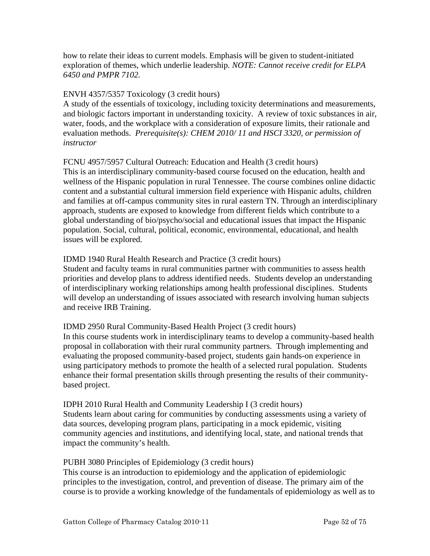how to relate their ideas to current models. Emphasis will be given to student-initiated exploration of themes, which underlie leadership. *NOTE: Cannot receive credit for ELPA 6450 and PMPR 7102.* 

# ENVH 4357/5357 Toxicology (3 credit hours)

A study of the essentials of toxicology, including toxicity determinations and measurements, and biologic factors important in understanding toxicity. A review of toxic substances in air, water, foods, and the workplace with a consideration of exposure limits, their rationale and evaluation methods. *Prerequisite(s): CHEM 2010/ 11 and HSCI 3320, or permission of instructor* 

# FCNU 4957/5957 Cultural Outreach: Education and Health (3 credit hours)

This is an interdisciplinary community-based course focused on the education, health and wellness of the Hispanic population in rural Tennessee. The course combines online didactic content and a substantial cultural immersion field experience with Hispanic adults, children and families at off-campus community sites in rural eastern TN. Through an interdisciplinary approach, students are exposed to knowledge from different fields which contribute to a global understanding of bio/psycho/social and educational issues that impact the Hispanic population. Social, cultural, political, economic, environmental, educational, and health issues will be explored.

# IDMD 1940 Rural Health Research and Practice (3 credit hours)

Student and faculty teams in rural communities partner with communities to assess health priorities and develop plans to address identified needs. Students develop an understanding of interdisciplinary working relationships among health professional disciplines. Students will develop an understanding of issues associated with research involving human subjects and receive IRB Training.

## IDMD 2950 Rural Community-Based Health Project (3 credit hours)

In this course students work in interdisciplinary teams to develop a community-based health proposal in collaboration with their rural community partners. Through implementing and evaluating the proposed community-based project, students gain hands-on experience in using participatory methods to promote the health of a selected rural population. Students enhance their formal presentation skills through presenting the results of their communitybased project.

IDPH 2010 Rural Health and Community Leadership I (3 credit hours) Students learn about caring for communities by conducting assessments using a variety of data sources, developing program plans, participating in a mock epidemic, visiting community agencies and institutions, and identifying local, state, and national trends that impact the community's health.

## PUBH 3080 Principles of Epidemiology (3 credit hours)

This course is an introduction to epidemiology and the application of epidemiologic principles to the investigation, control, and prevention of disease. The primary aim of the course is to provide a working knowledge of the fundamentals of epidemiology as well as to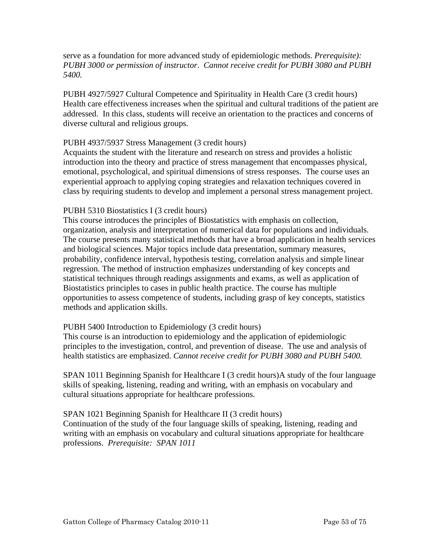serve as a foundation for more advanced study of epidemiologic methods. *Prerequisite): PUBH 3000 or permission of instructor*. *Cannot receive credit for PUBH 3080 and PUBH 5400.* 

PUBH 4927/5927 Cultural Competence and Spirituality in Health Care (3 credit hours) Health care effectiveness increases when the spiritual and cultural traditions of the patient are addressed. In this class, students will receive an orientation to the practices and concerns of diverse cultural and religious groups.

## PUBH 4937/5937 Stress Management (3 credit hours)

Acquaints the student with the literature and research on stress and provides a holistic introduction into the theory and practice of stress management that encompasses physical, emotional, psychological, and spiritual dimensions of stress responses. The course uses an experiential approach to applying coping strategies and relaxation techniques covered in class by requiring students to develop and implement a personal stress management project.

#### PUBH 5310 Biostatistics I (3 credit hours)

This course introduces the principles of Biostatistics with emphasis on collection, organization, analysis and interpretation of numerical data for populations and individuals. The course presents many statistical methods that have a broad application in health services and biological sciences. Major topics include data presentation, summary measures, probability, confidence interval, hypothesis testing, correlation analysis and simple linear regression. The method of instruction emphasizes understanding of key concepts and statistical techniques through readings assignments and exams, as well as application of Biostatistics principles to cases in public health practice. The course has multiple opportunities to assess competence of students, including grasp of key concepts, statistics methods and application skills.

## PUBH 5400 Introduction to Epidemiology (3 credit hours)

This course is an introduction to epidemiology and the application of epidemiologic principles to the investigation, control, and prevention of disease. The use and analysis of health statistics are emphasized. *Cannot receive credit for PUBH 3080 and PUBH 5400.*

SPAN 1011 Beginning Spanish for Healthcare I (3 credit hours)A study of the four language skills of speaking, listening, reading and writing, with an emphasis on vocabulary and cultural situations appropriate for healthcare professions.

SPAN 1021 Beginning Spanish for Healthcare II (3 credit hours) Continuation of the study of the four language skills of speaking, listening, reading and writing with an emphasis on vocabulary and cultural situations appropriate for healthcare professions. *Prerequisite: SPAN 1011*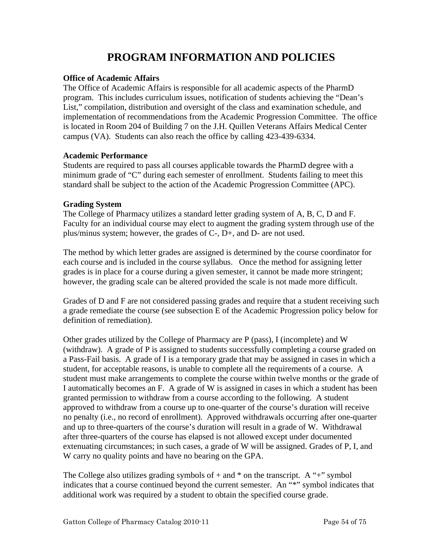# **PROGRAM INFORMATION AND POLICIES**

# **Office of Academic Affairs**

The Office of Academic Affairs is responsible for all academic aspects of the PharmD program. This includes curriculum issues, notification of students achieving the "Dean's List," compilation, distribution and oversight of the class and examination schedule, and implementation of recommendations from the Academic Progression Committee. The office is located in Room 204 of Building 7 on the J.H. Quillen Veterans Affairs Medical Center campus (VA). Students can also reach the office by calling 423-439-6334.

## **Academic Performance**

Students are required to pass all courses applicable towards the PharmD degree with a minimum grade of "C" during each semester of enrollment. Students failing to meet this standard shall be subject to the action of the Academic Progression Committee (APC).

# **Grading System**

The College of Pharmacy utilizes a standard letter grading system of A, B, C, D and F. Faculty for an individual course may elect to augment the grading system through use of the plus/minus system; however, the grades of C-, D+, and D- are not used.

The method by which letter grades are assigned is determined by the course coordinator for each course and is included in the course syllabus. Once the method for assigning letter grades is in place for a course during a given semester, it cannot be made more stringent; however, the grading scale can be altered provided the scale is not made more difficult.

Grades of D and F are not considered passing grades and require that a student receiving such a grade remediate the course (see subsection E of the Academic Progression policy below for definition of remediation).

Other grades utilized by the College of Pharmacy are P (pass), I (incomplete) and W (withdraw). A grade of P is assigned to students successfully completing a course graded on a Pass-Fail basis. A grade of I is a temporary grade that may be assigned in cases in which a student, for acceptable reasons, is unable to complete all the requirements of a course. A student must make arrangements to complete the course within twelve months or the grade of I automatically becomes an F. A grade of W is assigned in cases in which a student has been granted permission to withdraw from a course according to the following. A student approved to withdraw from a course up to one-quarter of the course's duration will receive no penalty (i.e., no record of enrollment). Approved withdrawals occurring after one-quarter and up to three-quarters of the course's duration will result in a grade of W. Withdrawal after three-quarters of the course has elapsed is not allowed except under documented extenuating circumstances; in such cases, a grade of W will be assigned. Grades of P, I, and W carry no quality points and have no bearing on the GPA.

The College also utilizes grading symbols of  $+$  and  $*$  on the transcript. A " $+$ " symbol indicates that a course continued beyond the current semester. An "\*" symbol indicates that additional work was required by a student to obtain the specified course grade.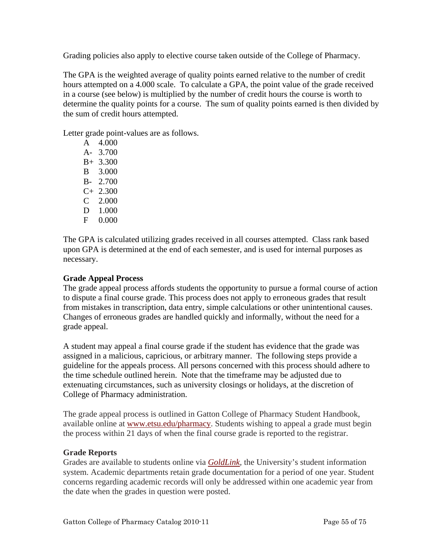Grading policies also apply to elective course taken outside of the College of Pharmacy.

The GPA is the weighted average of quality points earned relative to the number of credit hours attempted on a 4.000 scale. To calculate a GPA, the point value of the grade received in a course (see below) is multiplied by the number of credit hours the course is worth to determine the quality points for a course. The sum of quality points earned is then divided by the sum of credit hours attempted.

Letter grade point-values are as follows.

 A 4.000 A- 3.700 B+ 3.300 B 3.000 B- 2.700  $C+ 2.300$  C 2.000 D 1.000 F 0.000

The GPA is calculated utilizing grades received in all courses attempted. Class rank based upon GPA is determined at the end of each semester, and is used for internal purposes as necessary.

# **Grade Appeal Process**

The grade appeal process affords students the opportunity to pursue a formal course of action to dispute a final course grade. This process does not apply to erroneous grades that result from mistakes in transcription, data entry, simple calculations or other unintentional causes. Changes of erroneous grades are handled quickly and informally, without the need for a grade appeal.

A student may appeal a final course grade if the student has evidence that the grade was assigned in a malicious, capricious, or arbitrary manner. The following steps provide a guideline for the appeals process. All persons concerned with this process should adhere to the time schedule outlined herein. Note that the timeframe may be adjusted due to extenuating circumstances, such as university closings or holidays, at the discretion of College of Pharmacy administration.

The grade appeal process is outlined in Gatton College of Pharmacy Student Handbook, available online at [www.etsu.edu/pharmacy](http://www.etsu.edu/pharmacy). Students wishing to appeal a grade must begin the process within 21 days of when the final course grade is reported to the registrar.

## **Grade Reports**

Grades are available to students online via *[GoldLink,](http://goldlink.etsu.edu/)* the University's student information system. Academic departments retain grade documentation for a period of one year. Student concerns regarding academic records will only be addressed within one academic year from the date when the grades in question were posted.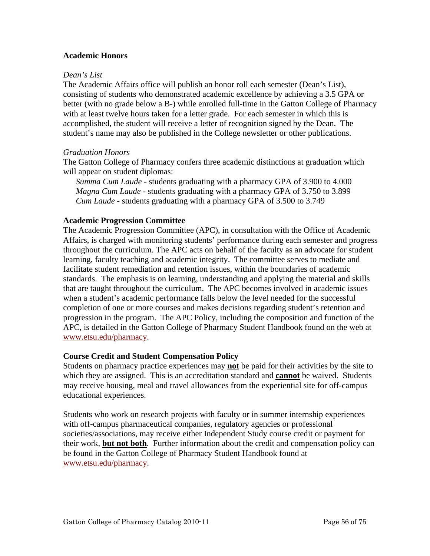# **Academic Honors**

#### *Dean's List*

The Academic Affairs office will publish an honor roll each semester (Dean's List), consisting of students who demonstrated academic excellence by achieving a 3.5 GPA or better (with no grade below a B-) while enrolled full-time in the Gatton College of Pharmacy with at least twelve hours taken for a letter grade. For each semester in which this is accomplished, the student will receive a letter of recognition signed by the Dean. The student's name may also be published in the College newsletter or other publications.

## *Graduation Honors*

The Gatton College of Pharmacy confers three academic distinctions at graduation which will appear on student diplomas:

*Summa Cum Laude* - students graduating with a pharmacy GPA of 3.900 to 4.000 *Magna Cum Laude* - students graduating with a pharmacy GPA of 3.750 to 3.899 *Cum Laude* - students graduating with a pharmacy GPA of 3.500 to 3.749

#### **Academic Progression Committee**

The Academic Progression Committee (APC), in consultation with the Office of Academic Affairs, is charged with monitoring students' performance during each semester and progress throughout the curriculum. The APC acts on behalf of the faculty as an advocate for student learning, faculty teaching and academic integrity. The committee serves to mediate and facilitate student remediation and retention issues, within the boundaries of academic standards. The emphasis is on learning, understanding and applying the material and skills that are taught throughout the curriculum. The APC becomes involved in academic issues when a student's academic performance falls below the level needed for the successful completion of one or more courses and makes decisions regarding student's retention and progression in the program. The APC Policy, including the composition and function of the APC, is detailed in the Gatton College of Pharmacy Student Handbook found on the web at [www.etsu.edu/pharmacy](http://www.etsu.edu/pharmacy).

## **Course Credit and Student Compensation Policy**

Students on pharmacy practice experiences may **not** be paid for their activities by the site to which they are assigned. This is an accreditation standard and **cannot** be waived. Students may receive housing, meal and travel allowances from the experiential site for off-campus educational experiences.

Students who work on research projects with faculty or in summer internship experiences with off-campus pharmaceutical companies, regulatory agencies or professional societies/associations, may receive either Independent Study course credit or payment for their work, **but not both**. Further information about the credit and compensation policy can be found in the Gatton College of Pharmacy Student Handbook found at [www.etsu.edu/pharmacy](http://www.etsu.edu/pharmacy).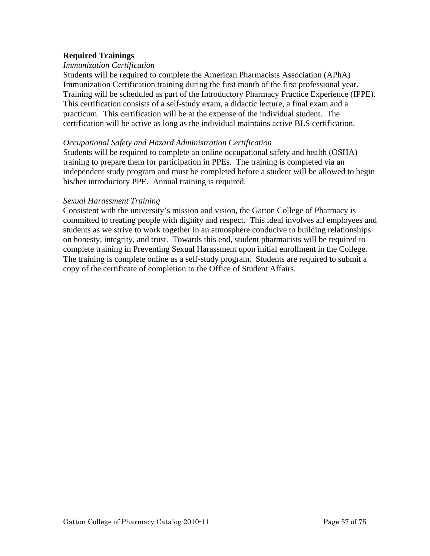# **Required Trainings**

#### *Immunization Certification*

Students will be required to complete the American Pharmacists Association (APhA) Immunization Certification training during the first month of the first professional year. Training will be scheduled as part of the Introductory Pharmacy Practice Experience (IPPE). This certification consists of a self-study exam, a didactic lecture, a final exam and a practicum. This certification will be at the expense of the individual student. The certification will be active as long as the individual maintains active BLS certification.

#### *Occupational Safety and Hazard Administration Certification*

Students will be required to complete an online occupational safety and health (OSHA) training to prepare them for participation in PPEs. The training is completed via an independent study program and must be completed before a student will be allowed to begin his/her introductory PPE. Annual training is required.

#### *Sexual Harassment Training*

Consistent with the university's mission and vision, the Gatton College of Pharmacy is committed to treating people with dignity and respect. This ideal involves all employees and students as we strive to work together in an atmosphere conducive to building relationships on honesty, integrity, and trust. Towards this end, student pharmacists will be required to complete training in Preventing Sexual Harassment upon initial enrollment in the College. The training is complete online as a self-study program. Students are required to submit a copy of the certificate of completion to the Office of Student Affairs.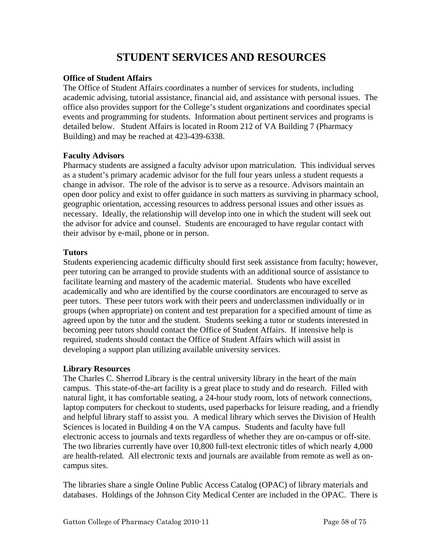# **STUDENT SERVICES AND RESOURCES**

# **Office of Student Affairs**

The Office of Student Affairs coordinates a number of services for students, including academic advising, tutorial assistance, financial aid, and assistance with personal issues. The office also provides support for the College's student organizations and coordinates special events and programming for students. Information about pertinent services and programs is detailed below. Student Affairs is located in Room 212 of VA Building 7 (Pharmacy Building) and may be reached at 423-439-6338.

# **Faculty Advisors**

Pharmacy students are assigned a faculty advisor upon matriculation. This individual serves as a student's primary academic advisor for the full four years unless a student requests a change in advisor. The role of the advisor is to serve as a resource. Advisors maintain an open door policy and exist to offer guidance in such matters as surviving in pharmacy school, geographic orientation, accessing resources to address personal issues and other issues as necessary. Ideally, the relationship will develop into one in which the student will seek out the advisor for advice and counsel. Students are encouraged to have regular contact with their advisor by e-mail, phone or in person.

# **Tutors**

Students experiencing academic difficulty should first seek assistance from faculty; however, peer tutoring can be arranged to provide students with an additional source of assistance to facilitate learning and mastery of the academic material. Students who have excelled academically and who are identified by the course coordinators are encouraged to serve as peer tutors. These peer tutors work with their peers and underclassmen individually or in groups (when appropriate) on content and test preparation for a specified amount of time as agreed upon by the tutor and the student. Students seeking a tutor or students interested in becoming peer tutors should contact the Office of Student Affairs. If intensive help is required, students should contact the Office of Student Affairs which will assist in developing a support plan utilizing available university services.

# **Library Resources**

The Charles C. Sherrod Library is the central university library in the heart of the main campus. This state-of-the-art facility is a great place to study and do research. Filled with natural light, it has comfortable seating, a 24-hour study room, lots of network connections, laptop computers for checkout to students, used paperbacks for leisure reading, and a friendly and helpful library staff to assist you. A medical library which serves the Division of Health Sciences is located in Building 4 on the VA campus. Students and faculty have full electronic access to journals and texts regardless of whether they are on-campus or off-site. The two libraries currently have over 10,800 full-text electronic titles of which nearly 4,000 are health-related. All electronic texts and journals are available from remote as well as oncampus sites.

The libraries share a single Online Public Access Catalog (OPAC) of library materials and databases. Holdings of the Johnson City Medical Center are included in the OPAC. There is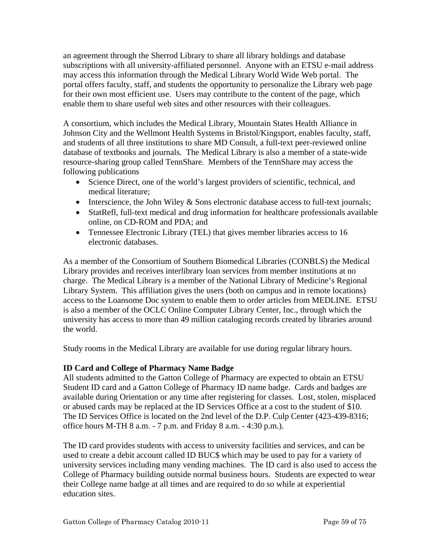an agreement through the Sherrod Library to share all library holdings and database subscriptions with all university-affiliated personnel. Anyone with an ETSU e-mail address may access this information through the Medical Library World Wide Web portal. The portal offers faculty, staff, and students the opportunity to personalize the Library web page for their own most efficient use. Users may contribute to the content of the page, which enable them to share useful web sites and other resources with their colleagues.

A consortium, which includes the Medical Library, Mountain States Health Alliance in Johnson City and the Wellmont Health Systems in Bristol/Kingsport, enables faculty, staff, and students of all three institutions to share MD Consult, a full-text peer-reviewed online database of textbooks and journals. The Medical Library is also a member of a state-wide resource-sharing group called TennShare. Members of the TennShare may access the following publications

- Science Direct, one of the world's largest providers of scientific, technical, and medical literature;
- Interscience, the John Wiley & Sons electronic database access to full-text journals;
- StatRefl, full-text medical and drug information for healthcare professionals available online, on CD-ROM and PDA; and
- Tennessee Electronic Library (TEL) that gives member libraries access to 16 electronic databases.

As a member of the Consortium of Southern Biomedical Libraries (CONBLS) the Medical Library provides and receives interlibrary loan services from member institutions at no charge. The Medical Library is a member of the National Library of Medicine's Regional Library System. This affiliation gives the users (both on campus and in remote locations) access to the Loansome Doc system to enable them to order articles from MEDLINE. ETSU is also a member of the OCLC Online Computer Library Center, Inc., through which the university has access to more than 49 million cataloging records created by libraries around the world.

Study rooms in the Medical Library are available for use during regular library hours.

# **ID Card and College of Pharmacy Name Badge**

All students admitted to the Gatton College of Pharmacy are expected to obtain an ETSU Student ID card and a Gatton College of Pharmacy ID name badge. Cards and badges are available during Orientation or any time after registering for classes. Lost, stolen, misplaced or abused cards may be replaced at the ID Services Office at a cost to the student of \$10. The ID Services Office is located on the 2nd level of the D.P. Culp Center (423-439-8316; office hours M-TH 8 a.m. - 7 p.m. and Friday 8 a.m. - 4:30 p.m.).

The ID card provides students with access to university facilities and services, and can be used to create a debit account called ID BUC\$ which may be used to pay for a variety of university services including many vending machines. The ID card is also used to access the College of Pharmacy building outside normal business hours. Students are expected to wear their College name badge at all times and are required to do so while at experiential education sites.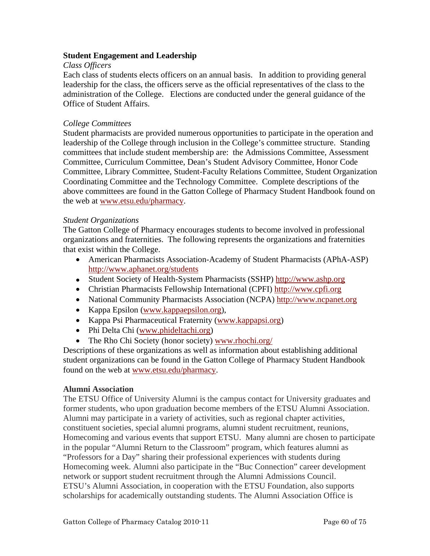# **Student Engagement and Leadership**

# *Class Officers*

Each class of students elects officers on an annual basis. In addition to providing general leadership for the class, the officers serve as the official representatives of the class to the administration of the College. Elections are conducted under the general guidance of the Office of Student Affairs.

# *College Committees*

Student pharmacists are provided numerous opportunities to participate in the operation and leadership of the College through inclusion in the College's committee structure. Standing committees that include student membership are: the Admissions Committee, Assessment Committee, Curriculum Committee, Dean's Student Advisory Committee, Honor Code Committee, Library Committee, Student-Faculty Relations Committee, Student Organization Coordinating Committee and the Technology Committee. Complete descriptions of the above committees are found in the Gatton College of Pharmacy Student Handbook found on the web at [www.etsu.edu/pharmacy.](http://www.etsu.edu/pharmacy)

# *Student Organizations*

The Gatton College of Pharmacy encourages students to become involved in professional organizations and fraternities. The following represents the organizations and fraternities that exist within the College.

- American Pharmacists Association-Academy of Student Pharmacists (APhA-ASP) <http://www.aphanet.org/students>
- Student Society of Health-System Pharmacists (SSHP) [http://www.ashp.org](http://www.ashp.org/)
- Christian Pharmacists Fellowship International (CPFI) [http://www.cpfi.org](http://www.cpfi.org/)
- National Community Pharmacists Association (NCPA) [http://www.ncpanet.org](http://www.ncpanet.org/)
- Kappa Epsilon ([www.kappaepsilon.org](http://www.kappaepsilon.org/)),
- Kappa Psi Pharmaceutical Fraternity [\(www.kappapsi.org\)](http://www.kappapsi.org/)
- Phi Delta Chi [\(www.phideltachi.org\)](http://www.phideltachi.org/)
- The Rho Chi Society (honor society) [www.rhochi.org/](http://www.rhochi.org/)

Descriptions of these organizations as well as information about establishing additional student organizations can be found in the Gatton College of Pharmacy Student Handbook found on the web at [www.etsu.edu/pharmacy.](http://www.etsu.edu/pharmacy)

## **Alumni Association**

The ETSU Office of University Alumni is the campus contact for University graduates and former students, who upon graduation become members of the ETSU Alumni Association. Alumni may participate in a variety of activities, such as regional chapter activities, constituent societies, special alumni programs, alumni student recruitment, reunions, Homecoming and various events that support ETSU. Many alumni are chosen to participate in the popular "Alumni Return to the Classroom" program, which features alumni as "Professors for a Day" sharing their professional experiences with students during Homecoming week. Alumni also participate in the "Buc Connection" career development network or support student recruitment through the Alumni Admissions Council. ETSU's Alumni Association, in cooperation with the ETSU Foundation, also supports scholarships for academically outstanding students. The Alumni Association Office is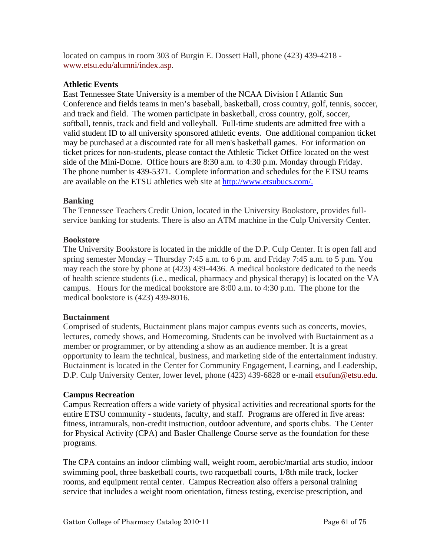located on campus in room 303 of Burgin E. Dossett Hall, phone (423) 439-4218 [www.etsu.edu/alumni/index.asp](http://www.etsu.edu/alumni/index.asp).

# **Athletic Events**

East Tennessee State University is a member of the NCAA Division I Atlantic Sun Conference and fields teams in men's baseball, basketball, cross country, golf, tennis, soccer, and track and field. The women participate in basketball, cross country, golf, soccer, softball, tennis, track and field and volleyball. Full-time students are admitted free with a valid student ID to all university sponsored athletic events. One additional companion ticket may be purchased at a discounted rate for all men's basketball games. For information on ticket prices for non-students, please contact the Athletic Ticket Office located on the west side of the Mini-Dome. Office hours are 8:30 a.m. to 4:30 p.m. Monday through Friday. The phone number is 439-5371. Complete information and schedules for the ETSU teams are available on the ETSU athletics web site at [http://www.etsubucs.com/.](http://www.etsubucs.com/)

# **Banking**

The Tennessee Teachers Credit Union, located in the University Bookstore, provides fullservice banking for students. There is also an ATM machine in the Culp University Center.

# **Bookstore**

The University Bookstore is located in the middle of the D.P. Culp Center. It is open fall and spring semester Monday – Thursday 7:45 a.m. to 6 p.m. and Friday 7:45 a.m. to 5 p.m. You may reach the store by phone at (423) 439-4436. A medical bookstore dedicated to the needs of health science students (i.e., medical, pharmacy and physical therapy) is located on the VA campus. Hours for the medical bookstore are 8:00 a.m. to 4:30 p.m. The phone for the medical bookstore is (423) 439-8016.

# **Buctainment**

Comprised of students, Buctainment plans major campus events such as concerts, movies, lectures, comedy shows, and Homecoming. Students can be involved with Buctainment as a member or programmer, or by attending a show as an audience member. It is a great opportunity to learn the technical, business, and marketing side of the entertainment industry. Buctainment is located in the Center for Community Engagement, Learning, and Leadership, D.P. Culp University Center, lower level, phone (423) 439-6828 or e-mail [etsufun@etsu.edu](mailto:etsufun@etsu.edu).

# **Campus Recreation**

Campus Recreation offers a wide variety of physical activities and recreational sports for the entire ETSU community - students, faculty, and staff. Programs are offered in five areas: fitness, intramurals, non-credit instruction, outdoor adventure, and sports clubs. The Center for Physical Activity (CPA) and Basler Challenge Course serve as the foundation for these programs.

The CPA contains an indoor climbing wall, weight room, aerobic/martial arts studio, indoor swimming pool, three basketball courts, two racquetball courts, 1/8th mile track, locker rooms, and equipment rental center. Campus Recreation also offers a personal training service that includes a weight room orientation, fitness testing, exercise prescription, and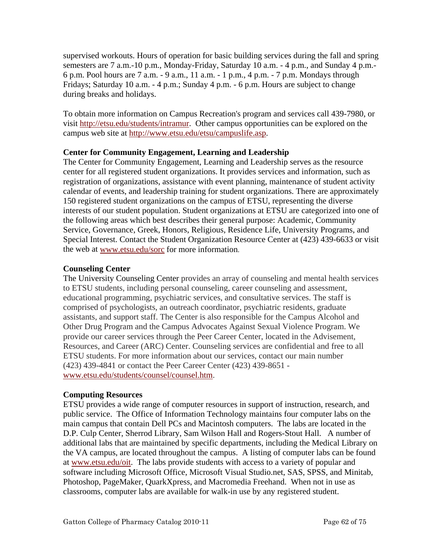supervised workouts. Hours of operation for basic building services during the fall and spring semesters are 7 a.m.-10 p.m., Monday-Friday, Saturday 10 a.m. - 4 p.m., and Sunday 4 p.m.- 6 p.m. Pool hours are 7 a.m. - 9 a.m., 11 a.m. - 1 p.m., 4 p.m. - 7 p.m. Mondays through Fridays; Saturday 10 a.m. - 4 p.m.; Sunday 4 p.m. - 6 p.m. Hours are subject to change during breaks and holidays.

To obtain more information on Campus Recreation's program and services call 439-7980, or visit <http://etsu.edu/students/intramur>. Other campus opportunities can be explored on the campus web site at [http://www.etsu.edu/etsu/campuslife.asp.](http://www.etsu.edu/etsu/campuslife.asp)

# **Center for Community Engagement, Learning and Leadership**

The Center for Community Engagement, Learning and Leadership serves as the resource center for all registered student organizations. It provides services and information, such as registration of organizations, assistance with event planning, maintenance of student activity calendar of events, and leadership training for student organizations. There are approximately 150 registered student organizations on the campus of ETSU, representing the diverse interests of our student population. Student organizations at ETSU are categorized into one of the following areas which best describes their general purpose: Academic, Community Service, Governance, Greek, Honors, Religious, Residence Life, University Programs, and Special Interest. Contact the Student Organization Resource Center at (423) 439-6633 or visit the web at [www.etsu.edu/sorc](http://www.etsu.edu/sorc) for more information.

# **Counseling Center**

The University Counseling Center provides an array of counseling and mental health services to ETSU students, including personal counseling, career counseling and assessment, educational programming, psychiatric services, and consultative services. The staff is comprised of psychologists, an outreach coordinator, psychiatric residents, graduate assistants, and support staff. The Center is also responsible for the Campus Alcohol and Other Drug Program and the Campus Advocates Against Sexual Violence Program. We provide our career services through the Peer Career Center, located in the Advisement, Resources, and Career (ARC) Center. Counseling services are confidential and free to all ETSU students. For more information about our services, contact our main number (423) 439-4841 or contact the Peer Career Center (423) 439-8651 [www.etsu.edu/students/counsel/counsel.htm.](http://www.etsu.edu/students/counsel/counsel.htm)

# **Computing Resources**

ETSU provides a wide range of computer resources in support of instruction, research, and public service. The Office of Information Technology maintains four computer labs on the main campus that contain Dell PCs and Macintosh computers. The labs are located in the D.P. Culp Center, Sherrod Library, Sam Wilson Hall and Rogers-Stout Hall. A number of additional labs that are maintained by specific departments, including the Medical Library on the VA campus, are located throughout the campus. A listing of computer labs can be found at [www.etsu.edu/oit](http://www.etsu.edu/oit). The labs provide students with access to a variety of popular and software including Microsoft Office, Microsoft Visual Studio.net, SAS, SPSS, and Minitab, Photoshop, PageMaker, QuarkXpress, and Macromedia Freehand. When not in use as classrooms, computer labs are available for walk-in use by any registered student.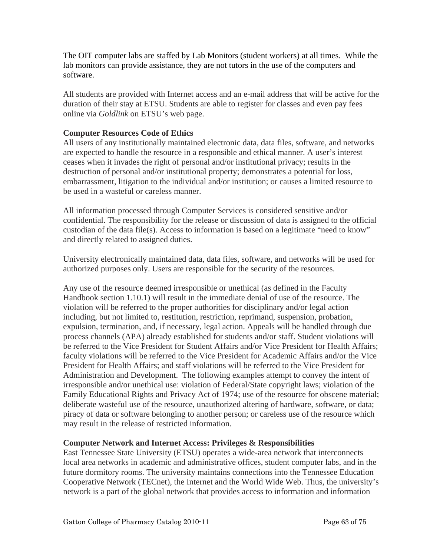The OIT computer labs are staffed by Lab Monitors (student workers) at all times. While the lab monitors can provide assistance, they are not tutors in the use of the computers and software.

All students are provided with Internet access and an e-mail address that will be active for the duration of their stay at ETSU. Students are able to register for classes and even pay fees online via *Goldlink* on ETSU's web page.

# **Computer Resources Code of Ethics**

All users of any institutionally maintained electronic data, data files, software, and networks are expected to handle the resource in a responsible and ethical manner. A user's interest ceases when it invades the right of personal and/or institutional privacy; results in the destruction of personal and/or institutional property; demonstrates a potential for loss, embarrassment, litigation to the individual and/or institution; or causes a limited resource to be used in a wasteful or careless manner.

All information processed through Computer Services is considered sensitive and/or confidential. The responsibility for the release or discussion of data is assigned to the official custodian of the data file(s). Access to information is based on a legitimate "need to know" and directly related to assigned duties.

University electronically maintained data, data files, software, and networks will be used for authorized purposes only. Users are responsible for the security of the resources.

Any use of the resource deemed irresponsible or unethical (as defined in the Faculty Handbook section 1.10.1) will result in the immediate denial of use of the resource. The violation will be referred to the proper authorities for disciplinary and/or legal action including, but not limited to, restitution, restriction, reprimand, suspension, probation, expulsion, termination, and, if necessary, legal action. Appeals will be handled through due process channels (APA) already established for students and/or staff. Student violations will be referred to the Vice President for Student Affairs and/or Vice President for Health Affairs; faculty violations will be referred to the Vice President for Academic Affairs and/or the Vice President for Health Affairs; and staff violations will be referred to the Vice President for Administration and Development. The following examples attempt to convey the intent of irresponsible and/or unethical use: violation of Federal/State copyright laws; violation of the Family Educational Rights and Privacy Act of 1974; use of the resource for obscene material; deliberate wasteful use of the resource, unauthorized altering of hardware, software, or data; piracy of data or software belonging to another person; or careless use of the resource which may result in the release of restricted information.

# **Computer Network and Internet Access: Privileges & Responsibilities**

East Tennessee State University (ETSU) operates a wide-area network that interconnects local area networks in academic and administrative offices, student computer labs, and in the future dormitory rooms. The university maintains connections into the Tennessee Education Cooperative Network (TECnet), the Internet and the World Wide Web. Thus, the university's network is a part of the global network that provides access to information and information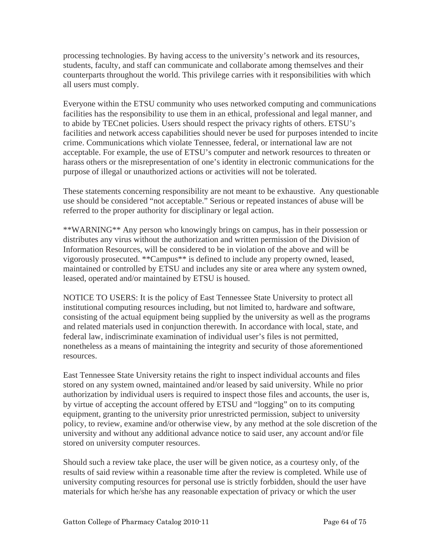processing technologies. By having access to the university's network and its resources, students, faculty, and staff can communicate and collaborate among themselves and their counterparts throughout the world. This privilege carries with it responsibilities with which all users must comply.

Everyone within the ETSU community who uses networked computing and communications facilities has the responsibility to use them in an ethical, professional and legal manner, and to abide by TECnet policies. Users should respect the privacy rights of others. ETSU's facilities and network access capabilities should never be used for purposes intended to incite crime. Communications which violate Tennessee, federal, or international law are not acceptable. For example, the use of ETSU's computer and network resources to threaten or harass others or the misrepresentation of one's identity in electronic communications for the purpose of illegal or unauthorized actions or activities will not be tolerated.

These statements concerning responsibility are not meant to be exhaustive. Any questionable use should be considered "not acceptable." Serious or repeated instances of abuse will be referred to the proper authority for disciplinary or legal action.

\*\*WARNING\*\* Any person who knowingly brings on campus, has in their possession or distributes any virus without the authorization and written permission of the Division of Information Resources, will be considered to be in violation of the above and will be vigorously prosecuted. \*\*Campus\*\* is defined to include any property owned, leased, maintained or controlled by ETSU and includes any site or area where any system owned, leased, operated and/or maintained by ETSU is housed.

NOTICE TO USERS: It is the policy of East Tennessee State University to protect all institutional computing resources including, but not limited to, hardware and software, consisting of the actual equipment being supplied by the university as well as the programs and related materials used in conjunction therewith. In accordance with local, state, and federal law, indiscriminate examination of individual user's files is not permitted, nonetheless as a means of maintaining the integrity and security of those aforementioned resources.

East Tennessee State University retains the right to inspect individual accounts and files stored on any system owned, maintained and/or leased by said university. While no prior authorization by individual users is required to inspect those files and accounts, the user is, by virtue of accepting the account offered by ETSU and "logging" on to its computing equipment, granting to the university prior unrestricted permission, subject to university policy, to review, examine and/or otherwise view, by any method at the sole discretion of the university and without any additional advance notice to said user, any account and/or file stored on university computer resources.

Should such a review take place, the user will be given notice, as a courtesy only, of the results of said review within a reasonable time after the review is completed. While use of university computing resources for personal use is strictly forbidden, should the user have materials for which he/she has any reasonable expectation of privacy or which the user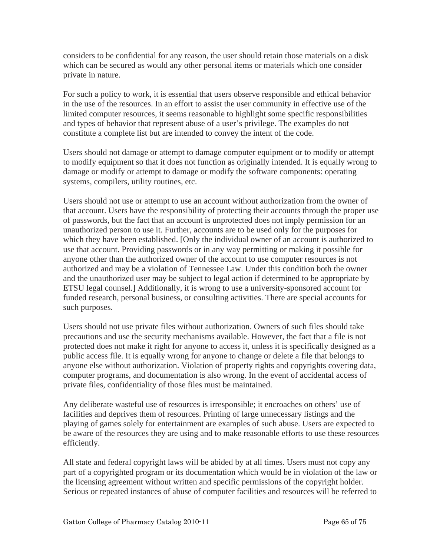considers to be confidential for any reason, the user should retain those materials on a disk which can be secured as would any other personal items or materials which one consider private in nature.

For such a policy to work, it is essential that users observe responsible and ethical behavior in the use of the resources. In an effort to assist the user community in effective use of the limited computer resources, it seems reasonable to highlight some specific responsibilities and types of behavior that represent abuse of a user's privilege. The examples do not constitute a complete list but are intended to convey the intent of the code.

Users should not damage or attempt to damage computer equipment or to modify or attempt to modify equipment so that it does not function as originally intended. It is equally wrong to damage or modify or attempt to damage or modify the software components: operating systems, compilers, utility routines, etc.

Users should not use or attempt to use an account without authorization from the owner of that account. Users have the responsibility of protecting their accounts through the proper use of passwords, but the fact that an account is unprotected does not imply permission for an unauthorized person to use it. Further, accounts are to be used only for the purposes for which they have been established. [Only the individual owner of an account is authorized to use that account. Providing passwords or in any way permitting or making it possible for anyone other than the authorized owner of the account to use computer resources is not authorized and may be a violation of Tennessee Law. Under this condition both the owner and the unauthorized user may be subject to legal action if determined to be appropriate by ETSU legal counsel.] Additionally, it is wrong to use a university-sponsored account for funded research, personal business, or consulting activities. There are special accounts for such purposes.

Users should not use private files without authorization. Owners of such files should take precautions and use the security mechanisms available. However, the fact that a file is not protected does not make it right for anyone to access it, unless it is specifically designed as a public access file. It is equally wrong for anyone to change or delete a file that belongs to anyone else without authorization. Violation of property rights and copyrights covering data, computer programs, and documentation is also wrong. In the event of accidental access of private files, confidentiality of those files must be maintained.

Any deliberate wasteful use of resources is irresponsible; it encroaches on others' use of facilities and deprives them of resources. Printing of large unnecessary listings and the playing of games solely for entertainment are examples of such abuse. Users are expected to be aware of the resources they are using and to make reasonable efforts to use these resources efficiently.

All state and federal copyright laws will be abided by at all times. Users must not copy any part of a copyrighted program or its documentation which would be in violation of the law or the licensing agreement without written and specific permissions of the copyright holder. Serious or repeated instances of abuse of computer facilities and resources will be referred to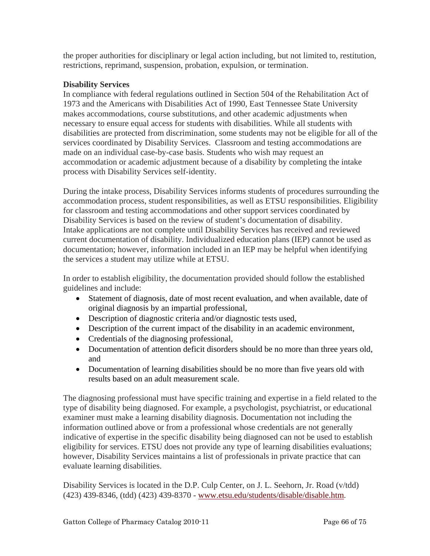the proper authorities for disciplinary or legal action including, but not limited to, restitution, restrictions, reprimand, suspension, probation, expulsion, or termination.

# **Disability Services**

In compliance with federal regulations outlined in Section 504 of the Rehabilitation Act of 1973 and the Americans with Disabilities Act of 1990, East Tennessee State University makes accommodations, course substitutions, and other academic adjustments when necessary to ensure equal access for students with disabilities. While all students with disabilities are protected from discrimination, some students may not be eligible for all of the services coordinated by Disability Services. Classroom and testing accommodations are made on an individual case-by-case basis. Students who wish may request an accommodation or academic adjustment because of a disability by completing the intake process with Disability Services self-identity.

During the intake process, Disability Services informs students of procedures surrounding the accommodation process, student responsibilities, as well as ETSU responsibilities. Eligibility for classroom and testing accommodations and other support services coordinated by Disability Services is based on the review of student's documentation of disability. Intake applications are not complete until Disability Services has received and reviewed current documentation of disability. Individualized education plans (IEP) cannot be used as documentation; however, information included in an IEP may be helpful when identifying the services a student may utilize while at ETSU.

In order to establish eligibility, the documentation provided should follow the established guidelines and include:

- Statement of diagnosis, date of most recent evaluation, and when available, date of original diagnosis by an impartial professional,
- Description of diagnostic criteria and/or diagnostic tests used,
- Description of the current impact of the disability in an academic environment,
- Credentials of the diagnosing professional,
- Documentation of attention deficit disorders should be no more than three years old, and
- Documentation of learning disabilities should be no more than five years old with results based on an adult measurement scale.

The diagnosing professional must have specific training and expertise in a field related to the type of disability being diagnosed. For example, a psychologist, psychiatrist, or educational examiner must make a learning disability diagnosis. Documentation not including the information outlined above or from a professional whose credentials are not generally indicative of expertise in the specific disability being diagnosed can not be used to establish eligibility for services. ETSU does not provide any type of learning disabilities evaluations; however, Disability Services maintains a list of professionals in private practice that can evaluate learning disabilities.

Disability Services is located in the D.P. Culp Center, on J. L. Seehorn, Jr. Road (v/tdd) (423) 439-8346, (tdd) (423) 439-8370 - [www.etsu.edu/students/disable/disable.htm.](http://www.etsu.edu/students/disable/disable.htm)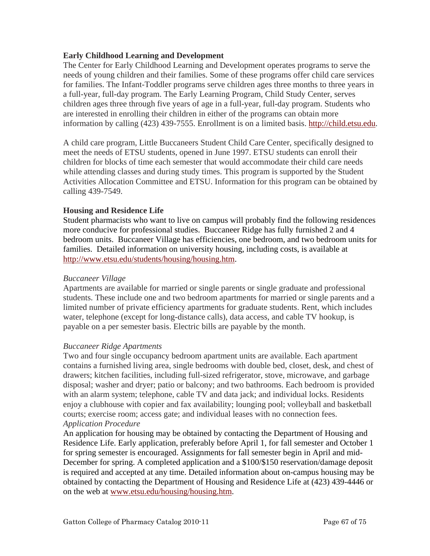# **Early Childhood Learning and Development**

The Center for Early Childhood Learning and Development operates programs to serve the needs of young children and their families. Some of these programs offer child care services for families. The Infant-Toddler programs serve children ages three months to three years in a full-year, full-day program. The Early Learning Program, Child Study Center, serves children ages three through five years of age in a full-year, full-day program. Students who are interested in enrolling their children in either of the programs can obtain more information by calling (423) 439-7555. Enrollment is on a limited basis. [http://child.etsu.edu.](http://child.etsu.edu/)

A child care program, Little Buccaneers Student Child Care Center, specifically designed to meet the needs of ETSU students, opened in June 1997. ETSU students can enroll their children for blocks of time each semester that would accommodate their child care needs while attending classes and during study times. This program is supported by the Student Activities Allocation Committee and ETSU. Information for this program can be obtained by calling 439-7549.

# **Housing and Residence Life**

Student pharmacists who want to live on campus will probably find the following residences more conducive for professional studies. Buccaneer Ridge has fully furnished 2 and 4 bedroom units. Buccaneer Village has efficiencies, one bedroom, and two bedroom units for families. Detailed information on university housing, including costs, is available at <http://www.etsu.edu/students/housing/housing.htm>.

# *Buccaneer Village*

Apartments are available for married or single parents or single graduate and professional students. These include one and two bedroom apartments for married or single parents and a limited number of private efficiency apartments for graduate students. Rent, which includes water, telephone (except for long-distance calls), data access, and cable TV hookup, is payable on a per semester basis. Electric bills are payable by the month.

## *Buccaneer Ridge Apartments*

Two and four single occupancy bedroom apartment units are available. Each apartment contains a furnished living area, single bedrooms with double bed, closet, desk, and chest of drawers; kitchen facilities, including full-sized refrigerator, stove, microwave, and garbage disposal; washer and dryer; patio or balcony; and two bathrooms. Each bedroom is provided with an alarm system; telephone, cable TV and data jack; and individual locks. Residents enjoy a clubhouse with copier and fax availability; lounging pool; volleyball and basketball courts; exercise room; access gate; and individual leases with no connection fees. *Application Procedure* 

An application for housing may be obtained by contacting the Department of Housing and Residence Life. Early application, preferably before April 1, for fall semester and October 1 for spring semester is encouraged. Assignments for fall semester begin in April and mid-December for spring. A completed application and a \$100/\$150 reservation/damage deposit is required and accepted at any time. Detailed information about on-campus housing may be obtained by contacting the Department of Housing and Residence Life at (423) 439-4446 or on the web at [www.etsu.edu/housing/housing.htm](http://www.etsu.edu/housing/housing.htm).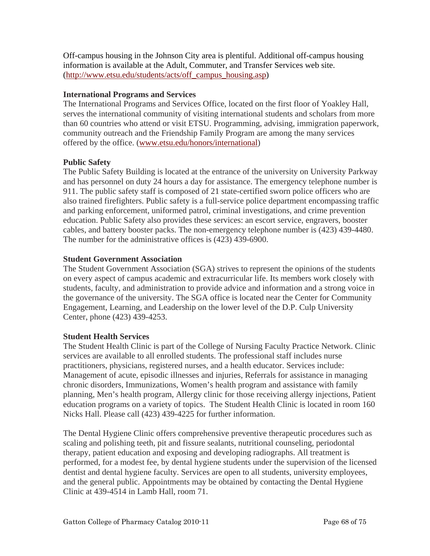Off-campus housing in the Johnson City area is plentiful. Additional off-campus housing information is available at the [Adult, Commuter, and Transfer Services web site](http://www.etsu.edu/students/acts/off_campus_housing.asp). ([http://www.etsu.edu/students/acts/off\\_campus\\_housing.asp](http://www.etsu.edu/students/acts/off_campus_housing.asp))

# **International Programs and Services**

The International Programs and Services Office, located on the first floor of Yoakley Hall, serves the international community of visiting international students and scholars from more than 60 countries who attend or visit ETSU. Programming, advising, immigration paperwork, community outreach and the Friendship Family Program are among the many services offered by the office. [\(www.etsu.edu/honors/international\)](http://www.etsu.edu/honors/international)

# **Public Safety**

The Public Safety Building is located at the entrance of the university on University Parkway and has personnel on duty 24 hours a day for assistance. The emergency telephone number is 911. The public safety staff is composed of 21 state-certified sworn police officers who are also trained firefighters. Public safety is a full-service police department encompassing traffic and parking enforcement, uniformed patrol, criminal investigations, and crime prevention education. Public Safety also provides these services: an escort service, engravers, booster cables, and battery booster packs. The non-emergency telephone number is (423) 439-4480. The number for the administrative offices is (423) 439-6900.

# **Student Government Association**

The Student Government Association (SGA) strives to represent the opinions of the students on every aspect of campus academic and extracurricular life. Its members work closely with students, faculty, and administration to provide advice and information and a strong voice in the governance of the university. The SGA office is located near the Center for Community Engagement, Learning, and Leadership on the lower level of the D.P. Culp University Center, phone (423) 439-4253.

# **Student Health Services**

The Student Health Clinic is part of the College of Nursing Faculty Practice Network. Clinic services are available to all enrolled students. The professional staff includes nurse practitioners, physicians, registered nurses, and a health educator. Services include: Management of acute, episodic illnesses and injuries, Referrals for assistance in managing chronic disorders, Immunizations, Women's health program and assistance with family planning, Men's health program, Allergy clinic for those receiving allergy injections, Patient education programs on a variety of topics. The Student Health Clinic is located in room 160 Nicks Hall. Please call (423) 439-4225 for further information.

The Dental Hygiene Clinic offers comprehensive preventive therapeutic procedures such as scaling and polishing teeth, pit and fissure sealants, nutritional counseling, periodontal therapy, patient education and exposing and developing radiographs. All treatment is performed, for a modest fee, by dental hygiene students under the supervision of the licensed dentist and dental hygiene faculty. Services are open to all students, university employees, and the general public. Appointments may be obtained by contacting the Dental Hygiene Clinic at 439-4514 in Lamb Hall, room 71.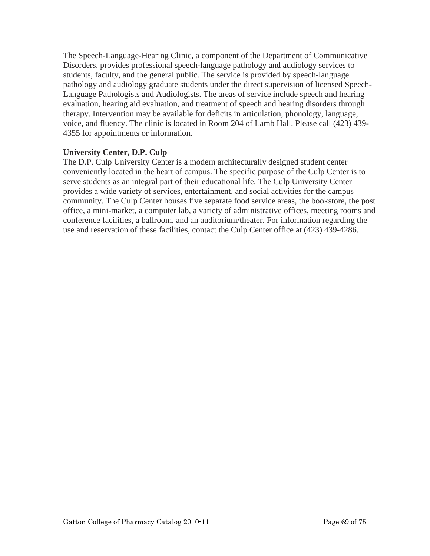The Speech-Language-Hearing Clinic, a component of the Department of Communicative Disorders, provides professional speech-language pathology and audiology services to students, faculty, and the general public. The service is provided by speech-language pathology and audiology graduate students under the direct supervision of licensed Speech-Language Pathologists and Audiologists. The areas of service include speech and hearing evaluation, hearing aid evaluation, and treatment of speech and hearing disorders through therapy. Intervention may be available for deficits in articulation, phonology, language, voice, and fluency. The clinic is located in Room 204 of Lamb Hall. Please call (423) 439- 4355 for appointments or information.

# **University Center, D.P. Culp**

The D.P. Culp University Center is a modern architecturally designed student center conveniently located in the heart of campus. The specific purpose of the Culp Center is to serve students as an integral part of their educational life. The Culp University Center provides a wide variety of services, entertainment, and social activities for the campus community. The Culp Center houses five separate food service areas, the bookstore, the post office, a mini-market, a computer lab, a variety of administrative offices, meeting rooms and conference facilities, a ballroom, and an auditorium/theater. For information regarding the use and reservation of these facilities, contact the Culp Center office at (423) 439-4286.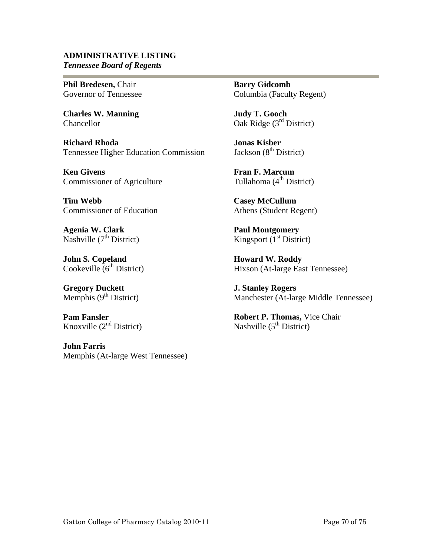## **ADMINISTRATIVE LISTING** *Tennessee Board of Regents*

**Phil Bredesen,** Chair Governor of Tennessee

**Charles W. Manning**  Chancellor

**Richard Rhoda**  Tennessee Higher Education Commission

**Ken Givens**  Commissioner of Agriculture

**Tim Webb**  Commissioner of Education

**Agenia W. Clark**  Nashville  $(7<sup>th</sup> District)$ 

**John S. Copeland**  Cookeville  $6<sup>th</sup>$  District)

**Gregory Duckett**  Memphis  $(9<sup>th</sup> District)$ 

**Pam Fansler**  Knoxville  $(2<sup>nd</sup> District)$ 

**John Farris**  Memphis (At-large West Tennessee) **Barry Gidcomb**  Columbia (Faculty Regent)

**Judy T. Gooch**  Oak Ridge (3<sup>rd</sup> District)

**Jonas Kisber**  Jackson  $(8<sup>th</sup> District)$ 

**Fran F. Marcum**  Tullahoma  $(4<sup>th</sup> District)$ 

**Casey McCullum**  Athens (Student Regent)

**Paul Montgomery**  Kingsport  $(1<sup>st</sup> District)$ 

**Howard W. Roddy**  Hixson (At-large East Tennessee)

**J. Stanley Rogers**  Manchester (At-large Middle Tennessee)

**Robert P. Thomas,** Vice Chair Nashville  $(5^{th}$  District)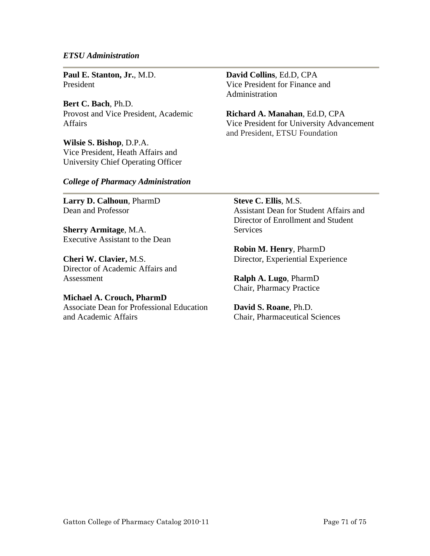#### *ETSU Administration*

**Paul E. Stanton, Jr.**, M.D. President

**Bert C. Bach**, Ph.D. Provost and Vice President, Academic Affairs

**Wilsie S. Bishop**, D.P.A. Vice President, Heath Affairs and University Chief Operating Officer **David Collins**, Ed.D, CPA Vice President for Finance and Administration

**Richard A. Manahan**, Ed.D, CPA Vice President for University Advancement and President, ETSU Foundation

#### *College of Pharmacy Administration*

**Larry D. Calhoun**, PharmD Dean and Professor

**Sherry Armitage**, M.A. Executive Assistant to the Dean

**Cheri W. Clavier,** M.S. Director of Academic Affairs and Assessment

**Michael A. Crouch, PharmD**  Associate Dean for Professional Education and Academic Affairs

**Steve C. Ellis**, M.S. Assistant Dean for Student Affairs and Director of Enrollment and Student **Services** 

**Robin M. Henry**, PharmD Director, Experiential Experience

**Ralph A. Lugo**, PharmD Chair, Pharmacy Practice

**David S. Roane**, Ph.D. Chair, Pharmaceutical Sciences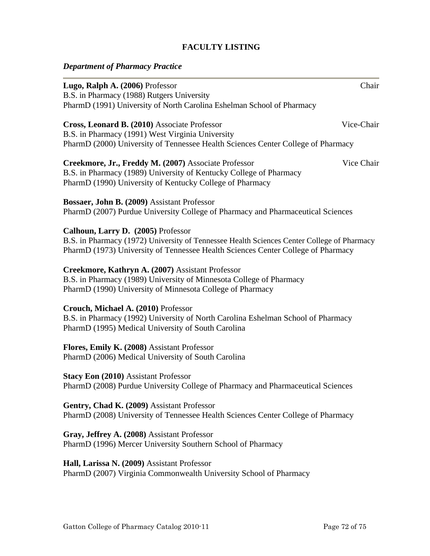# **FACULTY LISTING**

# *Department of Pharmacy Practice*

| Lugo, Ralph A. (2006) Professor<br>B.S. in Pharmacy (1988) Rutgers University                                                                                                                                        | Chair      |
|----------------------------------------------------------------------------------------------------------------------------------------------------------------------------------------------------------------------|------------|
| PharmD (1991) University of North Carolina Eshelman School of Pharmacy                                                                                                                                               |            |
| Cross, Leonard B. (2010) Associate Professor<br>B.S. in Pharmacy (1991) West Virginia University<br>PharmD (2000) University of Tennessee Health Sciences Center College of Pharmacy                                 | Vice-Chair |
| Creekmore, Jr., Freddy M. (2007) Associate Professor<br>B.S. in Pharmacy (1989) University of Kentucky College of Pharmacy<br>PharmD (1990) University of Kentucky College of Pharmacy                               | Vice Chair |
| Bossaer, John B. (2009) Assistant Professor<br>PharmD (2007) Purdue University College of Pharmacy and Pharmaceutical Sciences                                                                                       |            |
| Calhoun, Larry D. (2005) Professor<br>B.S. in Pharmacy (1972) University of Tennessee Health Sciences Center College of Pharmacy<br>PharmD (1973) University of Tennessee Health Sciences Center College of Pharmacy |            |
| Creekmore, Kathryn A. (2007) Assistant Professor<br>B.S. in Pharmacy (1989) University of Minnesota College of Pharmacy<br>PharmD (1990) University of Minnesota College of Pharmacy                                 |            |
| Crouch, Michael A. (2010) Professor<br>B.S. in Pharmacy (1992) University of North Carolina Eshelman School of Pharmacy<br>PharmD (1995) Medical University of South Carolina                                        |            |
| Flores, Emily K. (2008) Assistant Professor<br>PharmD (2006) Medical University of South Carolina                                                                                                                    |            |
| <b>Stacy Eon (2010)</b> Assistant Professor<br>PharmD (2008) Purdue University College of Pharmacy and Pharmaceutical Sciences                                                                                       |            |
| Gentry, Chad K. (2009) Assistant Professor<br>PharmD (2008) University of Tennessee Health Sciences Center College of Pharmacy                                                                                       |            |
| Gray, Jeffrey A. (2008) Assistant Professor<br>PharmD (1996) Mercer University Southern School of Pharmacy                                                                                                           |            |
| Hall, Larissa N. (2009) Assistant Professor<br>PharmD (2007) Virginia Commonwealth University School of Pharmacy                                                                                                     |            |
|                                                                                                                                                                                                                      |            |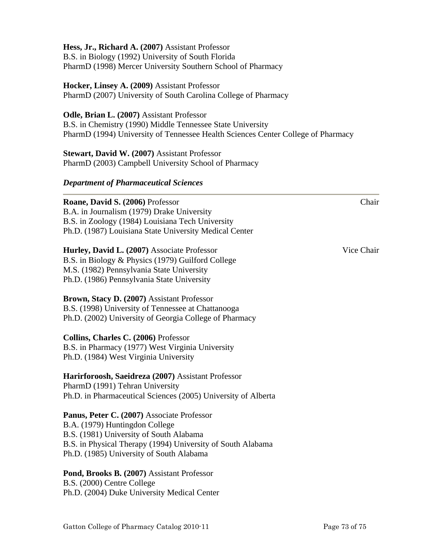| Hess, Jr., Richard A. (2007) Assistant Professor<br>B.S. in Biology (1992) University of South Florida<br>PharmD (1998) Mercer University Southern School of Pharmacy                                                              |  |
|------------------------------------------------------------------------------------------------------------------------------------------------------------------------------------------------------------------------------------|--|
| <b>Hocker, Linsey A. (2009) Assistant Professor</b><br>PharmD (2007) University of South Carolina College of Pharmacy                                                                                                              |  |
| Odle, Brian L. (2007) Assistant Professor<br>B.S. in Chemistry (1990) Middle Tennessee State University<br>PharmD (1994) University of Tennessee Health Sciences Center College of Pharmacy                                        |  |
| <b>Stewart, David W. (2007) Assistant Professor</b><br>PharmD (2003) Campbell University School of Pharmacy                                                                                                                        |  |
| <b>Department of Pharmaceutical Sciences</b>                                                                                                                                                                                       |  |
| Roane, David S. (2006) Professor<br>Chair<br>B.A. in Journalism (1979) Drake University<br>B.S. in Zoology (1984) Louisiana Tech University<br>Ph.D. (1987) Louisiana State University Medical Center                              |  |
| Hurley, David L. (2007) Associate Professor<br>Vice Chair<br>B.S. in Biology & Physics (1979) Guilford College<br>M.S. (1982) Pennsylvania State University<br>Ph.D. (1986) Pennsylvania State University                          |  |
| Brown, Stacy D. (2007) Assistant Professor<br>B.S. (1998) University of Tennessee at Chattanooga<br>Ph.D. (2002) University of Georgia College of Pharmacy                                                                         |  |
| Collins, Charles C. (2006) Professor<br>B.S. in Pharmacy (1977) West Virginia University<br>Ph.D. (1984) West Virginia University                                                                                                  |  |
| Harirforoosh, Saeidreza (2007) Assistant Professor<br>PharmD (1991) Tehran University<br>Ph.D. in Pharmaceutical Sciences (2005) University of Alberta                                                                             |  |
| Panus, Peter C. (2007) Associate Professor<br>B.A. (1979) Huntingdon College<br>B.S. (1981) University of South Alabama<br>B.S. in Physical Therapy (1994) University of South Alabama<br>Ph.D. (1985) University of South Alabama |  |
| Pond, Brooks B. (2007) Assistant Professor<br>B.S. (2000) Centre College<br>Ph.D. (2004) Duke University Medical Center                                                                                                            |  |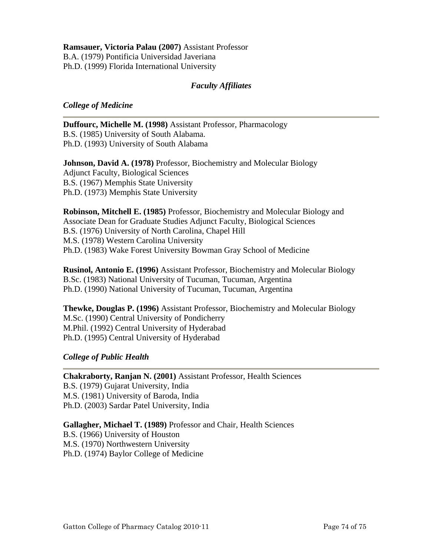**Ramsauer, Victoria Palau (2007)** Assistant Professor B.A. (1979) Pontificia Universidad Javeriana Ph.D. (1999) Florida International University

## *Faculty Affiliates*

## *College of Medicine*

**Duffourc, Michelle M. (1998)** Assistant Professor, Pharmacology B.S. (1985) University of South Alabama. Ph.D. (1993) University of South Alabama

**Johnson, David A. (1978)** Professor, Biochemistry and Molecular Biology Adjunct Faculty, Biological Sciences B.S. (1967) Memphis State University Ph.D. (1973) Memphis State University

**Robinson, Mitchell E. (1985)** Professor, Biochemistry and Molecular Biology and Associate Dean for Graduate Studies Adjunct Faculty, Biological Sciences B.S. (1976) University of North Carolina, Chapel Hill M.S. (1978) Western Carolina University Ph.D. (1983) Wake Forest University Bowman Gray School of Medicine

**Rusinol, Antonio E. (1996)** Assistant Professor, Biochemistry and Molecular Biology B.Sc. (1983) National University of Tucuman, Tucuman, Argentina Ph.D. (1990) National University of Tucuman, Tucuman, Argentina

**Thewke, Douglas P. (1996)** Assistant Professor, Biochemistry and Molecular Biology M.Sc. (1990) Central University of Pondicherry M.Phil. (1992) Central University of Hyderabad Ph.D. (1995) Central University of Hyderabad

## *College of Public Health*

**Chakraborty, Ranjan N. (2001)** Assistant Professor, Health Sciences B.S. (1979) Gujarat University, India M.S. (1981) University of Baroda, India Ph.D. (2003) Sardar Patel University, India

**Gallagher, Michael T. (1989)** Professor and Chair, Health Sciences B.S. (1966) University of Houston M.S. (1970) Northwestern University Ph.D. (1974) Baylor College of Medicine